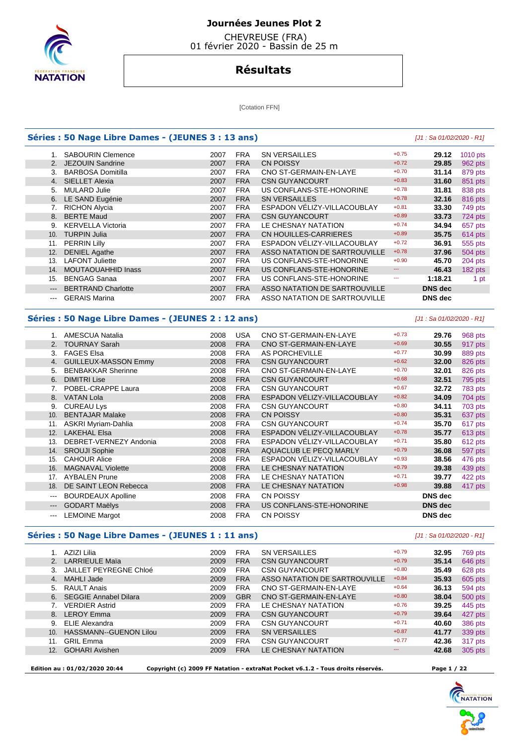

## **Journées Jeunes Plot 2**

 CHEVREUSE (FRA) 01 février 2020 - Bassin de 25 m

# **Résultats**

[Cotation FFN]

#### **Séries : 50 Nage Libre Dames - (JEUNES 3 : 13 ans)** [J1 : Sa 01/02/2020 - R1]

|       | <b>SABOURIN Clemence</b>  | 2007 | <b>FRA</b> | <b>SN VERSAILLES</b>          | $+0.75$ | 29.12          | 1010 pts |
|-------|---------------------------|------|------------|-------------------------------|---------|----------------|----------|
| 2.    | JEZOUIN Sandrine          | 2007 | <b>FRA</b> | <b>CN POISSY</b>              | $+0.72$ | 29.85          | 962 pts  |
| 3.    | <b>BARBOSA Domitilla</b>  | 2007 | <b>FRA</b> | CNO ST-GERMAIN-EN-LAYE        | $+0.70$ | 31.14          | 879 pts  |
| 4.    | <b>SIELLET Alexia</b>     | 2007 | <b>FRA</b> | <b>CSN GUYANCOURT</b>         | $+0.83$ | 31.60          | 851 pts  |
| 5.    | <b>MULARD Julie</b>       | 2007 | <b>FRA</b> | US CONFLANS-STE-HONORINE      | $+0.78$ | 31.81          | 838 pts  |
| 6.    | LE SAND Eugénie           | 2007 | <b>FRA</b> | <b>SN VERSAILLES</b>          | $+0.78$ | 32.16          | 816 pts  |
|       | <b>RICHON Alycia</b>      | 2007 | <b>FRA</b> | ESPADON VÉLIZY-VILLACOUBLAY   | $+0.81$ | 33.30          | 749 pts  |
| 8.    | <b>BERTE Maud</b>         | 2007 | <b>FRA</b> | <b>CSN GUYANCOURT</b>         | $+0.89$ | 33.73          | 724 pts  |
| 9.    | <b>KERVELLA Victoria</b>  | 2007 | <b>FRA</b> | LE CHESNAY NATATION           | $+0.74$ | 34.94          | 657 pts  |
| 10.   | <b>TURPIN Julia</b>       | 2007 | <b>FRA</b> | CN HOUILLES-CARRIERES         | $+0.89$ | 35.75          | 614 pts  |
| 11.   | <b>PERRIN Lilly</b>       | 2007 | <b>FRA</b> | ESPADON VÉLIZY-VILLACOUBLAY   | $+0.72$ | 36.91          | 555 pts  |
| 12.   | <b>DENIEL Agathe</b>      | 2007 | <b>FRA</b> | ASSO NATATION DE SARTROUVILLE | $+0.78$ | 37.96          | 504 pts  |
| 13.   | <b>LAFONT Juliette</b>    | 2007 | <b>FRA</b> | US CONFLANS-STE-HONORINE      | $+0.90$ | 45.70          | 204 pts  |
| 14.   | <b>MOUTAOUAHHID Inass</b> | 2007 | <b>FRA</b> | US CONFLANS-STE-HONORINE      | ---     | 46.43          | 182 pts  |
| 15.   | <b>BENGAG Sanaa</b>       | 2007 | <b>FRA</b> | US CONFLANS-STE-HONORINE      | ---     | 1:18.21        | 1 pt     |
| $---$ | <b>BERTRAND Charlotte</b> | 2007 | <b>FRA</b> | ASSO NATATION DE SARTROUVILLE |         | <b>DNS</b> dec |          |
| $---$ | <b>GERAIS Marina</b>      | 2007 | <b>FRA</b> | ASSO NATATION DE SARTROUVILLE |         | <b>DNS</b> dec |          |

#### **Séries : 50 Nage Libre Dames - (JEUNES 2 : 12 ans)** [J1 : Sa 01/02/2020 - R1]

|          | AMESCUA Natalia             | 2008 | <b>USA</b> | CNO ST-GERMAIN-EN-LAYE      | $+0.73$ | 29.76          | 968 pts |
|----------|-----------------------------|------|------------|-----------------------------|---------|----------------|---------|
| 2.       | <b>TOURNAY Sarah</b>        | 2008 | <b>FRA</b> | CNO ST-GERMAIN-EN-LAYE      | $+0.69$ | 30.55          | 917 pts |
| 3.       | <b>FAGES Elsa</b>           | 2008 | <b>FRA</b> | AS PORCHEVILLE              | $+0.77$ | 30.99          | 889 pts |
| 4.       | <b>GUILLEUX-MASSON Emmy</b> | 2008 | <b>FRA</b> | <b>CSN GUYANCOURT</b>       | $+0.62$ | 32.00          | 826 pts |
| 5.       | <b>BENBAKKAR Sherinne</b>   | 2008 | <b>FRA</b> | CNO ST-GERMAIN-EN-LAYE      | $+0.70$ | 32.01          | 826 pts |
| 6.       | <b>DIMITRI Lise</b>         | 2008 | <b>FRA</b> | <b>CSN GUYANCOURT</b>       | $+0.68$ | 32.51          | 795 pts |
|          | POBEL-CRAPPE Laura          | 2008 | <b>FRA</b> | <b>CSN GUYANCOURT</b>       | $+0.67$ | 32.72          | 783 pts |
| 8.       | <b>VATAN Lola</b>           | 2008 | <b>FRA</b> | ESPADON VÉLIZY-VILLACOUBLAY | $+0.82$ | 34.09          | 704 pts |
| 9.       | <b>CUREAU Lys</b>           | 2008 | <b>FRA</b> | <b>CSN GUYANCOURT</b>       | $+0.80$ | 34.11          | 703 pts |
| 10.      | <b>BENTAJAR Malake</b>      | 2008 | <b>FRA</b> | <b>CN POISSY</b>            | $+0.80$ | 35.31          | 637 pts |
| 11.      | ASKRI Myriam-Dahlia         | 2008 | <b>FRA</b> | <b>CSN GUYANCOURT</b>       | $+0.74$ | 35.70          | 617 pts |
| 12.      | <b>LAKEHAL Elsa</b>         | 2008 | <b>FRA</b> | ESPADON VÉLIZY-VILLACOUBLAY | $+0.78$ | 35.77          | 613 pts |
| 13.      | DEBRET-VERNEZY Andonia      | 2008 | <b>FRA</b> | ESPADON VÉLIZY-VILLACOUBLAY | $+0.71$ | 35.80          | 612 pts |
| 14.      | <b>SROUJI Sophie</b>        | 2008 | <b>FRA</b> | AQUACLUB LE PECQ MARLY      | $+0.79$ | 36.08          | 597 pts |
| 15.      | <b>CAHOUR Alice</b>         | 2008 | <b>FRA</b> | ESPADON VÉLIZY-VILLACOUBLAY | $+0.93$ | 38.56          | 476 pts |
| 16.      | <b>MAGNAVAL Violette</b>    | 2008 | <b>FRA</b> | LE CHESNAY NATATION         | $+0.79$ | 39.38          | 439 pts |
| 17.      | <b>AYBALEN Prune</b>        | 2008 | <b>FRA</b> | LE CHESNAY NATATION         | $+0.71$ | 39.77          | 422 pts |
| 18.      | DE SAINT LEON Rebecca       | 2008 | <b>FRA</b> | LE CHESNAY NATATION         | $+0.98$ | 39.88          | 417 pts |
| $\cdots$ | <b>BOURDEAUX Apolline</b>   | 2008 | <b>FRA</b> | <b>CN POISSY</b>            |         | <b>DNS</b> dec |         |
| $\cdots$ | <b>GODART Maëlys</b>        | 2008 | <b>FRA</b> | US CONFLANS-STE-HONORINE    |         | <b>DNS</b> dec |         |
| $---$    | <b>LEMOINE Margot</b>       | 2008 | <b>FRA</b> | <b>CN POISSY</b>            |         | <b>DNS</b> dec |         |

## **Séries : 50 Nage Libre Dames - (JEUNES 1 : 11 ans)** [J1 : Sa 01/02/2020 - R1]

|     | AZIZI Lilia                   | 2009 | <b>FRA</b> | <b>SN VERSAILLES</b>          | $+0.79$  | 32.95 | 769 pts |
|-----|-------------------------------|------|------------|-------------------------------|----------|-------|---------|
|     | <b>LARRIEULE Maïa</b>         | 2009 | <b>FRA</b> | <b>CSN GUYANCOURT</b>         | $+0.79$  | 35.14 | 646 pts |
|     | <b>JAILLET PEYREGNE Chloé</b> | 2009 | <b>FRA</b> | <b>CSN GUYANCOURT</b>         | $+0.80$  | 35.49 | 628 pts |
| 4.  | MAHLI Jade                    | 2009 | <b>FRA</b> | ASSO NATATION DE SARTROUVILLE | $+0.84$  | 35.93 | 605 pts |
| 5.  | <b>RAULT Anais</b>            | 2009 | <b>FRA</b> | CNO ST-GERMAIN-EN-LAYE        | $+0.64$  | 36.13 | 594 pts |
|     | 6. SEGGIE Annabel Dilara      | 2009 | <b>GBR</b> | CNO ST-GERMAIN-EN-LAYE        | $+0.80$  | 38.04 | 500 pts |
|     | <b>VERDIER Astrid</b>         | 2009 | <b>FRA</b> | LE CHESNAY NATATION           | $+0.76$  | 39.25 | 445 pts |
| 8.  | <b>LEROY Emma</b>             | 2009 | <b>FRA</b> | <b>CSN GUYANCOURT</b>         | $+0.79$  | 39.64 | 427 pts |
| 9.  | <b>ELIE Alexandra</b>         | 2009 | <b>FRA</b> | <b>CSN GUYANCOURT</b>         | $+0.71$  | 40.60 | 386 pts |
| 10. | <b>HASSMANN--GUENON Lilou</b> | 2009 | <b>FRA</b> | <b>SN VERSAILLES</b>          | $+0.87$  | 41.77 | 339 pts |
| 11. | <b>GRIL Emma</b>              | 2009 | <b>FRA</b> | <b>CSN GUYANCOURT</b>         | $+0.77$  | 42.36 | 317 pts |
| 12. | <b>GOHARI Avishen</b>         | 2009 | <b>FRA</b> | LE CHESNAY NATATION           | $\cdots$ | 42.68 | 305 pts |
|     |                               |      |            |                               |          |       |         |

 **Edition au : 01/02/2020 20:44 Copyright (c) 2009 FF Natation - extraNat Pocket v6.1.2 - Tous droits réservés. Page 1 / 22** 

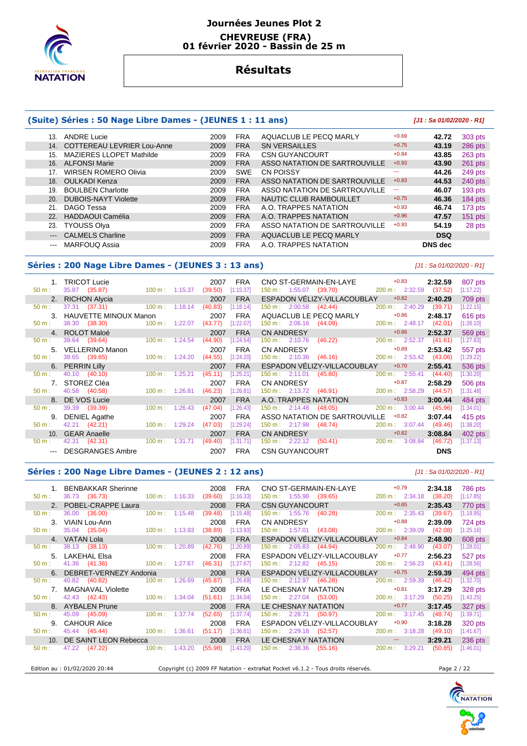

#### **Journées Jeunes Plot 2 CHEVREUSE (FRA) 01 février 2020 - Bassin de 25 m**

# **Résultats**

## **(Suite) Séries : 50 Nage Libre Dames - (JEUNES 1 : 11 ans) [J1 : Sa 01/02/2020 - R1]**

#### 13. ANDRE Lucie 2009 FRA AQUACLUB LE PECQ MARLY +0.69 **42.72** 303 pts 14. COTTEREAU LEVRIER Lou-Anne 2009 FRA SN VERSAILLES +0.75 **43.19** 286 pts 15. MAZIERES LLOPET Mathilde  $2009$  FRA CSN GUYANCOURT  $+0.84$  **43.85** 263 pts 16. ALFONSI Marie 2009 FRA ASSO NATATION DE SARTROUVILLE +0.93 **43.90** 261 pts 17. WIRSEN ROMERO Olivia **2009** SWE CN POISSY **12. 2009** SWE 249 pts 18. OULKADI Kenza 2009 FRA ASSO NATATION DE SARTROUVILLE +0.83 **44.53** 240 pts 19. BOULBEN Charlotte **2009 FRA ASSO NATATION DE SARTROUVILLE** -- **46.07** 193 pts<br>20. DUBOIS-NAYT Violette 2009 FRA NAUTIC CLUB RAMBOUILLET +0.75 **46.36** 184 pts 20. DUBOIS-NAYT Violette **2009 FRA** NAUTIC CLUB RAMBOUILLET +0.75 **46.36 184** pts 21. DAGO Tessa 2009 FRA A.O. TRAPPES NATATION +0.93 **46.74** 173 pts 22. HADDAOUI Camélia 2009 FRA A.O. TRAPPES NATATION +0.96 **47.57** 151 pts 23. TYOUSS Olya 2009 FRA ASSO NATATION DE SARTROUVILLE +0.93 **54.19** 28 pts --- CALMELS Charline 2009 FRA AQUACLUB LE PECQ MARLY **DSQ**  --- MARFOUQ Assia 2009 FRA A.O. TRAPPES NATATION **DNS dec**

#### **Séries : 200 Nage Libre Dames - (JEUNES 3 : 13 ans)** [J1 : Sa 01/02/2020 - R1]

|          | <b>TRICOT Lucie</b>      |                              | 2007    | <b>FRA</b> | CNO ST-GERMAIN-EN-LAYE           |                               | $+0.83$         | 2:32.59    | 807 pts     |
|----------|--------------------------|------------------------------|---------|------------|----------------------------------|-------------------------------|-----------------|------------|-------------|
| 50 m:    | 35.87 (35.87)            | 100 m: 1:15.37               | (39.50) | [1:15.37]  | 150 m : 1:55.07 (39.70)          |                               | 200 m: 2:32.59  | (37.52)    | [1:17.22]   |
|          | 2. RICHON Alycia         |                              | 2007    | <b>FRA</b> |                                  | ESPADON VELIZY-VILLACOUBLAY   | $+0.82$         | 2:40.29    | 709 pts     |
| $50 m$ : | 37.31 (37.31)            | $100 \text{ m}: 1:18.14$     | (40.83) | [1:18.14]  | $150 \text{ m}: 2:00.58$ (42.44) |                               | 200 m: 2:40.29  | (39.71)    | $[1:22.15]$ |
|          | 3. HAUVETTE MINOUX Manon |                              | 2007    | <b>FRA</b> | AQUACLUB LE PECQ MARLY           |                               | $+0.86$         | 2:48.17    | 616 pts     |
| 50 m:    | 38.30 (38.30)            | $100 \text{ m}$ :<br>1:22.07 | (43.77) | [1:22.07]  | $150 \text{ m}: 2:06.16$         | (44.09)                       | 200 m: 2:48.17  | (42.01)    | [1:26.10]   |
|          | 4. ROLOT Maloé           |                              | 2007    | <b>FRA</b> | <b>CN ANDRESY</b>                |                               | $+0.86$         | 2:52.37    | 569 pts     |
| 50 m:    | 39.64 (39.64)            | $100 \text{ m}: 1:24.54$     | (44.90) | [1:24.54]  | 150 m: 2:10.76                   | (46.22)                       | 200 m: 2:52.37  | (41.61)    | $[1:27.83]$ |
| 5.       | <b>VELLERINO Manon</b>   |                              | 2007    | <b>FRA</b> | <b>CN ANDRESY</b>                |                               | $+0.89$         | 2:53.42    | 557 pts     |
| $50 m$ : | 39.65 (39.65)            | $100 \text{ m}: 1:24.20$     | (44.55) | [1:24.20]  | $150 \text{ m}: 2:10.36$         | (46.16)                       | 200 m: 2:53.42  | (43.06)    | [1:29.22]   |
|          | 6. PERRIN Lilly          |                              | 2007    | <b>FRA</b> |                                  | ESPADON VELIZY-VILLACOUBLAY   | $+0.70$         | 2:55.41    | 536 pts     |
| $50 m$ : | 40.10 (40.10)            | 1:25.21<br>$100 \text{ m}$ : | (45.11) | [1:25.21]  | $150 \text{ m}: 2:11.01$         | (45.80)                       | 200 m: 2:55.41  | (44.40)    | [1:30.20]   |
|          | 7. STOREZ Cléa           |                              | 2007    | <b>FRA</b> | <b>CN ANDRESY</b>                |                               | $+0.87$         | 2:58.29    | 506 pts     |
| $50 m$ : | 40.58 (40.58)            | $100 \text{ m}$ : 1:26.81    | (46.23) | [1:26.81]  | 150 m : 2:13.72 (46.91)          |                               | 200 m: 2:58.29  | (44.57)    | [1:31.48]   |
|          | DE VOS Lucie             |                              | 2007    | <b>FRA</b> | A.O. TRAPPES NATATION            |                               | $+0.83$         | 3:00.44    | 484 pts     |
| 50 m:    | 39.39 (39.39)            | 1:26.43<br>100 m:            | (47.04) | [1:26.43]  | 150 m: 2:14.48                   | (48.05)                       | 200 m: 3:00.44  | (45.96)    | [1:34.01]   |
| 9.       | <b>DENIEL Agathe</b>     |                              | 2007    | <b>FRA</b> |                                  | ASSO NATATION DE SARTROUVILLE | $+0.82$         | 3:07.44    | 415 pts     |
| $50 m$ : | 42.21 (42.21)            | $100 \text{ m}: 1:29.24$     | (47.03) | [1:29.24]  | 150 m : 2:17.98 (48.74)          |                               | 200 m : 3:07.44 | (49.46)    | [1:38.20]   |
|          | 10. GEAR Anaelle         |                              | 2007    | <b>FRA</b> | <b>CN ANDRESY</b>                |                               | $+0.82$         | 3:08.84    | 402 pts     |
| $50 m$ : | 42.31 (42.31)            | 100 m: 1:31.71               | (49.40) | [1:31.71]  | $150 \text{ m}: 2:22.12$         | (50.41)                       | 200 m: 3:08.84  | (46.72)    | [1:37.13]   |
|          | DESGRANGES Ambre         |                              | 2007    | <b>FRA</b> | <b>CSN GUYANCOURT</b>            |                               |                 | <b>DNS</b> |             |

## **Séries : 200 Nage Libre Dames - (JEUNES 2 : 12 ans)** [J1 : Sa 01/02/2020 - R1]

 1. BENBAKKAR Sherinne 2008 FRA CNO ST-GERMAIN-EN-LAYE +0.79 **2:34.18** 786 pts 50 m : 36.73 (36.73) 100 m : 1:16.33 (39.60) [1:16.33] 150 m : 1:55.98 (39.65) 200 m : 2:34.18 (38.20) [1:17.85] 2. POBEL-CRAPPE Laura **2008 FRA CSN GUYANCOURT** +0.65 **2:35.43** 770 pts<br>2.36.00 (36.00) 100 m: 1:15.48 (39.48) [1:15.48] 150 m: 1:55.76 (40.28) 200 m: 2:35.43 (39.67) [1:19.95] 50 m : 36.00 (36.00) 100 m : 1:15.48 (39.48) [1:15.48] 150 m : 1:55.76 (40.28) 200 m : 2:35.43 (39.67) [1:19.95] 3. VIAIN Lou-Ann 2008 FRA CN ANDRESY +0.88 **2:39.09** 724 pts 50 m : 35.04 (35.04) 100 m : 1:13.93 (38.89) [1:13.93] 150 m : 1:57.01 (43.08) 200 m : 2:39.09 (42.08) [1:25.16] 4. VATAN Lola 2008 FRA ESPADON VÉLIZY-VILLACOUBLAY +0.84 **2:48.90** 608 pts 50 m : 38.13 (38.13) 100 m : 1:20.89 (42.76) [1:20.89] 150 m : 2:05.83 (44.94) 200 m : 2:48.90 (43.07) [1:28.01] 5. LAKEHAL Elsa 2008 FRA ESPADON VÉLIZY-VILLACOUBLAY +0.77 **2:56.23** 527 pts 50 m: 41.36 (41.36) 100 m : 1:27.67 (46.31) [1:27.67] 150 m : 2:12.82 (45.15) 200 m : 2:56.23 (43.41) [1:28.56]<br>DEBRET-VERNEZY Andonia 2008 FRA ESPADON VÉLIZY-VILLACOUBLAY +0.75 2:59.39 494 pt 6. DEBRET-VERNEZY Andonia 2008 FRA ESPADON VÉLIZY-VILLACOUBLAY +0.75 **2:59.39** 494 pts 50 m : 40.82 (40.82) 100 m : 1:26.69 (45.87) [1:26.69] 150 m : 2:12.97 (46.28) 200 m : 2:59.39 (46.42) [1:32.70] 7. MAGNAVAL Violette 2008 FRA LE CHESNAY NATATION +0.81 **3:17.29** 328 pts 50 m : 42.43 (42.43) 100 m : 1:34.04 (51.61) [1:34.04] 150 m : 2:27.04 (53.00) 200 m : 3:17.29 (50.25) [1:43.25] 8. AYBALEN Prune 2008 FRA LE CHESNAY NATATION  $+0.77$  3:17.45  $327$  pts 50 m : 45.09 (45.09) 100 m : 1:37.74 (52.65) [1:37.74]  $150$  m : 2:28.71 (50.97) 200 m : 3:17.45 (48.74) [1:39.71] 50 m : 45.09 (45.09) 100 m : 1:37.74 (52.65) [1:37.74] 150 m : 2:28.71 (50.97) 200 m : 3:17.45 (48.74) [1:39.71] 9. CAHOUR Alice 2008 FRA ESPADON VÉLIZY-VILLACOUBLAY +0.90 **3:18.28** 320 pts 50 m : 45.44 (45.44) 100 m : 1:36.61 (51.17) [1:36.61] 150 m : 2:29.18 (52.57) 200 m : 3:18.28 (49.10) [1:41.67] 10. DE SAINT LEON Rebecca 2008 FRA LE CHESNAY NATATION --- **3:29.21** 236 pts<br>  $\frac{50 \text{ m}}{200 \text{ m}}$   $\frac{47.22}{47.22}$   $\frac{(47.22)}{47.22}$   $\frac{100 \text{ m}}{100 \text{ m}}$   $\frac{1:43.20}{55.98}$   $\frac{(55.98)}{1:43.20}$   $\frac{150 \text{ m}}{150 \text{ m}}$ 47.22 (47.22) 100 m : 1:43.20 (55.98) [1:43.20] 150 m : 2:38.36 (55.16) 200 m : 3:29.21 (50.85) [1:46.01]

Edition au : 01/02/2020 20:44 Copyright (c) 2009 FF Natation - extraNat Pocket v6.1.2 - Tous droits réservés. Page 2 / 22



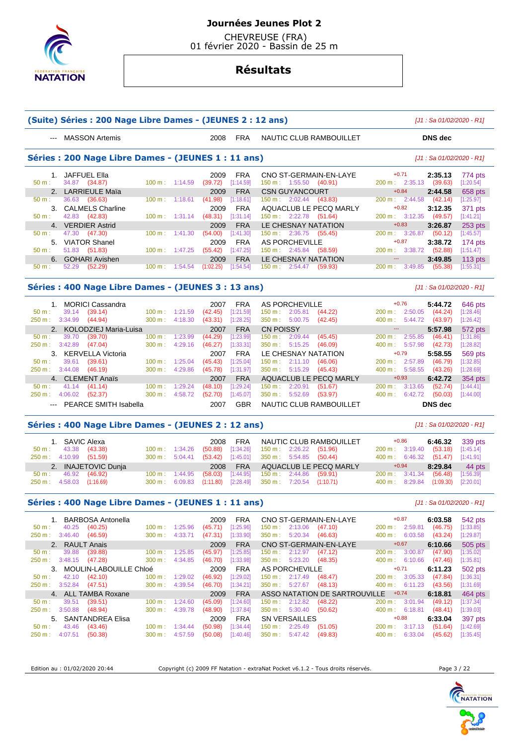

 CHEVREUSE (FRA) 01 février 2020 - Bassin de 25 m

# **Résultats**

|                                                                                                                                                                                                                                                                                                                                                                                                                                                                            | (Suite) Séries : 200 Nage Libre Dames - (JEUNES 2 : 12 ans) |                          |         |                     |                         |                                                                   | $[J1: Sa 01/02/2020 - R1]$                             |                        |
|----------------------------------------------------------------------------------------------------------------------------------------------------------------------------------------------------------------------------------------------------------------------------------------------------------------------------------------------------------------------------------------------------------------------------------------------------------------------------|-------------------------------------------------------------|--------------------------|---------|---------------------|-------------------------|-------------------------------------------------------------------|--------------------------------------------------------|------------------------|
| $\frac{1}{2} \left( \frac{1}{2} \right) \left( \frac{1}{2} \right) \left( \frac{1}{2} \right) \left( \frac{1}{2} \right) \left( \frac{1}{2} \right) \left( \frac{1}{2} \right) \left( \frac{1}{2} \right) \left( \frac{1}{2} \right) \left( \frac{1}{2} \right) \left( \frac{1}{2} \right) \left( \frac{1}{2} \right) \left( \frac{1}{2} \right) \left( \frac{1}{2} \right) \left( \frac{1}{2} \right) \left( \frac{1}{2} \right) \left( \frac{1}{2} \right) \left( \frac$ | <b>MASSON Artemis</b>                                       |                          |         | 2008                | <b>FRA</b>              | NAUTIC CLUB RAMBOUILLET                                           | <b>DNS</b> dec                                         |                        |
|                                                                                                                                                                                                                                                                                                                                                                                                                                                                            | Séries : 200 Nage Libre Dames - (JEUNES 1 : 11 ans)         |                          |         |                     |                         |                                                                   | $[J1: Sa 01/02/2020 - R1]$                             |                        |
|                                                                                                                                                                                                                                                                                                                                                                                                                                                                            | 1. JAFFUEL Ella                                             |                          |         | 2009                | <b>FRA</b>              | CNO ST-GERMAIN-EN-LAYE                                            | $+0.71$<br>2:35.13                                     | 774 pts                |
| 50 m:                                                                                                                                                                                                                                                                                                                                                                                                                                                                      | 34.87 (34.87)                                               | 100 m: 1:14.59           |         | (39.72)             | [1:14.59]               | 150 m: 1:55.50 (40.91)                                            | 200 m: 2:35.13<br>(39.63)<br>$+0.84$                   | [1:20.54]              |
| 50 m:                                                                                                                                                                                                                                                                                                                                                                                                                                                                      | 2. LARRIEULE Maïa<br>36.63 (36.63)                          | 100 m: 1:18.61           |         | 2009<br>(41.98)     | <b>FRA</b><br>[1:18.61] | <b>CSN GUYANCOURT</b><br>$150 \text{ m}: 2:02.44$ (43.83)         | 2:44.58<br>200 m: 2:44.58<br>(42.14)                   | 658 pts<br>[1:25.97]   |
|                                                                                                                                                                                                                                                                                                                                                                                                                                                                            | 3. CALMELS Charline                                         |                          |         | 2009                | <b>FRA</b>              | AQUACLUB LE PECQ MARLY                                            | $+0.82$<br>3:12.35                                     | 371 pts                |
| $50 m$ :                                                                                                                                                                                                                                                                                                                                                                                                                                                                   | 42.83 (42.83)                                               | $100 \text{ m}: 1:31.14$ |         | (48.31)             | [1:31.14]               | 150 m: 2:22.78 (51.64)                                            | 200 m: 3:12.35<br>(49.57)                              | [1:41.21]              |
|                                                                                                                                                                                                                                                                                                                                                                                                                                                                            | 4. VERDIER Astrid                                           |                          |         | 2009                | <b>FRA</b>              | LE CHESNAY NATATION                                               | $+0.83$<br>3:26.87                                     | 253 pts                |
| 50 m:                                                                                                                                                                                                                                                                                                                                                                                                                                                                      | 47.30<br>(47.30)                                            | $100 \text{ m}$ :        | 1:41.30 | (54.00)             | [1:41.30]               | $150 \text{ m}: 2:36.75$<br>(55.45)                               | 200 m:<br>3:26.87<br>(50.12)                           | [1:45.57]              |
|                                                                                                                                                                                                                                                                                                                                                                                                                                                                            | 5. VIATOR Shanel                                            |                          |         | 2009                | <b>FRA</b>              | <b>AS PORCHEVILLE</b>                                             | $+0.87$<br>3:38.72                                     | 174 pts                |
| $50 m$ :                                                                                                                                                                                                                                                                                                                                                                                                                                                                   | 51.83 (51.83)                                               | $100 \text{ m}: 1:47.25$ |         | (55.42)             | [1:47.25]               | 150 m: 2:45.84 (58.59)                                            | 200 m:<br>3:38.72<br>(52.88)                           | [1:51.47]              |
|                                                                                                                                                                                                                                                                                                                                                                                                                                                                            | 6. GOHARI Avishen                                           |                          | 1:54.54 | 2009                | <b>FRA</b>              | LE CHESNAY NATATION                                               | ---<br>3:49.85                                         | 113 $pts$              |
| 50 m:                                                                                                                                                                                                                                                                                                                                                                                                                                                                      | 52.29<br>(52.29)                                            | $100 \text{ m}$ :        |         | (1:02.25)           | [1:54.54]               | $150 \text{ m}: 2:54.47$ (59.93)                                  | 3:49.85<br>200 m:<br>(55.38)                           | [1:55.31]              |
|                                                                                                                                                                                                                                                                                                                                                                                                                                                                            | Séries : 400 Nage Libre Dames - (JEUNES 3 : 13 ans)         |                          |         |                     |                         |                                                                   | $[J1: Sa 01/02/2020 - R1]$                             |                        |
|                                                                                                                                                                                                                                                                                                                                                                                                                                                                            | 1. MORICI Cassandra                                         |                          |         | 2007                | <b>FRA</b>              | <b>AS PORCHEVILLE</b>                                             | $+0.76$<br>5:44.72                                     | 646 pts                |
| $50 m$ :                                                                                                                                                                                                                                                                                                                                                                                                                                                                   | 39.14<br>(39.14)                                            | 100 m:                   | 1:21.59 | (42.45)             | [1:21.59]               | 150 m: 2:05.81<br>(44.22)                                         | 200 m: 2:50.05<br>(44.24)                              | [1:28.46]              |
| 250 m: 3:34.99                                                                                                                                                                                                                                                                                                                                                                                                                                                             | (44.94)                                                     | 300 m:                   | 4:18.30 | (43.31)             | [1:28.25]               | 350 m: 5:00.75<br>(42.45)                                         | 400 m:<br>5:44.72<br>(43.97)                           | [1:26.42]              |
| 2.                                                                                                                                                                                                                                                                                                                                                                                                                                                                         | KOLODZIEJ Maria-Luisa                                       |                          |         | 2007                | <b>FRA</b>              | <b>CN POISSY</b>                                                  | 44<br>5:57.98                                          | 572 pts                |
| 50 m:                                                                                                                                                                                                                                                                                                                                                                                                                                                                      | 39.70<br>(39.70)                                            | 100 m:                   | 1:23.99 | (44.29)             | [1:23.99]               | $150 \text{ m}: 2:09.44$<br>(45.45)                               | 2:55.85<br>200 m:<br>(46.41)                           | [1:31.86]              |
| 250 m: 3:42.89                                                                                                                                                                                                                                                                                                                                                                                                                                                             | (47.04)                                                     | 300 m:                   | 4:29.16 | (46.27)             | [1:33.31]               | 350 m: 5:15.25<br>(46.09)                                         | 400 m:<br>5:57.98<br>(42.73)                           | [1:28.82]              |
|                                                                                                                                                                                                                                                                                                                                                                                                                                                                            | 3. KERVELLA Victoria                                        |                          |         | 2007                | <b>FRA</b>              | LE CHESNAY NATATION                                               | $+0.79$<br>5:58.55                                     | 569 pts                |
| 50 m:<br>250 m: 3:44.08                                                                                                                                                                                                                                                                                                                                                                                                                                                    | 39.61<br>(39.61)<br>(46.19)                                 | 100 m:<br>300 m: 4:29.86 | 1:25.04 | (45.43)<br>(45.78)  | [1:25.04]<br>[1:31.97]  | $150 \text{ m}: 2:11.10$<br>(46.06)<br>350 m : 5:15.29<br>(45.43) | 200 m: 2:57.89<br>(46.79)<br>400 m: 5:58.55<br>(43.26) | [1:32.85]<br>[1:28.69] |
|                                                                                                                                                                                                                                                                                                                                                                                                                                                                            | 4. CLEMENT Anaïs                                            |                          |         | 2007                | <b>FRA</b>              | AQUACLUB LE PECQ MARLY                                            | $+0.93$<br>6:42.72                                     | 354 pts                |
| 50 m:                                                                                                                                                                                                                                                                                                                                                                                                                                                                      | 41.14<br>(41.14)                                            | $100 \text{ m}$ :        | 1:29.24 | (48.10)             | [1:29.24]               | 150 m: 2:20.91<br>(51.67)                                         | 200 m: 3:13.65<br>(52.74)                              | [1:44.41]              |
| 250 m: 4:06.02                                                                                                                                                                                                                                                                                                                                                                                                                                                             | (52.37)                                                     | $300 \text{ m}$ :        | 4:58.72 | (52.70)             | [1:45.07]               | 350 m: 5:52.69<br>(53.97)                                         | 400 m: 6:42.72<br>(50.03)                              | [1:44.00]              |
| $\frac{1}{2} \frac{1}{2} \frac{1}{2} \frac{1}{2} \frac{1}{2} \frac{1}{2} \frac{1}{2} \frac{1}{2} \frac{1}{2} \frac{1}{2} \frac{1}{2} \frac{1}{2} \frac{1}{2} \frac{1}{2} \frac{1}{2} \frac{1}{2} \frac{1}{2} \frac{1}{2} \frac{1}{2} \frac{1}{2} \frac{1}{2} \frac{1}{2} \frac{1}{2} \frac{1}{2} \frac{1}{2} \frac{1}{2} \frac{1}{2} \frac{1}{2} \frac{1}{2} \frac{1}{2} \frac{1}{2} \frac{$                                                                               | PEARCE SMITH Isabella                                       |                          |         | 2007                | <b>GBR</b>              | NAUTIC CLUB RAMBOUILLET                                           | <b>DNS</b> dec                                         |                        |
|                                                                                                                                                                                                                                                                                                                                                                                                                                                                            | Séries : 400 Nage Libre Dames - (JEUNES 2 : 12 ans)         |                          |         |                     |                         |                                                                   | $[J1: Sa 01/02/2020 - R1]$                             |                        |
|                                                                                                                                                                                                                                                                                                                                                                                                                                                                            |                                                             |                          |         |                     |                         |                                                                   | $+0.86$                                                |                        |
| 50 m:                                                                                                                                                                                                                                                                                                                                                                                                                                                                      | 1. SAVIC Alexa<br>43.38<br>(43.38)                          | 100 m:                   | 1:34.26 | 2008<br>(50.88)     | <b>FRA</b><br>[1:34.26] | NAUTIC CLUB RAMBOUILLET<br>150 m: 2:26.22<br>(51.96)              | 6:46.32<br>200 m: 3:19.40<br>(53.18)                   | 339 pts<br>[1:45.14]   |
| 250 m: 4:10.99                                                                                                                                                                                                                                                                                                                                                                                                                                                             | (51.59)                                                     | $300 \text{ m}$ :        | 5:04.41 | (53.42)             | [1:45.01]               | 350 m: 5:54.85<br>(50.44)                                         | (51.47)<br>400 m:<br>6:46.32                           | [1:41.91]              |
|                                                                                                                                                                                                                                                                                                                                                                                                                                                                            | 2. INAJETOVIC Dunja                                         |                          |         | 2008                | <b>FRA</b>              | AQUACLUB LE PECQ MARLY                                            | $+0.94$<br>8:29.84                                     | 44 pts                 |
| 50 m:                                                                                                                                                                                                                                                                                                                                                                                                                                                                      | 46.92<br>(46.92)                                            | 100 m:                   | 1:44.95 | (58.03)             | [1:44.95]               | $150 \text{ m}$ :<br>2:44.86<br>(59.91)                           | 200 m:<br>3:41.34<br>(56.48)                           | [1:56.39]              |
| 250 m: 4:58.03                                                                                                                                                                                                                                                                                                                                                                                                                                                             | (1:16.69)                                                   | 300 m:                   | 6:09.83 | (1:11.80)           | [2:28.49]               | 350 m: 7:20.54<br>(1:10.71)                                       | 400 m: 8:29.84<br>(1:09.30)                            | [2:20.01]              |
|                                                                                                                                                                                                                                                                                                                                                                                                                                                                            | Séries : 400 Nage Libre Dames - (JEUNES 1 : 11 ans)         |                          |         |                     |                         |                                                                   | [J1: Sa 01/02/2020 - R1]                               |                        |
|                                                                                                                                                                                                                                                                                                                                                                                                                                                                            | 1. BARBOSA Antonella                                        |                          |         | 2009                | FRA                     | CNO ST-GERMAIN-EN-LAYE                                            | $+0.87$<br>6:03.58                                     | 542 pts                |
| 50 m:                                                                                                                                                                                                                                                                                                                                                                                                                                                                      | 40.25 (40.25)                                               | 100 m: 1:25.96           |         | $(45.71)$ [1:25.96] |                         | $150 \text{ m}: 2:13.06$ (47.10)                                  | 200 m: 2:59.81<br>(46.75)                              | [1:33.85]              |
|                                                                                                                                                                                                                                                                                                                                                                                                                                                                            | 250 m : 3:46.40 (46.59)                                     | 300 m: 4:33.71           |         | (47.31)             | [1:33.90]               | $350 \text{ m}: 5:20.34 (46.63)$                                  | 400 m: 6:03.58<br>(43.24)                              | [1:29.87]              |
|                                                                                                                                                                                                                                                                                                                                                                                                                                                                            | 2. RAULT Anais                                              |                          |         | 2009                | <b>FRA</b>              | CNO ST-GERMAIN-EN-LAYE                                            | $+0.67$<br>6:10.66                                     | 505 pts                |
| $50 m$ :                                                                                                                                                                                                                                                                                                                                                                                                                                                                   | 39.88<br>(39.88)                                            | 100 m:                   | 1:25.85 | (45.97)             | [1:25.85]               | $150 \text{ m}: 2:12.97$ (47.12)                                  | 200 m: 3:00.87<br>(47.90)                              | [1:35.02]              |
|                                                                                                                                                                                                                                                                                                                                                                                                                                                                            | 250 m: 3:48.15 (47.28)                                      | 300 m:                   | 4:34.85 | (46.70)             | [1:33.98]               | 350 m : 5:23.20<br>(48.35)                                        | 400 m: 6:10.66<br>(47.46)                              | [1:35.81]              |
|                                                                                                                                                                                                                                                                                                                                                                                                                                                                            | 3. MOULIN-LABOUILLE Chloé<br>42.10 (42.10)                  | 100 m: 1:29.02           |         | 2009                | <b>FRA</b>              | AS PORCHEVILLE                                                    | $+0.71$<br>6:11.23<br>200 m: 3:05.33                   | 502 pts                |
| $50 m$ :                                                                                                                                                                                                                                                                                                                                                                                                                                                                   | 250 m: 3:52.84 (47.51)                                      | 300 m: 4:39.54           |         | (46.92)<br>(46.70)  | [1:29.02]<br>[1:34.21]  | 150 m: 2:17.49<br>(48.47)<br>350 m: 5:27.67 (48.13)               | (47.84)<br>400 m : 6:11.23 (43.56)                     | [1:36.31]<br>[1:31.69] |
|                                                                                                                                                                                                                                                                                                                                                                                                                                                                            | 4. ALL TAMBA Roxane                                         |                          |         | 2009                | <b>FRA</b>              | ASSO NATATION DE SARTROUVILLE +0.74                               | 6:18.81                                                | 464 pts                |
| $50 m$ :                                                                                                                                                                                                                                                                                                                                                                                                                                                                   | 39.51<br>(39.51)                                            | $100 \text{ m}: 1:24.60$ |         | (45.09)             | [1:24.60]               | $150 \text{ m}: 2:12.82$ (48.22)                                  | 200 m: 3:01.94<br>(49.12)                              | [1:37.34]              |
|                                                                                                                                                                                                                                                                                                                                                                                                                                                                            | 250 m: 3:50.88 (48.94)                                      | 300 m: 4:39.78           |         | (48.90)             | [1:37.84]               | 350 m: 5:30.40 (50.62)                                            | 400 m: 6:18.81<br>(48.41)                              | [1:39.03]              |



Edition au : 01/02/2020 20:44 Copyright (c) 2009 FF Natation - extraNat Pocket v6.1.2 - Tous droits réservés. Page 3 / 22

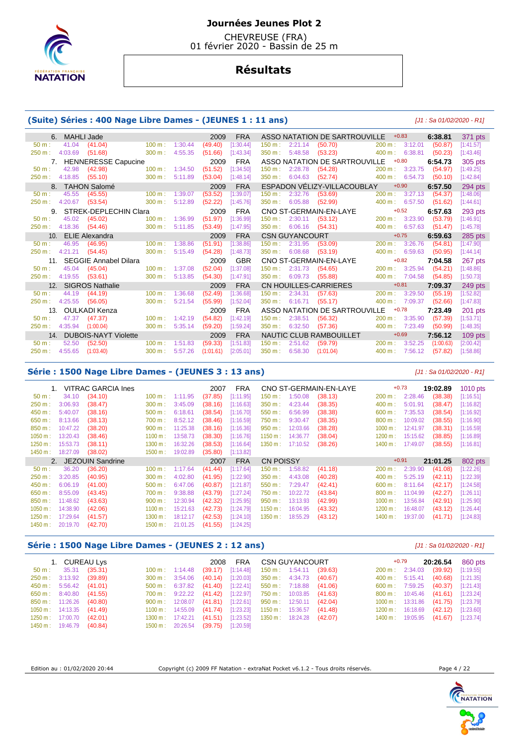

 CHEVREUSE (FRA) 01 février 2020 - Bassin de 25 m

# **Résultats**

#### **(Suite) Séries : 400 Nage Libre Dames - (JEUNES 1 : 11 ans)** [J1 : Sa 01/02/2020 - R1]

|                      | <b>MAHLI Jade</b>            |                   |         | 2009      | <b>FRA</b> |           |                       | ASSO NATATION DE SARTROUVILLE |        | $+0.83$                  | 6:38.81   | 371 pts   |
|----------------------|------------------------------|-------------------|---------|-----------|------------|-----------|-----------------------|-------------------------------|--------|--------------------------|-----------|-----------|
| 41.04<br>$50 m$ :    | (41.04)                      | $100 m$ :         | 1:30.44 | (49.40)   | [1:30.44]  | 150 m:    | 2:21.14               | (50.70)                       |        | 200 m: 3:12.01           | (50.87)   | [1:41.57] |
| 250 m:<br>4:03.69    | (51.68)                      | 300 m:            | 4:55.35 | (51.66)   | [1:43.34]  | 350 m:    | 5:48.58               | (53.23)                       | 400 m: | 6:38.81                  | (50.23)   | [1:43.46] |
| 7.                   | <b>HENNERESSE Capucine</b>   |                   |         | 2009      | <b>FRA</b> |           |                       | ASSO NATATION DE SARTROUVILLE |        | $+0.80$                  | 6:54.73   | 305 pts   |
| 42.98<br>$50 m$ :    | (42.98)                      | 100 m:            | 1:34.50 | (51.52)   | [1:34.50]  | 150 m:    | 2:28.78               | (54.28)                       | 200 m: | 3:23.75                  | (54.97)   | [1:49.25] |
| 4:18.85<br>250 m:    | (55.10)                      | 300 m:            | 5:11.89 | (53.04)   | [1:48.14]  | 350 m:    | 6:04.63               | (52.74)                       | 400 m: | 6:54.73                  | (50.10)   | [1:42.84] |
|                      | <b>TAHON Salomé</b>          |                   |         | 2009      | <b>FRA</b> |           |                       | ESPADON VELIZY-VILLACOUBLAY   |        | $+0.90$                  | 6:57.50   | 294 pts   |
| 45.55<br>$50 m$ :    | (45.55)                      | 100 m:            | 1:39.07 | (53.52)   | [1:39.07]  | 150 m:    | 2:32.76               | (53.69)                       | 200 m: | 3:27.13                  | (54.37)   | [1:48.06] |
| 4:20.67<br>250 m:    | (53.54)                      | 300 m:            | 5:12.89 | (52.22)   | [1:45.76]  | $350 m$ : | 6:05.88               | (52.99)                       |        | 400 m: 6:57.50           | (51.62)   | [1:44.61] |
| 9.                   | STREK-DEPLECHIN Clara        |                   |         | 2009      | <b>FRA</b> |           |                       | CNO ST-GERMAIN-EN-LAYE        |        | $+0.52$                  | 6:57.63   | 293 pts   |
| 45.02<br>$50 m$ :    | (45.02)                      | 100 m:            | 1:36.99 | (51.97)   | [1:36.99]  | 150 m:    | 2:30.11               | (53.12)                       | 200 m: | 3:23.90                  | (53.79)   | [1:46.91] |
| 4:18.36<br>250 m:    | (54.46)                      | 300 m:            | 5:11.85 | (53.49)   | [1:47.95]  | 350 m:    | 6:06.16               | (54.31)                       |        | 400 m: 6:57.63           | (51.47)   | [1:45.78] |
| 10.                  | <b>ELIE Alexandra</b>        |                   |         | 2009      | <b>FRA</b> |           | <b>CSN GUYANCOURT</b> |                               |        | $+0.75$                  | 6:59.63   | 285 pts   |
|                      |                              |                   |         |           |            |           |                       |                               |        |                          |           |           |
| 46.95<br>$50 m$ :    | (46.95)                      | 100 m:            | 1:38.86 | (51.91)   | [1:38.86]  | 150 m:    | 2:31.95               | (53.09)                       | 200 m: | 3:26.76                  | (54.81)   | [1:47.90] |
| 4:21.21<br>250 m:    | (54.45)                      | 300 m:            | 5:15.49 | (54.28)   | [1:48.73]  | 350 m:    | 6:08.68               | (53.19)                       | 400 m: | 6:59.63                  | (50.95)   | [1:44.14] |
| 11.                  | <b>SEGGIE Annabel Dilara</b> |                   |         | 2009      | <b>GBR</b> |           |                       | CNO ST-GERMAIN-EN-LAYE        |        | $+0.82$                  | 7:04.58   | 267 pts   |
| $50 m$ :<br>45.04    | (45.04)                      | $100 \text{ m}$ : | 1:37.08 | (52.04)   | [1:37.08]  | 150 m:    | 2:31.73               | (54.65)                       |        | $200 \text{ m}: 3:25.94$ | (54.21)   | [1:48.86] |
| 4:19.55<br>250 m:    | (53.61)                      | 300 m:            | 5:13.85 | (54.30)   | [1:47.91]  | 350 m:    | 6:09.73               | (55.88)                       | 400 m: | 7:04.58                  | (54.85)   | [1:50.73] |
| 12.                  | <b>SIGROS Nathalie</b>       |                   |         | 2009      | <b>FRA</b> |           |                       | CN HOUILLES-CARRIERES         |        | $+0.81$                  | 7:09.37   | 249 pts   |
| 44.19<br>$50 m$ :    | (44.19)                      | 100 m:            | 1:36.68 | (52.49)   | [1:36.68]  | 150 m:    | 2:34.31               | (57.63)                       | 200 m: | 3:29.50                  | (55.19)   | [1:52.82] |
| 4:25.55<br>250 m:    | (56.05)                      | 300 m:            | 5:21.54 | (55.99)   | [1:52.04]  | 350 m:    | 6:16.71               | (55.17)                       | 400 m: | 7:09.37                  | (52.66)   | [1:47.83] |
| 13.                  | OULKADI Kenza                |                   |         | 2009      | <b>FRA</b> |           |                       | ASSO NATATION DE SARTROUVILLE |        | $+0.78$                  | 7:23.49   | 201 pts   |
| 47.37<br>$50 m$ :    | (47.37)                      | 100 m:            | 1:42.19 | (54.82)   | [1:42.19]  | 150 m:    | 2:38.51               | (56.32)                       | 200 m: | 3:35.90                  | (57.39)   | [1:53.71] |
| 4:35.94<br>$250 m$ : | (1:00.04)                    | 300 m:            | 5:35.14 | (59.20)   | [1:59.24]  | 350 m:    | 6:32.50               | (57.36)                       | 400 m: | 7:23.49                  | (50.99)   | [1:48.35] |
| 14.                  | <b>DUBOIS-NAYT Violette</b>  |                   |         | 2009      | <b>FRA</b> |           |                       | NAUTIC CLUB RAMBOUILLET       |        | $+0.69$                  | 7:56.12   | $109$ pts |
| 52.50<br>$50 m$ :    | (52.50)                      | $100 \text{ m}$ : | 1:51.83 | (59.33)   | [1:51.83]  | $150 m$ : | 2:51.62               | (59.79)                       | 200 m: | 3:52.25                  | (1:00.63) | [2:00.42] |
| 4:55.65<br>250 m:    | (1:03.40)                    | 300 m:            | 5:57.26 | (1:01.61) | [2:05.01]  | 350 m:    | 6:58.30               | (1:01.04)                     | 400 m: | 7:56.12                  | (57.82)   | [1:58.86] |

#### **Série : 1500 Nage Libre Dames - (JEUNES 3 : 13 ans)** [J1 : Sa 01/02/2020 - R1]

 1. VITRAC GARCIA Ines 2007 FRA CNO ST-GERMAIN-EN-LAYE +0.73 **19:02.89** 1010 pts 50 m : 34.10 (34.10) 100 m : 1:11.95 (37.85) [1:11.95] 150 m : 1:50.08 (38.13) 200 m : 2:28.46 (38.38) [1:16.51] 250 m : 3:06.93 (38.47) 300 m : 3:45.09 (38.16) [1:16.63] 350 m : 4:23.44 (38.35) 400 m : 5:01.91 (38.47) [1:16.82] 450 m : 5:40.07 (38.16) 500 m : 6:18.61 (38.54) [1:16.70] 550 m : 6:56.99 (38.38) 600 m : 7:35.53 (38.54) [1:16.92] 650 m : 8:13.66 (38.13) 700 m : 8:52.12 (38.46) [1:16.59] 750 m : 9:30.47 (38.35) 800 m : 10:09.02 (38.55) [1:16.90] 850 m : 10:47.22 (38.20) 900 m : 11:25.38 (38.16) [1:16.36] 950 m : 12:03.66 (38.28) 1000 m : 12:41.97 (38.31) [1:16.59] 1050 m : 13:20.43 (38.46) 1100 m : 13:58.73 (38.30) [1:16.76] 1150 m : 14:36.77 (38.04) 1200 m : 15:15.62 (38.85) [1:16.89] 1250 m : 15:53.73 (38.11) 1300 m : 16:32.26 (38.53) [1:16.64] 1350 m : 17:10.52 (38.26) 1400 m : 17:49.07 (38.55) [1:16.81] 1450 m : 18:27.09 (38.02) 1500 m : 19:02.89 (35.80) [1:13.82] 2. JEZOUIN Sandrine **2007 FRA** CN POISSY +0.91 **21:01.25** 802 pts<br>
50 m : 36.20 (36.20) 100 m : 1:17.64 (41.44) [1:17.64] 150 m : 1:58.82 (41.18) 200 m : 2:39.90 (41.08) [1:22.26] 50 m : 36.20 (36.20) 100 m : 1:17.64 (41.44) [1:17.64] 150 m : 1:58.82 (41.18) 200 m : 2:39.90 (41.08) [1:22.26] 250 m : 3:20.85 (40.95) 300 m : 4:02.80 (41.95) [1:22.90] 350 m : 4:43.08 (40.28) 400 m : 5:25.19 (42.11) [1:22.39] 450 m : 6:06.19 (41.00) 500 m : 6:47.06 (40.87) [1:21.87] 550 m : 7:29.47 (42.41) 600 m : 8:11.64 (42.17) [1:24.58] 650 m : 8:55.09 (43.45) 700 m : 9:38.88 (43.79) [1:27.24] 750 m : 10:22.72 (43.84) 800 m : 11:04.99 (42.27) [1:26.11] 850 m : 11:48.62 (43.63) 900 m : 12:30.94 (42.32) [1:25.95] 950 m : 13:13.93 (42.99) 1000 m : 13:56.84 (42.91) [1:25.90] 1050 m : 14:38.90 (42.06) 1100 m : 15:21.63 (42.73) [1:24.79] 1150 m : 16:04.95 (43.32) 1200 m : 16:48.07 (43.12) [1:26.44] 1250 m : 17:29.64 (41.57) 1300 m : 18:12.17 (42.53) [1:24.10] 1350 m : 18:55.29 (43.12) 1400 m : 19:37.00 (41.71) [1:24.83] 1450 m : 20:19.70 (42.70) 1500 m : 21:01.25 (41.55) [1:24.25]

#### **Série : 1500 Nage Libre Dames - (JEUNES 2 : 12 ans)** [J1 : Sa 01/02/2020 - R1]

1. CUREAU Lys 2008 FRA CSN GUYANCOURT +0.79 **20:26.54 860 pts**<br>2008 FRA CSN GUYANCOURT +0.79 **20:26.54 20:26.54 20:26.54 20:26.54 20:31** (39:92) [1:19.55] 1:14.48 (39.17) [1:14.48] 150 m : 1:54.11 (39.63) 200 m : 2:34.03<br>3:54.06 (40.14) [1:20.03] 350 m : 4:34.73 (40.67) 400 m : 5:15.41 250 m : 3:13.92 (39.89) 300 m : 3:54.06 (40.14) [1:20.03] 350 m : 4:34.73 (40.67) 400 m : 5:15.41 (40.68) [1:21.35] 450 m : 5:56.42 (41.01) 500 m : 6:37.82 (41.40) [1:22.41] 550 m : 7:18.88 (41.06) 600 m : 7:59.25 (40.37) [1:21.43] 650 m : 8:40.80 (41.55) 700 m : 9:22.22 (41.42) [1:22.97] 750 m : 10:03.85 (41.63) 800 m : 10:45.46 (41.61) [1:23.24] 850 m : 11:26.26 (40.80) 900 m : 12:08.07 (41.81) [1:22.61] 950 m : 12:50.11 (42.04) 1000 m : 13:31.86 (41.75) [1:23.79] 1050 m : 14:13.35 (41.49) 1100 m : 14:55.09 (41.74) [1:23.23] 1150 m : 15:36.57 (41.48) 1200 m : 16:18.69 (42.12) [1:23.60] 11:23.60] 1200 m : 17:42.21 (41.48) 1200 m : 17:42.21 (41.48) 1200 m : 17:42.21 (41.67) 11:23.741 1250 m : 17:00.70 (42.01) 1300 m : 17:42.21 (41.51) [1:23.52] 1350 m : 18:24.28 (42.07) 1400 m : 19:05.95 (41.67) [1:23.74] 1450 m : 19:46.79 (40.84) 1500 m : 20:26.54 (39.75) [1:20.59]

Edition au : 01/02/2020 20:44 Copyright (c) 2009 FF Natation - extraNat Pocket v6.1.2 - Tous droits réservés. Page 4 / 22



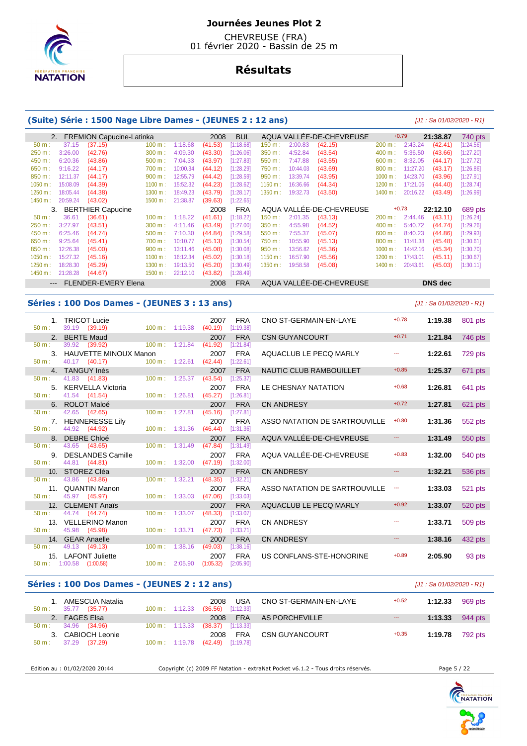

 CHEVREUSE (FRA) 01 février 2020 - Bassin de 25 m

# **Résultats**

#### **(Suite) Série : 1500 Nage Libre Dames - (JEUNES 2 : 12 ans)** [J1 : Sa 01/02/2020 - R1]

|          |          | 2. FREMION Capucine-Latinka |            |          | 2008    | <b>BUL</b> |         |          | AQUA VALLEE-DE-CHEVREUSE |            | $+0.79$  | 21:38.87       | 740 pts   |
|----------|----------|-----------------------------|------------|----------|---------|------------|---------|----------|--------------------------|------------|----------|----------------|-----------|
| 50 m:    | 37.15    | (37.15)                     | 100 m:     | 1:18.68  | (41.53) | [1:18.68]  | 150 m:  | 2:00.83  | (42.15)                  | 200 m:     | 2:43.24  | (42.41)        | [1:24.56] |
| 250 m:   | 3:26.00  | (42.76)                     | 300 m:     | 4:09.30  | (43.30) | [1:26.06]  | 350 m:  | 4:52.84  | (43.54)                  | 400 m:     | 5:36.50  | (43.66)        | [1:27.20] |
| 450 m:   | 6:20.36  | (43.86)                     | 500 m:     | 7:04.33  | (43.97) | [1:27.83]  | 550 m:  | 7:47.88  | (43.55)                  | 600 m:     | 8:32.05  | (44.17)        | [1:27.72] |
| 650 m:   | 9:16.22  | (44.17)                     | 700 m:     | 10:00.34 | (44.12) | [1:28.29]  | 750 m:  | 10:44.03 | (43.69)                  | 800 m:     | 11:27.20 | (43.17)        | [1:26.86] |
| 850 m:   | 12:11.37 | (44.17)                     | 900 m:     | 12:55.79 | (44.42) | [1:28.59]  | 950 m:  | 13:39.74 | (43.95)                  | $1000 m$ : | 14:23.70 | (43.96)        | [1:27.91] |
| 1050 m:  | 15:08.09 | (44.39)                     | 1100 m:    | 15:52.32 | (44.23) | [1:28.62]  | 1150 m: | 16:36.66 | (44.34)                  | 1200 m:    | 17:21.06 | (44.40)        | [1:28.74] |
| 1250 m:  | 18:05.44 | (44.38)                     | $1300 m$ : | 18:49.23 | (43.79) | [1:28.17]  | 1350 m: | 19:32.73 | (43.50)                  | 1400 m:    | 20:16.22 | (43.49)        | [1:26.99] |
| 1450 m : | 20:59.24 | (43.02)                     | 1500 m:    | 21:38.87 | (39.63) | [1:22.65]  |         |          |                          |            |          |                |           |
|          | 3.       | <b>BERTHIER Capucine</b>    |            |          | 2008    | <b>FRA</b> |         |          | AQUA VALLEE-DE-CHEVREUSE |            | $+0.73$  | 22:12.10       | 689 pts   |
| $50 m$ : | 36.61    | (36.61)                     | 100 m:     | 1:18.22  | (41.61) | [1:18.22]  | 150 m:  | 2:01.35  | (43.13)                  | 200 m:     | 2:44.46  | (43.11)        | [1:26.24] |
| 250 m:   | 3:27.97  | (43.51)                     | 300 m:     | 4:11.46  | (43.49) | [1:27.00]  | 350 m:  | 4:55.98  | (44.52)                  | 400 m:     | 5:40.72  | (44.74)        | 1:29.261  |
| 450 m:   | 6:25.46  | (44.74)                     | 500 m:     | 7:10.30  | (44.84) | [1:29.58]  | 550 m:  | 7:55.37  | (45.07)                  | 600 m:     | 8:40.23  | (44.86)        | [1:29.93] |
| 650 m:   | 9:25.64  | (45.41)                     | 700 m:     | 10:10.77 | (45.13) | [1:30.54]  | 750 m : | 10:55.90 | (45.13)                  | 800 m:     | 11:41.38 | (45.48)        | [1:30.61] |
| 850 m:   | 12:26.38 | (45.00)                     | 900 m:     | 13:11.46 | (45.08) | [1:30.08]  | 950 m:  | 13:56.82 | (45.36)                  | 1000 m:    | 14:42.16 | (45.34)        | [1:30.70] |
| 1050 m:  | 15:27.32 | (45.16)                     | 1100 m:    | 16:12.34 | (45.02) | [1:30.18]  | 1150 m: | 16:57.90 | (45.56)                  | 1200 m:    | 17:43.01 | (45.11)        | [1:30.67] |
| 1250 m:  | 18:28.30 | (45.29)                     | 1300 m:    | 19:13.50 | (45.20) | [1:30.49]  | 1350 m: | 19:58.58 | (45.08)                  | 1400 m:    | 20:43.61 | (45.03)        | [1:30.11] |
| 1450 m:  | 21:28.28 | (44.67)                     | 1500 m:    | 22:12.10 | (43.82) | [1:28.49]  |         |          |                          |            |          |                |           |
| $---$    |          | <b>FLENDER-EMERY Elena</b>  |            |          | 2008    | <b>FRA</b> |         |          | AQUA VALLEE-DE-CHEVREUSE |            |          | <b>DNS</b> dec |           |

#### **Séries : 100 Dos Dames - (JEUNES 3 : 13 ans)** [J1 : Sa 01/02/2020 - R1]

|                                     | 1. TRICOT Lucie                           |                           |                    | 2007 | <b>FRA</b>              | CNO ST-GERMAIN-EN-LAYE        | $+0.78$              | 1:19.38 | 801 pts |
|-------------------------------------|-------------------------------------------|---------------------------|--------------------|------|-------------------------|-------------------------------|----------------------|---------|---------|
| 50 m:                               | 39.19 (39.19)                             | 100 m: 1:19.38            | (40.19)            |      | [1:19.38]               |                               |                      |         |         |
|                                     | 2. BERTE Maud                             |                           |                    | 2007 | <b>FRA</b>              | <b>CSN GUYANCOURT</b>         | $+0.71$              | 1:21.84 | 746 pts |
| 50 m:                               | 39.92 (39.92)                             | $100 m$ : 1:21.84         | (41.92)            |      | [1:21.84]               |                               |                      |         |         |
| 50 m:                               | 3. HAUVETTE MINOUX Manon<br>40.17 (40.17) | $100 m$ : 1:22.61         | (42.44)            | 2007 | <b>FRA</b><br>[1:22.61] | AQUACLUB LE PECQ MARLY        | ---                  | 1:22.61 | 729 pts |
|                                     | 4. TANGUY Inès                            |                           |                    | 2007 | <b>FRA</b>              | NAUTIC CLUB RAMBOUILLET       | $+0.85$              | 1:25.37 | 671 pts |
| 50 m:                               | 41.83 (41.83)                             | 100 m: 1:25.37            | (43.54)            |      | [1:25.37]               |                               |                      |         |         |
|                                     | 5. KERVELLA Victoria                      |                           |                    | 2007 | <b>FRA</b>              | LE CHESNAY NATATION           | $+0.68$              | 1:26.81 | 641 pts |
| 50 m:                               | 41.54 (41.54)                             | 100 m: 1:26.81            | (45.27)            |      | [1:26.81]               |                               |                      |         |         |
|                                     | 6. ROLOT Maloé                            |                           |                    | 2007 | <b>FRA</b>              | <b>CN ANDRESY</b>             | $+0.72$              | 1:27.81 | 621 pts |
| 50 m:                               | 42.65 (42.65)                             | 100 m: 1:27.81            | (45.16)            |      | [1:27.81]               |                               |                      |         |         |
|                                     | 7. HENNERESSE Lily                        |                           |                    | 2007 | <b>FRA</b>              | ASSO NATATION DE SARTROUVILLE | $+0.80$              | 1:31.36 | 552 pts |
| $50 \text{ m}$ :                    | 44.92 (44.92)                             | $100 \text{ m}: 1:31.36$  | (46.44)            |      | [1:31.36]               |                               |                      |         |         |
|                                     | 8. DEBRE Chloé                            |                           |                    | 2007 | <b>FRA</b>              | AQUA VALLÉE-DE-CHEVREUSE      |                      | 1:31.49 | 550 pts |
| $50 \text{ m}$ :                    | 43.65 (43.65)                             | $100 \text{ m}$ : 1:31.49 | (47.84)            |      | [1:31.49]               |                               |                      |         |         |
|                                     | 9. DESLANDES Camille                      |                           |                    | 2007 | <b>FRA</b>              | AQUA VALLÉE-DE-CHEVREUSE      | $+0.83$              | 1:32.00 | 540 pts |
| 50 m:                               | 44.81 (44.81)                             | 100 m: 1:32.00            | (47.19)            |      | [1:32.00]               |                               |                      |         |         |
|                                     | 10. STOREZ Cléa                           |                           |                    | 2007 | <b>FRA</b>              | <b>CN ANDRESY</b>             | $\cdots$             | 1:32.21 | 536 pts |
| $50 m$ :                            | 43.86 (43.86)                             | 100 m: 1:32.21            | (48.35)            |      | [1:32.21]               |                               |                      |         |         |
|                                     | 11. QUANTIN Manon                         |                           |                    | 2007 | <b>FRA</b>              | ASSO NATATION DE SARTROUVILLE | $\scriptstyle\cdots$ | 1:33.03 | 521 pts |
| 50 m:                               | 45.97 (45.97)                             | $100 \text{ m}: 1:33.03$  | (47.06)            |      | [1:33.03]               |                               | $+0.92$              |         |         |
| 12 <sub>1</sub><br>$50 \text{ m}$ : | <b>CLEMENT Anaïs</b>                      | $100 \text{ m}$ :         | 1:33.07<br>(48.33) | 2007 | <b>FRA</b>              | AQUACLUB LE PECQ MARLY        |                      | 1:33.07 | 520 pts |
|                                     | 44.74 (44.74)<br>13. VELLERINO Manon      |                           |                    | 2007 | [1:33.07]<br><b>FRA</b> | <b>CN ANDRESY</b>             | $\overline{a}$       |         |         |
| 50 m:                               | 45.98 (45.98)                             | $100 \text{ m}$ : 1:33.71 | (47.73)            |      | [1:33.71]               |                               |                      | 1:33.71 | 509 pts |
|                                     | 14. GEAR Anaelle                          |                           |                    | 2007 | <b>FRA</b>              | <b>CN ANDRESY</b>             | $\sim$ $\sim$        | 1:38.16 | 432 pts |
| 50 m:                               | 49.13 (49.13)                             | 100 m: 1:38.16            | (49.03)            |      | [1:38.16]               |                               |                      |         |         |
|                                     | 15. LAFONT Juliette                       |                           |                    | 2007 | <b>FRA</b>              | US CONFLANS-STE-HONORINE      | $+0.89$              | 2:05.90 | 93 pts  |
|                                     | $50 \text{ m}: 1:00.58$ $(1:00.58)$       | $100 \text{ m}: 2:05.90$  | (1:05.32)          |      | [2:05.90]               |                               |                      |         |         |

#### **Séries : 100 Dos Dames - (JEUNES 2 : 12 ans)** [J1 : Sa 01/02/2020 - R1]

|                  | 1. AMESCUA Natalia            |                          | USA<br>2008         | CNO ST-GERMAIN-EN-LAYE | $+0.52$ | 1:12.33                   | 969 pts |
|------------------|-------------------------------|--------------------------|---------------------|------------------------|---------|---------------------------|---------|
| $50 \text{ m}$ : | 35.77 (35.77)                 | $100 \text{ m}: 1:12.33$ | $(36.56)$ [1:12.33] |                        |         |                           |         |
|                  | 2. FAGES Elsa                 |                          | 2008                | FRA AS PORCHEVILLE     | $- - -$ | 1:13.33 $944 \text{ pts}$ |         |
|                  | $50 \text{ m}: 34.96 (34.96)$ | $100 \text{ m}: 1:13.33$ | $(38.37)$ [1:13.33] |                        |         |                           |         |
|                  | 3. CABIOCH Leonie             |                          | <b>FRA</b><br>2008  | CSN GUYANCOURT         | $+0.35$ | 1:19.78                   | 792 pts |
| $50 \text{ m}$ : | 37.29 (37.29)                 | $100 \text{ m}: 1:19.78$ | $(42.49)$ [1:19.78] |                        |         |                           |         |
|                  |                               |                          |                     |                        |         |                           |         |

Edition au : 01/02/2020 20:44 Copyright (c) 2009 FF Natation - extraNat Pocket v6.1.2 - Tous droits réservés. Page 5 / 22

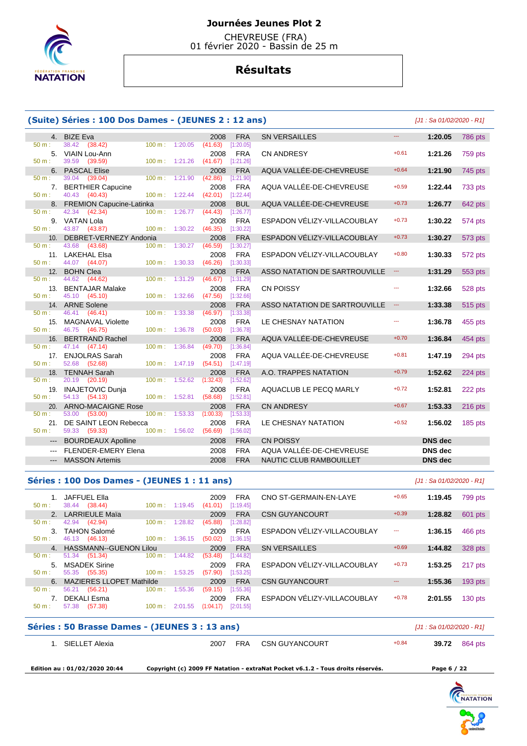

 CHEVREUSE (FRA) 01 février 2020 - Bassin de 25 m

# **Résultats**

|          | (Suite) Séries : 100 Dos Dames - (JEUNES 2 : 12 ans) |                          |         |                     |                         |                               |                         | [J1 : Sa 01/02/2020 - R1] |         |
|----------|------------------------------------------------------|--------------------------|---------|---------------------|-------------------------|-------------------------------|-------------------------|---------------------------|---------|
|          | 4. BIZE Eva                                          |                          |         | 2008                | <b>FRA</b>              | <b>SN VERSAILLES</b>          |                         | 1:20.05                   | 786 pts |
| $50 m$ : | 38.42<br>(38.42)                                     | 100 m: 1:20.05           |         | (41.63)             | [1:20.05]               |                               |                         |                           |         |
|          | 5. VIAIN Lou-Ann                                     |                          |         | 2008                | <b>FRA</b>              | <b>CN ANDRESY</b>             | $+0.61$                 | 1:21.26                   | 759 pts |
| $50 m$ : | 39.59<br>(39.59)                                     | 100 m: 1:21.26           |         | $(41.67)$ [1:21.26] |                         |                               |                         |                           |         |
|          | 6. PASCAL Elise                                      |                          |         | 2008                | <b>FRA</b>              | AQUA VALLÉE-DE-CHEVREUSE      | $+0.64$                 | 1:21.90                   | 745 pts |
| $50 m$ : | 39.04 (39.04)                                        | $100 \text{ m}$ :        | 1:21.90 | (42.86)             | [1:21.90]               |                               |                         |                           |         |
|          | 7. BERTHIER Capucine                                 |                          |         | 2008                | <b>FRA</b>              | AQUA VALLÉE-DE-CHEVREUSE      | $+0.59$                 | 1:22.44                   | 733 pts |
| $50 m$ : | 40.43<br>(40.43)                                     | $100 \text{ m}: 1:22.44$ |         | $(42.01)$ [1:22.44] |                         |                               | $+0.73$                 |                           |         |
| $50 m$ : | 8. FREMION Capucine-Latinka<br>42.34<br>(42.34)      | $100 m$ : 1:26.77        |         | 2008<br>(44.43)     | <b>BUL</b><br>[1:26.77] | AQUA VALLÉE-DE-CHEVREUSE      |                         | 1:26.77                   | 642 pts |
|          | 9. VATAN Lola                                        |                          |         | 2008                | <b>FRA</b>              | ESPADON VÉLIZY-VILLACOUBLAY   | $+0.73$                 | 1:30.22                   | 574 pts |
| $50 m$ : | 43.87 (43.87)                                        | $100 \text{ m}$ :        | 1:30.22 | (46.35)             | [1:30.22]               |                               |                         |                           |         |
|          | 10. DEBRET-VERNEZY Andonia                           |                          |         | 2008                | <b>FRA</b>              | ESPADON VÉLIZY-VILLACOUBLAY   | $+0.73$                 | 1:30.27                   | 573 pts |
| $50 m$ : | 43.68 (43.68)                                        | $100 \text{ m}$ :        | 1:30.27 | (46.59)             | [1:30.27]               |                               |                         |                           |         |
|          | 11. LAKEHAL Elsa                                     |                          |         | 2008                | <b>FRA</b>              | ESPADON VÉLIZY-VILLACOUBLAY   | $+0.80$                 | 1:30.33                   | 572 pts |
| $50 m$ : | 44.07<br>(44.07)                                     | $100 \text{ m}$ :        | 1:30.33 | (46.26)             | [1:30.33]               |                               |                         |                           |         |
|          | 12. BOHN Clea                                        |                          |         | 2008                | <b>FRA</b>              | ASSO NATATION DE SARTROUVILLE | $\mathbb{Z}_{\geq 0}$   | 1:31.29                   | 553 pts |
| 50 m:    | 44.62 (44.62)                                        | 100 m:                   | 1:31.29 | (46.67)             | [1:31.29]               |                               |                         |                           |         |
|          | 13. BENTAJAR Malake                                  |                          |         | 2008                | <b>FRA</b>              | <b>CN POISSY</b>              |                         | 1:32.66                   | 528 pts |
| $50 m$ : | 45.10<br>(45.10)                                     | 100 m: 1:32.66           |         | (47.56)             | [1:32.66]               |                               |                         |                           |         |
|          | 14. ARNE Solene                                      |                          |         | 2008                | <b>FRA</b>              | ASSO NATATION DE SARTROUVILLE | $\hspace{0.05cm}\ldots$ | 1:33.38                   | 515 pts |
| 50 m:    | 46.41 (46.41)                                        | $100 m$ :                | 1:33.38 | (46.97)             | [1:33.38]               |                               |                         |                           |         |
|          | 15. MAGNAVAL Violette                                |                          |         | 2008                | <b>FRA</b>              | LE CHESNAY NATATION           | ---                     | 1:36.78                   | 455 pts |
| $50 m$ : | 46.75 (46.75)                                        | 100 m:                   | 1:36.78 | (50.03)             | [1:36.78]               |                               |                         |                           |         |
| 16.      | <b>BERTRAND Rachel</b>                               |                          |         | 2008                | <b>FRA</b>              | AQUA VALLÉE-DE-CHEVREUSE      | $+0.70$                 | 1:36.84                   | 454 pts |
| 50 m:    | 47.14<br>(47.14)                                     | 100 m:                   | 1:36.84 | (49.70)             | [1:36.84]               |                               |                         |                           |         |
|          | 17. ENJOLRAS Sarah                                   |                          |         | 2008                | <b>FRA</b>              | AQUA VALLÉE-DE-CHEVREUSE      | $+0.81$                 | 1:47.19                   | 294 pts |
| $50 m$ : | 52.68 (52.68)                                        | 100 m: 1:47.19           |         | (54.51)             | [1:47.19]               |                               | $+0.79$                 |                           |         |
| 50 m:    | 18. TENNAH Sarah<br>20.19<br>(20.19)                 | 100 m:                   | 1:52.62 | 2008<br>(1:32.43)   | <b>FRA</b><br>[1:52.62] | A.O. TRAPPES NATATION         |                         | 1:52.62                   | 224 pts |
|          | 19. INAJETOVIC Dunia                                 |                          |         | 2008                | <b>FRA</b>              | AQUACLUB LE PECQ MARLY        | $+0.72$                 | 1:52.81                   | 222 pts |
| $50 m$ : | 54.13 (54.13)                                        | 100 m: 1:52.81           |         | (58.68)             | [1:52.81]               |                               |                         |                           |         |
| 20.      | <b>ARNO-MACAIGNE Rose</b>                            |                          |         | 2008                | <b>FRA</b>              | <b>CN ANDRESY</b>             | $+0.67$                 | 1:53.33                   | 216 pts |
| 50 m:    | 53.00<br>(53.00)                                     | $100 m$ :                | 1:53.33 | (1:00.33)           | [1:53.33]               |                               |                         |                           |         |
|          | 21. DE SAINT LEON Rebecca                            |                          |         | 2008                | <b>FRA</b>              | LE CHESNAY NATATION           | $+0.52$                 | 1:56.02                   | 185 pts |
| $50 m$ : | 59.33 (59.33)                                        | 100 m: 1:56.02           |         | (56.69)             | [1:56.02]               |                               |                         |                           |         |
| $---$    | <b>BOURDEAUX Apolline</b>                            |                          |         | 2008                | <b>FRA</b>              | <b>CN POISSY</b>              |                         | <b>DNS</b> dec            |         |
|          | <b>FLENDER-EMERY Elena</b>                           |                          |         | 2008                | <b>FRA</b>              | AQUA VALLÉE-DE-CHEVREUSE      |                         | <b>DNS</b> dec            |         |
| $---$    | <b>MASSON Artemis</b>                                |                          |         | 2008                | <b>FRA</b>              | NAUTIC CLUB RAMBOUILLET       |                         | <b>DNS</b> dec            |         |
|          |                                                      |                          |         |                     |                         |                               |                         |                           |         |

## **Séries : 100 Dos Dames - (JEUNES 1 : 11 ans)** [J1 : Sa 01/02/2020 - R1]

| $50 m$ :       | JAFFUEL Ella<br>38.44<br>(38.44) | 100 m:<br>1:19.45            | 2009<br><b>FRA</b><br>(41.01)<br>[1:19.45] | CNO ST-GERMAIN-EN-LAYE      | $+0.65$  | 1:19.45 | 799 pts   |
|----------------|----------------------------------|------------------------------|--------------------------------------------|-----------------------------|----------|---------|-----------|
|                | 2. LARRIEULE Maïa                |                              | <b>FRA</b><br>2009                         | <b>CSN GUYANCOURT</b>       | $+0.39$  | 1:28.82 | 601 pts   |
| $50 m$ :       | 42.94 (42.94)                    | 1:28.82<br>100 m:            | (45.88)<br>[1:28.82]                       |                             |          |         |           |
| $\mathbf{3}$   | TAHON Salomé                     |                              | <b>FRA</b><br>2009                         | ESPADON VÉLIZY-VILLACOUBLAY | ---      | 1:36.15 | 466 pts   |
| $50 m$ :       | 46.13 (46.13)                    | 1:36.15<br>$100 \text{ m}$ : | [1:36.15]<br>(50.02)                       |                             |          |         |           |
| 4 <sup>1</sup> | <b>HASSMANN--GUENON Lilou</b>    |                              | <b>FRA</b><br>2009                         | <b>SN VERSAILLES</b>        | $+0.69$  | 1:44.82 | 328 pts   |
| $50 m$ :       | 51.34 (51.34)                    | $100 \text{ m}$ :<br>1:44.82 | [1:44.82]<br>(53.48)                       |                             |          |         |           |
| 5 <sub>1</sub> | <b>MSADEK Sirine</b>             |                              | <b>FRA</b><br>2009                         | ESPADON VELIZY-VILLACOUBLAY | $+0.73$  | 1:53.25 | 217 pts   |
| $50 m$ :       | (55.35)<br>55.35                 | $100 \text{ m}$ :<br>1:53.25 | (57.90)<br>[1:53.25]                       |                             |          |         |           |
| 6.             | MAZIERES LLOPET Mathilde         |                              | <b>FRA</b><br>2009                         | <b>CSN GUYANCOURT</b>       | $\cdots$ | 1:55.36 | $193$ pts |
| $50 m$ :       | 56.21<br>(56.21)                 | 100 m:<br>1:55.36            | (59.15)<br>[1:55.36]                       |                             |          |         |           |
|                | <b>DEKALI Esma</b>               |                              | <b>FRA</b><br>2009                         | ESPADON VÉLIZY-VILLACOUBLAY | $+0.78$  | 2:01.55 | $130$ pts |
| $50 m$ :       | 57.38<br>(57.38)                 | 100 m:<br>2:01.55            | (1:04.17)<br>[2:01.55]                     |                             |          |         |           |
|                |                                  |                              |                                            |                             |          |         |           |

#### **Séries : 50 Brasse Dames - (JEUNES 3 : 13 ans)** [J1 : Sa 01/02/2020 - R1]

| Edition au: 01/02/2020 20:44 |      |            | Copyright (c) 2009 FF Natation - extraNat Pocket v6.1.2 - Tous droits réservés. |         | Page 6 / 22 |         |
|------------------------------|------|------------|---------------------------------------------------------------------------------|---------|-------------|---------|
| SIELLET Alexia               | 2007 | <b>FRA</b> | CSN GUYANCOURT                                                                  | $+0.84$ | 39.72       | 864 pts |
|                              |      |            |                                                                                 |         |             |         |

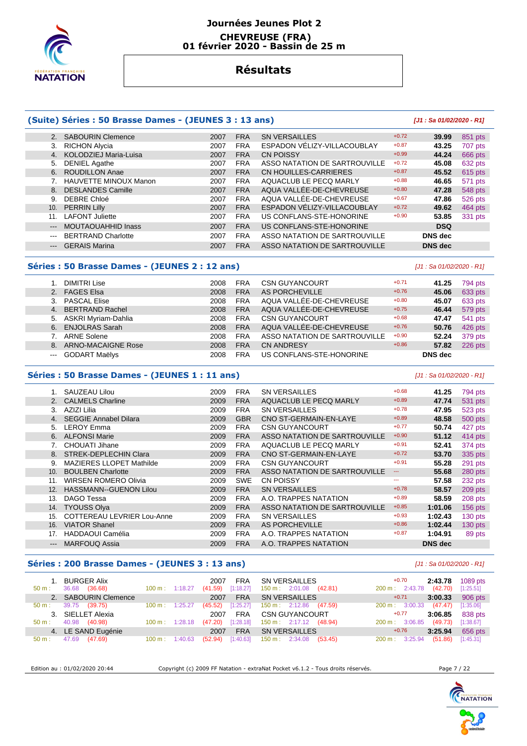

#### **Journées Jeunes Plot 2 CHEVREUSE (FRA) 01 février 2020 - Bassin de 25 m**

# **Résultats**

## **(Suite) Séries : 50 Brasse Dames - (JEUNES 3 : 13 ans) [J1 : Sa 01/02/2020 - R1]**

|                     | 2. SABOURIN Clemence      | 2007 | <b>FRA</b> | <b>SN VERSAILLES</b>          | $+0.72$ | 39.99          | 851 pts |
|---------------------|---------------------------|------|------------|-------------------------------|---------|----------------|---------|
| 3.                  | <b>RICHON Alycia</b>      | 2007 | <b>FRA</b> | ESPADON VÉLIZY-VILLACOUBLAY   | $+0.87$ | 43.25          | 707 pts |
| 4.                  | KOLODZIEJ Maria-Luisa     | 2007 | <b>FRA</b> | <b>CN POISSY</b>              | $+0.99$ | 44.24          | 666 pts |
| 5.                  | DENIEL Agathe             | 2007 | <b>FRA</b> | ASSO NATATION DE SARTROUVILLE | $+0.72$ | 45.08          | 632 pts |
| 6.                  | <b>ROUDILLON Anae</b>     | 2007 | <b>FRA</b> | CN HOUILLES-CARRIERES         | $+0.87$ | 45.52          | 615 pts |
|                     | HAUVETTE MINOUX Manon     | 2007 | <b>FRA</b> | AQUACLUB LE PECQ MARLY        | $+0.88$ | 46.65          | 571 pts |
| 8.                  | <b>DESLANDES Camille</b>  | 2007 | <b>FRA</b> | AQUA VALLÉE-DE-CHEVREUSE      | $+0.80$ | 47.28          | 548 pts |
| 9.                  | DEBRE Chloé               | 2007 | <b>FRA</b> | AQUA VALLÉE-DE-CHEVREUSE      | $+0.67$ | 47.86          | 526 pts |
|                     | 10. PERRIN Lilly          | 2007 | <b>FRA</b> | ESPADON VELIZY-VILLACOUBLAY   | $+0.72$ | 49.62          | 464 pts |
| 11.                 | <b>LAFONT Juliette</b>    | 2007 | <b>FRA</b> | US CONFLANS-STE-HONORINE      | $+0.90$ | 53.85          | 331 pts |
| $---$               | MOUTAOUAHHID Inass        | 2007 | <b>FRA</b> | US CONFLANS-STE-HONORINE      |         | <b>DSQ</b>     |         |
| $\sim$ $\sim$       | <b>BERTRAND Charlotte</b> | 2007 | <b>FRA</b> | ASSO NATATION DE SARTROUVILLE |         | <b>DNS</b> dec |         |
| $\qquad \qquad - -$ | <b>GERAIS Marina</b>      | 2007 | <b>FRA</b> | ASSO NATATION DE SARTROUVILLE |         | <b>DNS</b> dec |         |
|                     |                           |      |            |                               |         |                |         |

#### **Séries : 50 Brasse Dames - (JEUNES 2 : 12 ans)** [J1 : Sa 01/02/2020 - R1]

|                                                                                                                                                                                                                                                                                                                                                                                                                                                                            | <b>DIMITRI Lise</b>    | 2008 | <b>FRA</b> | <b>CSN GUYANCOURT</b>         | $+0.71$ | 41.25          | 794 pts |
|----------------------------------------------------------------------------------------------------------------------------------------------------------------------------------------------------------------------------------------------------------------------------------------------------------------------------------------------------------------------------------------------------------------------------------------------------------------------------|------------------------|------|------------|-------------------------------|---------|----------------|---------|
|                                                                                                                                                                                                                                                                                                                                                                                                                                                                            | 2. FAGES Elsa          | 2008 | <b>FRA</b> | AS PORCHEVILLE                | $+0.76$ | 45.06          | 633 pts |
|                                                                                                                                                                                                                                                                                                                                                                                                                                                                            | 3. PASCAL Elise        | 2008 | <b>FRA</b> | AQUA VALLÉE-DE-CHEVREUSE      | $+0.80$ | 45.07          | 633 pts |
|                                                                                                                                                                                                                                                                                                                                                                                                                                                                            | 4. BERTRAND Rachel     | 2008 | <b>FRA</b> | AQUA VALLÉE-DE-CHEVREUSE      | $+0.75$ | 46.44          | 579 pts |
|                                                                                                                                                                                                                                                                                                                                                                                                                                                                            | 5. ASKRI Myriam-Dahlia | 2008 | <b>FRA</b> | <b>CSN GUYANCOURT</b>         | $+0.68$ | 47.47          | 541 pts |
|                                                                                                                                                                                                                                                                                                                                                                                                                                                                            | 6. ENJOLRAS Sarah      | 2008 | <b>FRA</b> | AQUA VALLÉE-DE-CHEVREUSE      | $+0.76$ | 50.76          | 426 pts |
|                                                                                                                                                                                                                                                                                                                                                                                                                                                                            | 7. ARNE Solene         | 2008 | <b>FRA</b> | ASSO NATATION DE SARTROUVILLE | $+0.90$ | 52.24          | 379 pts |
|                                                                                                                                                                                                                                                                                                                                                                                                                                                                            | 8. ARNO-MACAIGNE Rose  | 2008 | <b>FRA</b> | <b>CN ANDRESY</b>             | $+0.86$ | 57.82          | 226 pts |
| $\frac{1}{2} \left( \frac{1}{2} \right) \left( \frac{1}{2} \right) \left( \frac{1}{2} \right) \left( \frac{1}{2} \right) \left( \frac{1}{2} \right) \left( \frac{1}{2} \right) \left( \frac{1}{2} \right) \left( \frac{1}{2} \right) \left( \frac{1}{2} \right) \left( \frac{1}{2} \right) \left( \frac{1}{2} \right) \left( \frac{1}{2} \right) \left( \frac{1}{2} \right) \left( \frac{1}{2} \right) \left( \frac{1}{2} \right) \left( \frac{1}{2} \right) \left( \frac$ | <b>GODART Maëlys</b>   | 2008 | <b>FRA</b> | US CONFLANS-STE-HONORINE      |         | <b>DNS</b> dec |         |

## **Séries : 50 Brasse Dames - (JEUNES 1 : 11 ans)** [J1 : Sa 01/02/2020 - R1]

#### 1. SAUZEAU Lilou 2009 FRA SN VERSAILLES <sup>+0.68</sup> <sup>41.25</sup> 794 pts<br>2. CALMELS Charline 2009 FRA AQUACLUB LE PECQ MARLY <sup>+0.89</sup> 47.74 531 pts **AQUACLUB LE PECQ MARLY**  3. AZIZI Lilia 2009 FRA SN VERSAILLES +0.78 **47.95** 523 pts 4. SEGGIE Annabel Dilara 2009 GBR CNO ST-GERMAIN-EN-LAYE +0.89 **48.58** 500 pts 5. LEROY Emma 2009 FRA CSN GUYANCOURT +0.77 **50.74** 427 pts 6. ALFONSI Marie 2009 FRA ASSO NATATION DE SARTROUVILLE +0.90 **51.12** 414 pts 7. CHOUATI Jihane **2009 FRA AQUACLUB LE PECQ MARLY** +0.91 **52.41 574** pts<br>2009 FRA CNO ST-GERMAIN-EN-LAYE +0.72 **53.70** 335 pts 8. STREK-DEPLECHIN Clara 2009 FRA CNO ST-GERMAIN-EN-LAYE +0.72 **53.70** 335 pts 9. MAZIERES LLOPET Mathilde  $2009$  FRA CSN GUYANCOURT  $+0.91$   $+0.91$  55.28 291 pts 10. BOULBEN Charlotte 2009 FRA ASSO NATATION DE SARTROUVILLE --- **55.68** 280 pts 11. WIRSEN ROMERO Olivia 2009 SWE CN POISSY --- **57.58** 232 pts 12. HASSMANN--GUENON Lilou 2009 FRA SN VERSAILLES +0.78 **58.57** 209 pts 13. DAGO Tessa 2009 FRA A.O. TRAPPES NATATION +0.89 **58.59** 208 pts 14. TYOUSS Olya 2009 FRA ASSO NATATION DE SARTROUVILLE +0.85 **1:01.06** 156 pts 15. COTTEREAU LEVRIER Lou-Anne 2009 FRA SN VERSAILLES  $+0.93$  1:02.43 130 pts 16. VIATOR Shanel 2009 FRA AS PORCHEVILLE +0.86 **1:02.44** 130 pts 17. HADDAOUI Camélia 2009 FRA A.O. TRAPPES NATATION +0.87 **1:04.91** 89 pts --- MARFOUQ Assia 2009 FRA A.O. TRAPPES NATATION **DNS dec**

# **Séries : 200 Brasse Dames - (JEUNES 3 : 13 ans)** [J1 : Sa 01/02/2020 - R1]

| <b>BURGER Alix</b><br>36.68<br>(36.68)<br>$50 m$ : | $100 \text{ m}$ : 1:18.27    | <b>FRA</b><br>2007<br>[1:18.27]<br>(41.59) | SN VERSAILLES<br>$150 \text{ m}: 2:01.08$ (42.81) | 1089 pts<br>$+0.70$<br>2:43.78<br>(42.70)<br>[1:25.51]<br>200 m: 2:43.78 |
|----------------------------------------------------|------------------------------|--------------------------------------------|---------------------------------------------------|--------------------------------------------------------------------------|
| 2. SABOURIN Clemence                               |                              | <b>FRA</b><br>2007                         | <b>SN VERSAILLES</b>                              | 906 pts<br>3:00.33<br>$+0.71$                                            |
| 39.75<br>(39.75)<br>$50 \text{ m}$ :               | 1:25.27<br>$100 \text{ m}$ : | [1:25.27]<br>(45.52)                       | (47.59)<br>150 m : 2:12.86                        | (47.47)<br>$200 \text{ m}$ : 3:00.33<br>[1:35.06]                        |
| 3. SIELLET Alexia                                  |                              | <b>FRA</b><br>2007                         | <b>CSN GUYANCOURT</b>                             | 838 pts<br>3:06.85<br>$+0.77$                                            |
| 40.98<br>(40.98)<br>$50 m$ :                       | $100 \text{ m}$ : 1:28.18    | [1:28.18]<br>(47.20)                       | $150 \text{ m}: 2:17.12$ (48.94)                  | (49.73)<br>200 m: 3:06.85<br>[1:38.67]                                   |
| 4. LE SAND Eugénie                                 |                              | <b>FRA</b><br>2007                         | <b>SN VERSAILLES</b>                              | $+0.76$<br>3:25.94<br>656 pts                                            |
| (47.69)<br>47.69<br>$50 \text{ m}$ :               | $100 \text{ m}: 1:40.63$     | [1:40.63]<br>(52.94)                       | 150 m : 2:34.08<br>(53.45)                        | (51.86)<br>$200 \text{ m}$ : 3:25.94<br>[1:45.31]                        |

Edition au : 01/02/2020 20:44 Copyright (c) 2009 FF Natation - extraNat Pocket v6.1.2 - Tous droits réservés. Page 7 / 22

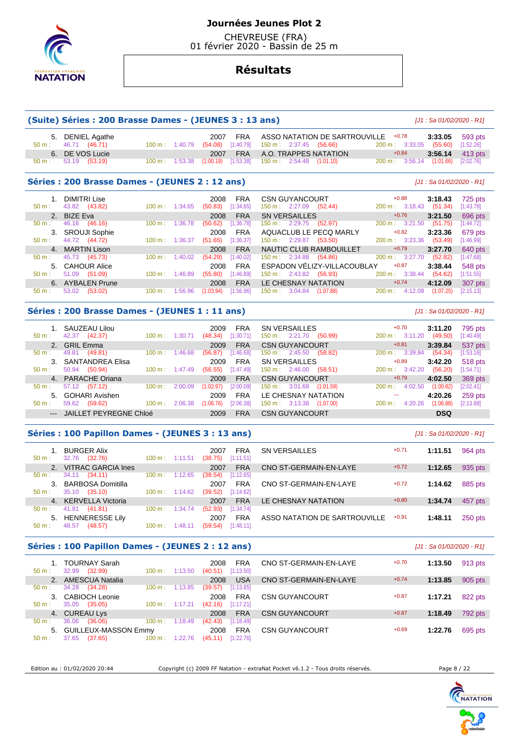

 CHEVREUSE (FRA) 01 février 2020 - Bassin de 25 m

# **Résultats**

# **(Suite) Séries : 200 Brasse Dames - (JEUNES 3 : 13 ans)** [J1 : Sa 01/02/2020 - R1] 5. DENIEL Agathe 2007 FRA ASSO NATATION DE SARTROUVILLE +0.78 **3:33.05** 593 pts 150 m : 2:37.45 (56.66) 200 m : 3:33<br>A.O. TRAPPES NATATION +0.84

6. DE VOS Lucie 2007 FRA A.O. TRAPPES NATATION +0.84 **3:56.14** 413 pts

150 m : 2:54.48 (1:01.10)

#### **Séries : 200 Brasse Dames - (JEUNES 2 : 12 ans)** [J1 : Sa 01/02/2020 - R1]

| $50 m$ : | <b>DIMITRI Lise</b><br>43.82 (43.82) | $100 \text{ m}$ : 1:34.65    | 2008<br><b>FRA</b><br>[1:34.65]<br>(50.83) | <b>CSN GUYANCOURT</b><br>$150 \text{ m}: 2:27.09$<br>(52.44) | $+0.88$<br>3:18.43<br>(51.34)<br>200 m: 3:18.43 | 725 pts<br>[1:43.78] |
|----------|--------------------------------------|------------------------------|--------------------------------------------|--------------------------------------------------------------|-------------------------------------------------|----------------------|
|          | 2. BIZE Eva                          |                              | 2008<br><b>FRA</b>                         | <b>SN VERSAILLES</b>                                         | $+0.76$<br>3:21.50                              | 696 pts              |
| $50 m$ : | (46.16)<br>46.16                     | 1:36.78<br>100 m:            | [1:36.78]<br>(50.62)                       | (52.97)<br>150 m: 2:29.75                                    | (51.75)<br>200 m: 3:21.50                       | [1:44.72]            |
|          | 3. SROUJI Sophie                     |                              | 2008<br><b>FRA</b>                         | AQUACLUB LE PECQ MARLY                                       | $+0.82$<br>3:23.36                              | 679 pts              |
| $50 m$ : | 44.72 (44.72)                        | $100 \text{ m}$ :<br>1:36.37 | [1:36.37]<br>(51.65)                       | 150 m : 2:29.87<br>(53.50)                                   | $200 \text{ m}$ : 3:23.36<br>(53.49)            | [1:46.99]            |
|          | 4. MARTIN Lison                      |                              | 2008<br><b>FRA</b>                         | NAUTIC CLUB RAMBOUILLET                                      | $+0.79$<br>3:27.70                              | 640 pts              |
| $50 m$ : | 45.73 (45.73)                        | 100 m:<br>1:40.02            | [1:40.02]<br>(54.29)                       | $150 \text{ m}: 2:34.88$<br>(54.86)                          | $200 \text{ m}$ : 3:27.70<br>(52.82)            | [1:47.68]            |
|          | 5. CAHOUR Alice                      |                              | <b>FRA</b><br>2008                         | ESPADON VÉLIZY-VILLACOUBLAY                                  | $+0.87$<br>3:38.44                              | 548 pts              |
| $50 m$ : | 51.09<br>(51.09)                     | 100 m:<br>1:46.89            | [1:46.89]<br>(55.80)                       | $150 \text{ m}: 2:43.82$<br>(56.93)                          | (54.62)<br>$200 \text{ m}$ : 3:38.44            | [1:51.55]            |
|          | 6. AYBALEN Prune                     |                              | 2008<br><b>FRA</b>                         | LE CHESNAY NATATION                                          | $+0.74$<br>4:12.09                              | 307 pts              |
| $50 m$ : | 53.02<br>(53.02)                     | 100 m:<br>:56.96             | [1:56.96]<br>(1:03.94)                     | 3:04.84<br>$150 \text{ m}$ :<br>(1:07.88)                    | (1:07.25)<br>200 m:<br>4:12.09                  | [2:15.13]            |

#### **Séries : 200 Brasse Dames - (JEUNES 1 : 11 ans)** [J1 : Sa 01/02/2020 - R1]

| $50 \text{ m}$ : | 1. SAUZEAU Lilou<br>(42.37)<br>42.37 | $100 \text{ m}$ : | 2009<br>(48.34)<br>1:30.71 | <b>FRA</b><br>[1:30.71] | SN VERSAILLES<br>(50.99)<br>$150 \text{ m}: 2:21.70$ | $+0.70$<br>$200 \text{ m}: 3:11.20$ | 3:11.20<br>(49.50) | 795 pts<br>[1:40.49] |
|------------------|--------------------------------------|-------------------|----------------------------|-------------------------|------------------------------------------------------|-------------------------------------|--------------------|----------------------|
|                  | 2. GRIL Emma                         |                   | 2009                       | <b>FRA</b>              | <b>CSN GUYANCOURT</b>                                | $+0.81$                             | 3:39.84            | 537 pts              |
| $50 \text{ m}$ : | (49.81)<br>49.81                     | $100 \text{ m}$ : | 1:46.68<br>(56.87)         | [1:46.68]               | $150 \text{ m}: 2:45.50$<br>(58.82)                  | 200 m: 3:39.84                      | (54.34)            | [1:53.16]            |
|                  | 3. SANTANDREA Elisa                  |                   | 2009                       | <b>FRA</b>              | <b>SN VERSAILLES</b>                                 | $+0.89$                             | 3:42.20            | 518 pts              |
| $50 \text{ m}$ : | (50.94)<br>50.94                     | $100 \text{ m}$ : | (56.55)<br>1:47.49         | [1:47.49]               | $150 \text{ m}: 2:46.00$<br>(58.51)                  | $200 \text{ m}: 3:42.20$            | (56.20)            | [1:54.71]            |
|                  | 4. PARACHE Oriana                    |                   | 2009                       | <b>FRA</b>              | <b>CSN GUYANCOURT</b>                                | $+0.79$                             | 4:02.50            | 369 pts              |
| $50 \text{ m}$ : | 57.12 (57.12)                        | 100 m:            | (1:02.97)<br>2:00.09       | [2:00.09]               | 150 m:<br>3:01.68<br>(1:01.59)                       | 4:02.50<br>$200 m$ :                | (1:00.82)          | [2:02.41]            |
|                  | 5. GOHARI Avishen                    |                   | 2009                       | <b>FRA</b>              | LE CHESNAY NATATION                                  | ---                                 | 4:20.26            | 259 pts              |
| $50 m$ :         | (59.62)<br>59.62                     | 100 m:            | (1:06.76)<br>2:06.38       | [2:06.38]               | $150 \text{ m}: 3:13.38$<br>(1:07.00)                | 4:20.26<br>200 m:                   | (1:06.88)          | [2:13.88]            |
|                  | --- JAILLET PEYREGNE Chloé           |                   | 2009                       | <b>FRA</b>              | <b>CSN GUYANCOURT</b>                                |                                     | <b>DSQ</b>         |                      |

#### **Séries : 100 Papillon Dames - (JEUNES 3 : 13 ans)** [J1 : Sa 01/02/2020 - R1]

| $50 \text{ m}$ : | <b>BURGER Alix</b><br>(32.76)<br>32.76 | $100 \text{ m}: 1:11.51$ |         | <b>FRA</b><br>2007<br>[1:11.51]<br>(38.75) | <b>SN VERSAILLES</b>          | $+0.71$ | 1:11.51 | 964 pts |
|------------------|----------------------------------------|--------------------------|---------|--------------------------------------------|-------------------------------|---------|---------|---------|
| 2.               | <b>VITRAC GARCIA Ines</b>              |                          |         | <b>FRA</b><br>2007                         | CNO ST-GERMAIN-EN-LAYE        | $+0.72$ | 1:12.65 | 935 pts |
| $50 \text{ m}$ : | (34.11)<br>34.11                       | 100 m:                   | 1:12.65 | [1:12.65]<br>(38.54)                       |                               |         |         |         |
| 3 <sub>1</sub>   | BARBOSA Domitilla                      |                          |         | <b>FRA</b><br>2007                         | CNO ST-GERMAIN-EN-LAYE        | $+0.72$ | 1:14.62 | 885 pts |
| $50 \text{ m}$ : | 35.10<br>(35.10)                       | $100 \text{ m}$ :        | 1:14.62 | (39.52)<br>[1:14.62]                       |                               |         |         |         |
|                  | 4. KERVELLA Victoria                   |                          |         | <b>FRA</b><br>2007                         | LE CHESNAY NATATION           | $+0.80$ | 1:34.74 | 457 pts |
| $50 m$ :         | 41.81<br>(41.81)                       | 100 m:                   | 1:34.74 | [1:34.74]<br>(52.93)                       |                               |         |         |         |
|                  | 5. HENNERESSE Lily                     |                          |         | <b>FRA</b><br>2007                         | ASSO NATATION DE SARTROUVILLE | $+0.91$ | 1:48.11 | 250 pts |
| 50 m:            | 48.57<br>(48.57)                       | 100 m:                   | l:48.11 | [1:48.11]<br>(59.54)                       |                               |         |         |         |
|                  |                                        |                          |         |                                            |                               |         |         |         |

#### **Séries : 100 Papillon Dames - (JEUNES 2 : 12 ans)** [J1 : Sa 01/02/2020 - R1]

| 50 m:    | <b>TOURNAY Sarah</b><br>32.99<br>(32.99) | $100 \text{ m}$ :         | 1:13.50 | 2008<br>(40.51) | <b>FRA</b><br>[1:13.50] | CNO ST-GERMAIN-EN-LAYE | $+0.70$ | 1:13.50 | 913 pts |
|----------|------------------------------------------|---------------------------|---------|-----------------|-------------------------|------------------------|---------|---------|---------|
| 2.       | <b>AMESCUA Natalia</b>                   |                           |         | 2008            | USA                     | CNO ST-GERMAIN-EN-LAYE | $+0.74$ | 1:13.85 | 905 pts |
| $50 m$ : | 34.28<br>(34.28)                         | 100 m:                    | 1:13.85 | (39.57)         | [1:13.85]               |                        |         |         |         |
| 3.       | <b>CABIOCH Leonie</b>                    |                           |         | 2008            | <b>FRA</b>              | <b>CSN GUYANCOURT</b>  | $+0.87$ | 1:17.21 | 822 pts |
| $50 m$ : | 35.05<br>(35.05)                         | $100 \text{ m}$ :         | 1:17.21 | (42.16)         | [1:17.21]               |                        |         |         |         |
|          | 4. CUREAU Lys                            |                           |         | 2008            | <b>FRA</b>              | <b>CSN GUYANCOURT</b>  | $+0.87$ | 1:18.49 | 792 pts |
| 50 m:    | 36.06<br>(36.06)                         | $100 \text{ m}$ : 1:18.49 |         | (42.43)         | [1:18.49]               |                        |         |         |         |
| 5.       | <b>GUILLEUX-MASSON Emmy</b>              |                           |         | 2008            | <b>FRA</b>              | <b>CSN GUYANCOURT</b>  | $+0.69$ | 1:22.76 | 695 pts |
| 50 m:    | (37.65)<br>37.65                         | 100 m:                    | 1:22.76 | (45.11)         | [1:22.76]               |                        |         |         |         |

Edition au : 01/02/2020 20:44 Copyright (c) 2009 FF Natation - extraNat Pocket v6.1.2 - Tous droits réservés. Page 8 / 22

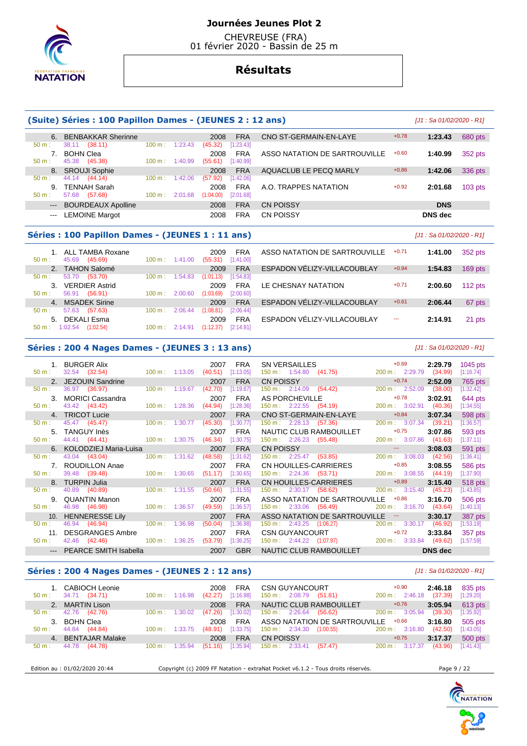

 CHEVREUSE (FRA) 01 février 2020 - Bassin de 25 m

# **Résultats**

#### **(Suite) Séries : 100 Papillon Dames - (JEUNES 2 : 12 ans)** [J1 : Sa 01/02/2020 - R1] 6. BENBAKKAR Sherinne 2008 FRA CNO ST-GERMAIN-EN-LAYE +0.78 **1:23.43** 680 pts 50 m : 38.11 (38.11) 100 m : 1:23.43 (45.32) [1:23.43] 7. BOHN Clea 2008 FRA ASSO NATATION DE SARTROUVILLE +0.60 **1:40.99** 352 pts 45.38 (45.38) 8. SROUJI Sophie 2008 FRA AQUACLUB LE PECQ MARLY +0.86 **1:42.06** 336 pts 50 m : 44.14 (44.14) 100 m : 1:42.06 (57.92) [1:42.06] 9. TENNAH Sarah 2008 FRA A.O. TRAPPES NATATION +0.92 **2:01.68** 103 pts 50 m : 57.68 (57.68) 100 m : 2:01.68 (1:04.00) --- BOURDEAUX Apolline 2008 FRA CN POISSY **DNS**  --- LEMOINE Margot 2008 FRA CN POISSY **DNS dec Séries : 100 Papillon Dames - (JEUNES 1 : 11 ans)** [J1 : Sa 01/02/2020 - R1] 1. ALL TAMBA Roxane 2009 FRA ASSO NATATION DE SARTROUVILLE +0.71 **1:41.00** 352 pts 50 m : 45.69 (45.69) 100 m : 1:41.00 (55.31) [1:41.00] 2. TAHON Salomé 2009 FRA ESPADON VÉLIZY-VILLACOUBLAY +0.94 **1:54.83** 169 pts 50 m : 53.70 (53.70) 100 m : 1:54.83 (1:01.13) [1:54.83] 3. VERDIER Astrid 2009 FRA LE CHESNAY NATATION +0.71 **2:00.60** 112 pts 56.91 (56.91)

4. MSADEK Sirine 2009 FRA ESPADON VÉLIZY-VILLACOUBLAY +0.61 **2:06.44** 67 pts

5. DEKALI Esma 2009 FRA ESPADON VÉLIZY-VILLACOUBLAY --- **2:14.91** 21 pts

#### **Séries : 200 4 Nages Dames - (JEUNES 3 : 13 ans)** [J1 : Sa 01/02/2020 - R1]

50 m : 57.63 (57.63) 100 m : 2:06.44 (1:08.81) [2:06.44]

50 m : 1:02.54 (1:02.54) 100 m : 2:14.91 (1:12.37) [2:14.91]

| 1.<br>50 m:      | <b>BURGER Alix</b><br>32.54 (32.54) | $100 \text{ m}: 1:13.05$  |         | 2007<br>(40.51) | <b>FRA</b><br>[1:13.05] | <b>SN VERSAILLES</b><br>150 m : 1:54.80 (41.75) | $+0.69$<br>200 m: 2:29.79        | 2:29.79<br>(34.99) | 1045 pts<br>[1:16.74] |
|------------------|-------------------------------------|---------------------------|---------|-----------------|-------------------------|-------------------------------------------------|----------------------------------|--------------------|-----------------------|
| $2^{\circ}$      | JEZOUIN Sandrine                    |                           |         | 2007            | <b>FRA</b>              | <b>CN POISSY</b>                                | $+0.74$                          | 2:52.09            | 765 pts               |
| $50 m$ :         | 36.97 (36.97)                       | $100 \text{ m}: 1:19.67$  |         | (42.70)         | [1:19.67]               | 150 m : 2:14.09 (54.42)                         | 200 m: 2:52.09                   | (38.00)            | [1:32.42]             |
| $\mathbf{3}$     | <b>MORICI Cassandra</b>             |                           |         | 2007            | <b>FRA</b>              | AS PORCHEVILLE                                  | $+0.78$                          | 3:02.91            | 644 pts               |
| $50 m$ :         | 43.42 (43.42)                       | $100 \text{ m}$ : 1:28.36 |         | (44.94)         | [1:28.36]               | 150 m : 2:22.55 (54.19)                         | 200 m: 3:02.91                   | (40.36)            | [1:34.55]             |
| $\overline{4}$   | <b>TRICOT Lucie</b>                 |                           |         | 2007            | <b>FRA</b>              | CNO ST-GERMAIN-EN-LAYE                          | $+0.84$                          | 3:07.34            | 598 pts               |
| $50 m$ :         | 45.47 (45.47)                       | 100 m :                   | 1:30.77 | (45.30)         | 1:30.77                 | $150 \text{ m}: 2:28.13$<br>(57.36)             | $200 \text{ m}: 3:07.34$ (39.21) |                    | [1:36.57]             |
| 5.               | <b>TANGUY Inès</b>                  |                           |         | 2007            | <b>FRA</b>              | NAUTIC CLUB RAMBOUILLET                         | $+0.75$                          | 3:07.86            | 593 pts               |
| $50 m$ :         | 44.41 (44.41)                       | $100 \text{ m}$ :         | 1:30.75 | (46.34)         | [1:30.75]               | $150 \text{ m}: 2:26.23$<br>(55.48)             | 200 m: 3:07.86                   | (41.63)            | [1:37.11]             |
|                  | 6. KOLODZIEJ Maria-Luisa            |                           |         | 2007            | <b>FRA</b>              | <b>CN POISSY</b>                                | $\sim$ $\sim$                    | 3:08.03            | 591 pts               |
| $50 \text{ m}$ : | 43.04 (43.04)                       | 100 m:                    | 1:31.62 | (48.58)         | 1:31.62                 | $150 \text{ m}: 2:25.47$<br>(53.85)             | $200 \text{ m}: 3:08.03$         | (42.56)            | [1:36.41]             |
|                  | 7. ROUDILLON Anae                   |                           |         | 2007            | <b>FRA</b>              | CN HOUILLES-CARRIERES                           | $+0.85$                          | 3:08.55            | 586 pts               |
| $50 m$ :         | 39.48 (39.48)                       | $100 \text{ m}$ : 1:30.65 |         | (51.17)         | [1:30.65]               | $150 \text{ m}: 2:24.36$ (53.71)                | 200 m: 3:08.55                   | (44.19)            | [1:37.90]             |
|                  | <b>TURPIN Julia</b>                 |                           |         | 2007            | <b>FRA</b>              | CN HOUILLES-CARRIERES                           | $+0.89$                          | 3:15.40            | 518 pts               |
| $50 m$ :         | 40.89 (40.89)                       | $100 \text{ m}$ :         | 1:31.55 | (50.66)         | [1:31.55]               | 150 m : 2:30.17 (58.62)                         | 200 m: 3:15.40                   | (45.23)            | [1:43.85]             |
| 9.               | <b>QUANTIN Manon</b>                |                           |         | 2007            | <b>FRA</b>              | ASSO NATATION DE SARTROUVILLE                   | $+0.86$                          | 3:16.70            | 506 pts               |
| $50 m$ :         | 46.98 (46.98)                       | $100 \text{ m}$ : 1:36.57 |         | (49.59)         | [1:36.57]               | 150 m: 2:33.06 (56.49)                          | 200 m: 3:16.70                   | (43.64)            | [1:40.13]             |
| 10.              | <b>HENNERESSE Lily</b>              |                           |         | 2007            | <b>FRA</b>              | ASSO NATATION DE SARTROUVILLE -                 |                                  | 3:30.17            | 387 pts               |
| $50 m$ :         | 46.94 (46.94)                       | $100 \text{ m}$ :         | 1:36.98 | (50.04)         | [1:36.98]               | 150 m : 2:43.25 (1:06.27)                       | $200 \text{ m}$ : 3:30.17        | (46.92)            | [1:53.19]             |
| 11.              | <b>DESGRANGES Ambre</b>             |                           |         | 2007            | <b>FRA</b>              | CSN GUYANCOURT <b>EXAMPLE SERVICES</b>          | $+0.72$                          | 3:33.84            | 357 pts               |
| $50 m$ :         | 42.46 (42.46)                       | 100 m: 1:36.25            |         | (53.79)         | [1:36.25]               | 150 m : 2:44.22 (1:07.97) 200 m : 3:33.84       |                                  | (49.62)            | [1:57.59]             |
| $---$            | <b>PEARCE SMITH Isabella</b>        |                           |         | 2007            | <b>GBR</b>              | NAUTIC CLUB RAMBOUILLET                         |                                  | <b>DNS</b> dec     |                       |

#### **Séries : 200 4 Nages Dames - (JEUNES 2 : 12 ans)** [J1 : Sa 01/02/2020 - R1]

| $50 m$ :                           | 1. CABIOCH Leonie<br>34.71 (34.71)     | $100 \text{ m}$ : | 1:16.98 | <b>FRA</b><br>2008<br>[1:16.98]<br>(42.27) | <b>CSN GUYANCOURT</b><br>$150 \text{ m}: 2:08.79$ (51.81)              | $+0.90$<br>$200 \text{ m}: 2:46.18$ | 2:46.18<br>(37.39) | 835 pts<br>[1:29.20] |
|------------------------------------|----------------------------------------|-------------------|---------|--------------------------------------------|------------------------------------------------------------------------|-------------------------------------|--------------------|----------------------|
| 50 m :                             | 2. MARTIN Lison<br>42.76<br>(42.76)    | $100 \text{ m}$ : | 1:30.02 | <b>FRA</b><br>2008<br>[1:30.02]<br>(47.26) | NAUTIC CLUB RAMBOUILLET<br>$150 \text{ m}: 2:26.64$<br>(56.62)         | $+0.76$<br>200 m: 3:05.94           | 3:05.94<br>(39.30) | 613 pts<br>[1:35.92] |
| 3 <sub>1</sub><br>$50 \text{ m}$ : | BOHN Clea<br>44.84 (44.84)             | $100 \text{ m}$ : | 1:33.75 | <b>FRA</b><br>2008<br>[1:33.75]<br>(48.91) | ASSO NATATION DE SARTROUVILLE<br>$150 \text{ m}: 2:34.30$<br>(1:00.55) | $+0.66$<br>200 m: 3:16.80           | 3:16.80<br>(42.50) | 505 pts<br>[1:43.05] |
| $50 \text{ m}$ :                   | 4. BENTAJAR Malake<br>44.78<br>(44.78) | $100 \text{ m}$ : | 1:35.94 | <b>FRA</b><br>2008<br>[1:35.94]<br>(51.16) | <b>CN POISSY</b><br>150 m : 2:33.41<br>(57.47)                         | $+0.75$<br>$200 \text{ m}: 3:17.37$ | 3:17.37<br>(43.96) | 500 pts<br>[1:41.43] |

Edition au : 01/02/2020 20:44 Copyright (c) 2009 FF Natation - extraNat Pocket v6.1.2 - Tous droits réservés. Page 9 / 22

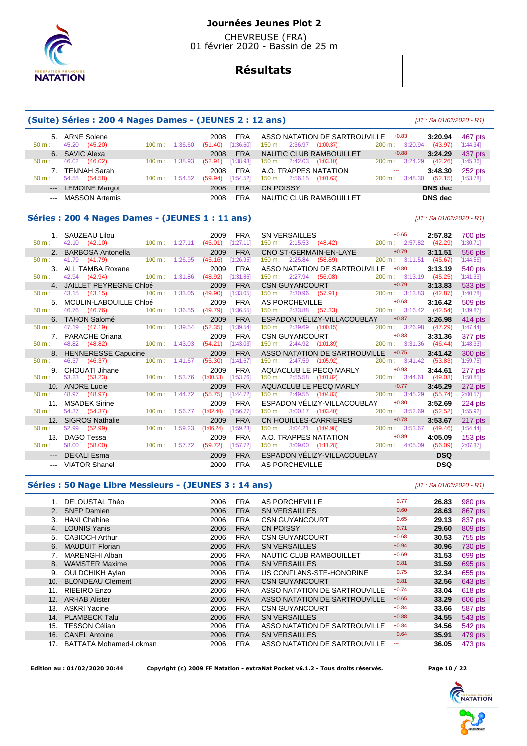

 CHEVREUSE (FRA) 01 février 2020 - Bassin de 25 m

# **Résultats**

#### **(Suite) Séries : 200 4 Nages Dames - (JEUNES 2 : 12 ans)** [J1 : Sa 01/02/2020 - R1]

| $50 m$ : | 5. ARNE Solene<br>45.20 (45.20) | $100 \text{ m}$ :         | 1:36.60 | 2008<br>(51.40) | <b>FRA</b><br>[1:36.60] | ASSO NATATION DE SARTROUVILLE<br>150 m: 2:36.97<br>(1:00.37) | $+0.83$<br>$200 \text{ m}$ : 3:20.94 | 3:20.94<br>(43.97) | 467 pts<br>[1:44.34] |
|----------|---------------------------------|---------------------------|---------|-----------------|-------------------------|--------------------------------------------------------------|--------------------------------------|--------------------|----------------------|
|          | 6. SAVIC Alexa                  |                           |         | 2008            | <b>FRA</b>              | NAUTIC CLUB RAMBOUILLET                                      | $+0.88$                              | 3:24.29            | 437 pts              |
| $50 m$ : | 46.02<br>(46.02)                | $100 \text{ m}$ : 1:38.93 |         | (52.91)         | [1:38.93]               | $150 \text{ m}: 2:42.03$<br>(1:03.10)                        | $200 \text{ m}$ : 3:24.29            | (42.26)            | [1:45.36]            |
| 7        | <b>TENNAH Sarah</b>             |                           |         | 2008            | <b>FRA</b>              | A.O. TRAPPES NATATION                                        | $- - -$                              | 3:48.30            | 252 pts              |
| $50 m$ : | 54.58<br>(54.58)                | $100 \text{ m}: 1:54.52$  |         | (59.94)         | [1:54.52]               | $150 \text{ m}: 2:56.15 (1:01.63)$                           | 3:48.30<br>$200 \text{ m}$ :         | (52.15)            | [1:53.78]            |
|          | --- LEMOINE Margot              |                           |         | 2008            | <b>FRA</b>              | <b>CN POISSY</b>                                             |                                      | DNS dec            |                      |
|          | --- MASSON Artemis              |                           |         | 2008            | FRA                     | NAUTIC CLUB RAMBOUILLET                                      |                                      | DNS dec            |                      |

#### **Séries : 200 4 Nages Dames - (JEUNES 1 : 11 ans)** [J1 : Sa 01/02/2020 - R1]

|                  | 1. SAUZEAU Lilou     |                               |                           |         | 2009      | <b>FRA</b> |                                      |                                                                |                           | 2:57.82    | 700 pts   |
|------------------|----------------------|-------------------------------|---------------------------|---------|-----------|------------|--------------------------------------|----------------------------------------------------------------|---------------------------|------------|-----------|
| 50 m:            |                      | 42.10 (42.10) 100 m : 1:27.11 |                           |         | (45.01)   | [1:27.11]  |                                      | SN VERSAILLES +0.65<br>150 m : 2:15.53 (48.42) 200 m : 2:57.82 |                           | (42.29)    | [1:30.71] |
|                  | 2. BARBOSA Antonella |                               |                           |         | 2009      | <b>FRA</b> |                                      | CNO ST-GERMAIN-EN-LAYE                                         | $+0.79$                   | 3:11.51    | 556 pts   |
| 50 m:            | 41.79 (41.79)        |                               | 100 m: 1:26.95            |         | (45.16)   | [1:26.95]  | 150 m: 2:25.84 (58.89)               |                                                                | 200 m: 3:11.51            | (45.67)    | [1:44.56] |
|                  | 3. ALL TAMBA Roxane  |                               |                           |         | 2009      | <b>FRA</b> |                                      | ASSO NATATION DE SARTROUVILLE                                  | $+0.80$                   | 3:13.19    | 540 pts   |
| 50 m:            | 42.94 (42.94)        | $100 \text{ m}$ : 1:31.86     |                           |         | (48.92)   | [1:31.86]  |                                      | 150 m : 2:27.94 (56.08)                                        | 200 m: 3:13.19 (45.25)    |            | [1:41.33] |
|                  |                      | 4. JAILLET PEYREGNE Chloé     |                           |         | 2009      | <b>FRA</b> |                                      | CSN GUYANCOURT                                                 | $+0.79$                   | 3:13.83    | 533 pts   |
| 50 m:            |                      | 43.15 (43.15)                 | $100 \text{ m}$ :         | 1:33.05 | (49.90)   | [1:33.05]  |                                      | $150 \text{ m}: 2:30.96$ (57.91)                               | 200 m: 3:13.83            | (42.87)    | [1:40.78] |
| 5.               |                      | MOULIN-LABOUILLE Chloé        |                           |         | 2009      | <b>FRA</b> |                                      |                                                                |                           | 3:16.42    | 509 pts   |
| $50 m$ :         |                      | 46.76 (46.76) 100 m : 1:36.55 |                           |         | (49.79)   | [1:36.55]  |                                      |                                                                |                           | (42.54)    | [1:39.87] |
|                  |                      | <b>TAHON Salomé</b>           |                           |         | 2009      | <b>FRA</b> |                                      | ESPADON VÉLIZY-VILLACOUBLAY                                    | $+0.87$                   | 3:26.98    | 414 pts   |
| $50 \text{ m}$ : | 47.19 (47.19)        | $100 \text{ m}: 1:39.54$      |                           |         | (52.35)   | [1:39.54]  |                                      | $150 \text{ m}: \quad 2:39.69 \quad (1:00.15)$                 | 200 m : 3:26.98           | (47.29)    | [1:47.44] |
|                  | 7. PARACHE Oriana    |                               |                           |         | 2009      | <b>FRA</b> |                                      | CSN GUYANCOURT                                                 | $+0.83$                   | 3:31.36    | 377 pts   |
| $50 m$ :         | 48.82 (48.82)        | $100 \text{ m}$ : 1:43.03     |                           |         | (54.21)   | [1:43.03]  |                                      | 150 m : 2:44.92 (1:01.89)                                      | 200 m: 3:31.36            | (46.44)    | [1:48.33] |
|                  |                      | 8. HENNERESSE Capucine        |                           |         | 2009      | <b>FRA</b> |                                      | ASSO NATATION DE SARTROUVILLE                                  | $+0.75$                   | 3:41.42    | 300 pts   |
| $50 \text{ m}$ : | 46.37 (46.37)        |                               | $100 \text{ m}$ : 1:41.67 |         | (55.30)   | [1:41.67]  | 150 m: 2:47.59 (1:05.92)             |                                                                | $200 \text{ m}: 3:41.42$  | (53.83)    | [1:59.75] |
| 9.               | CHOUATI Jihane       |                               |                           |         | 2009      | <b>FRA</b> |                                      | AQUACLUB LE PECQ MARLY                                         | $+0.93$                   | 3:44.61    | 277 pts   |
| 50 m:            | 53.23 (53.23)        | $100 \text{ m}$ : 1:53.76     |                           |         | (1:00.53) | [1:53.76]  | $150 \text{ m}: 2:55.58$ $(1:01.82)$ |                                                                | 200 m: 3:44.61 (49.03)    |            | [1:50.85] |
|                  | 10. ANDRE Lucie      |                               |                           |         | 2009      | <b>FRA</b> |                                      | AQUACLUB LE PECQ MARLY                                         | $+0.77$                   | 3:45.29    | 272 pts   |
| $50 m$ :         | 48.97 (48.97)        |                               | $100 \text{ m}: 1:44.72$  |         | (55.75)   | [1:44.72]  |                                      | $150 \text{ m}: \quad 2:49.55 \quad (1:04.83)$                 | $200 \text{ m}$ : 3:45.29 | (55.74)    | [2:00.57] |
| 11.              | <b>MSADEK Sirine</b> |                               |                           |         | 2009      | <b>FRA</b> |                                      | ESPADON VÉLIZY-VILLACOUBLAY                                    | $+0.80$                   | 3:52.69    | 224 pts   |
| $50 m$ :         | 54.37 (54.37)        |                               | $100 \text{ m}$ : 1:56.77 |         | (1:02.40) | [1:56.77]  | $150 \text{ m}: 3:00.17$ $(1:03.40)$ |                                                                | 200 m: 3:52.69            | (52.52)    | [1:55.92] |
|                  | 12. SIGROS Nathalie  |                               |                           |         | 2009      | <b>FRA</b> |                                      | CN HOUILLES-CARRIERES                                          | $+0.78$                   | 3:53.67    | 217 pts   |
| $50 m$ :         | 52.99 (52.99)        |                               | $100 \text{ m}$ :         | 1:59.23 | (1:06.24) | [1:59.23]  |                                      | $150 \text{ m}: 3:04.21 (1:04.98)$                             | 200 m : 3:53.67           | (49.46)    | [1:54.44] |
| 13.              | DAGO Tessa           |                               |                           |         | 2009      | <b>FRA</b> |                                      | A.O. TRAPPES NATATION                                          | $+0.89$                   | 4:05.09    | $153$ pts |
| $50 m$ :         | 58.00 (58.00)        |                               | $100 \text{ m}$ : 1:57.72 |         | (59.72)   | [1:57.72]  | 150 m: 3:09.00 (1:11.28)             | 200 m : 4:05.09                                                |                           | (56.09)    | [2:07.37] |
|                  | <b>DEKALI Esma</b>   |                               |                           |         | 2009      | <b>FRA</b> |                                      | ESPADON VÉLIZY-VILLACOUBLAY                                    |                           | <b>DSQ</b> |           |
|                  | --- VIATOR Shanel    |                               |                           |         | 2009      | <b>FRA</b> | <b>AS PORCHEVILLE</b>                |                                                                |                           | <b>DSQ</b> |           |

#### **Séries : 50 Nage Libre Messieurs - (JEUNES 3 : 14 ans)** [J1 : Sa 01/02/2020 - R1]

|     | DELOUSTAL Théo                | 2006 | <b>FRA</b> | AS PORCHEVILLE                | $+0.77$ | 26.83 | 980 pts |
|-----|-------------------------------|------|------------|-------------------------------|---------|-------|---------|
| 2.  | <b>SNEP Damien</b>            | 2006 | <b>FRA</b> | <b>SN VERSAILLES</b>          | $+0.60$ | 28.63 | 867 pts |
| 3.  | <b>HANI Chahine</b>           | 2006 | <b>FRA</b> | <b>CSN GUYANCOURT</b>         | $+0.65$ | 29.13 | 837 pts |
| 4.  | <b>LOUNIS Yanis</b>           | 2006 | <b>FRA</b> | <b>CN POISSY</b>              | $+0.71$ | 29.60 | 809 pts |
| 5.  | <b>CABIOCH Arthur</b>         | 2006 | <b>FRA</b> | <b>CSN GUYANCOURT</b>         | $+0.68$ | 30.53 | 755 pts |
| 6.  | <b>MAUDUIT Florian</b>        | 2006 | <b>FRA</b> | <b>SN VERSAILLES</b>          | $+0.94$ | 30.96 | 730 pts |
|     | <b>MARENGHI Alban</b>         | 2006 | <b>FRA</b> | NAUTIC CLUB RAMBOUILLET       | $+0.69$ | 31.53 | 699 pts |
| 8.  | <b>WAMSTER Maxime</b>         | 2006 | <b>FRA</b> | <b>SN VERSAILLES</b>          | $+0.81$ | 31.59 | 695 pts |
| 9.  | <b>OULDCHIKH Aylan</b>        | 2006 | <b>FRA</b> | US CONFLANS-STE-HONORINE      | $+0.75$ | 32.34 | 655 pts |
| 10. | <b>BLONDEAU Clement</b>       | 2006 | <b>FRA</b> | <b>CSN GUYANCOURT</b>         | $+0.81$ | 32.56 | 643 pts |
| 11. | RIBEIRO Enzo                  | 2006 | <b>FRA</b> | ASSO NATATION DE SARTROUVILLE | $+0.74$ | 33.04 | 618 pts |
| 12. | <b>ARHAB Alister</b>          | 2006 | <b>FRA</b> | ASSO NATATION DE SARTROUVILLE | $+0.65$ | 33.29 | 606 pts |
| 13. | <b>ASKRI Yacine</b>           | 2006 | <b>FRA</b> | <b>CSN GUYANCOURT</b>         | $+0.84$ | 33.66 | 587 pts |
| 14. | <b>PLAMBECK Talu</b>          | 2006 | <b>FRA</b> | <b>SN VERSAILLES</b>          | $+0.88$ | 34.55 | 543 pts |
| 15. | <b>TESSON Célian</b>          | 2006 | <b>FRA</b> | ASSO NATATION DE SARTROUVILLE | $+0.84$ | 34.56 | 542 pts |
| 16. | <b>CANEL Antoine</b>          | 2006 | <b>FRA</b> | <b>SN VERSAILLES</b>          | $+0.64$ | 35.91 | 479 pts |
| 17. | <b>BATTATA Mohamed-Lokman</b> | 2006 | <b>FRA</b> | ASSO NATATION DE SARTROUVILLE | ---     | 36.05 | 473 pts |

 **Edition au : 01/02/2020 20:44 Copyright (c) 2009 FF Natation - extraNat Pocket v6.1.2 - Tous droits réservés. Page 10 / 22** 



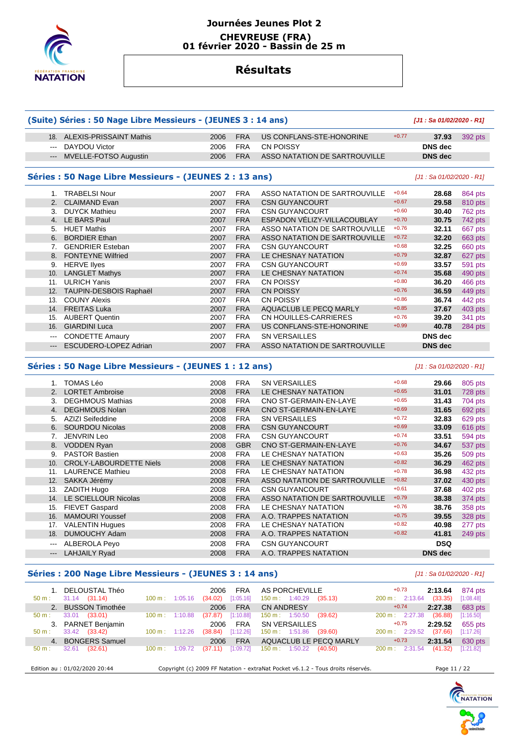

## **Journées Jeunes Plot 2 CHEVREUSE (FRA) 01 février 2020 - Bassin de 25 m**

# **Résultats**

| (Suite) Séries : 50 Nage Libre Messieurs - (JEUNES 3 : 14 ans) |                                                        | [J1: Sa 01/02/2020 - R1] |            |                               |         |                           |         |
|----------------------------------------------------------------|--------------------------------------------------------|--------------------------|------------|-------------------------------|---------|---------------------------|---------|
| 18.                                                            | <b>ALEXIS-PRISSAINT Mathis</b>                         | 2006                     | <b>FRA</b> | US CONFLANS-STE-HONORINE      | $+0.77$ | 37.93                     | 392 pts |
| $---$                                                          | DAYDOU Victor                                          | 2006                     | <b>FRA</b> | <b>CN POISSY</b>              |         | DNS dec                   |         |
| $---$                                                          | MVELLE-FOTSO Augustin                                  | 2006                     | <b>FRA</b> | ASSO NATATION DE SARTROUVILLE |         | <b>DNS</b> dec            |         |
|                                                                | Séries : 50 Nage Libre Messieurs - (JEUNES 2 : 13 ans) |                          |            |                               |         | [J1 : Sa 01/02/2020 - R1] |         |
| $1_{-}$                                                        | <b>TRABELSI Nour</b>                                   | 2007                     | <b>FRA</b> | ASSO NATATION DE SARTROUVILLE | $+0.64$ | 28.68                     | 864 pts |
| 2 <sub>1</sub>                                                 | <b>CLAIMAND Evan</b>                                   | 2007                     | <b>FRA</b> | <b>CSN GUYANCOURT</b>         | $+0.67$ | 29.58                     | 810 pts |
| $\mathbf{3}$                                                   | <b>DUYCK Mathieu</b>                                   | 2007                     | <b>FRA</b> | <b>CSN GUYANCOURT</b>         | $+0.60$ | 30.40                     | 762 pts |
| 4.                                                             | <b>LE BARS Paul</b>                                    | 2007                     | <b>FRA</b> | ESPADON VÉLIZY-VILLACOUBLAY   | $+0.70$ | 30.75                     | 742 pts |
| 5.                                                             | <b>HUET Mathis</b>                                     | 2007                     | <b>FRA</b> | ASSO NATATION DE SARTROUVILLE | $+0.76$ | 32.11                     | 667 pts |
| 6.                                                             | <b>BORDIER Ethan</b>                                   | 2007                     | <b>FRA</b> | ASSO NATATION DE SARTROUVILLE | $+0.72$ | 32.20                     | 663 pts |
| 7 <sub>1</sub>                                                 | <b>GENDRIER Esteban</b>                                | 2007                     | <b>FRA</b> | <b>CSN GUYANCOURT</b>         | $+0.68$ | 32.25                     | 660 pts |
| 8.                                                             | <b>FONTEYNE Wilfried</b>                               | 2007                     | <b>FRA</b> | LE CHESNAY NATATION           | $+0.79$ | 32.87                     | 627 pts |
| 9.                                                             | <b>HERVE liyes</b>                                     | 2007                     | <b>FRA</b> | <b>CSN GUYANCOURT</b>         | $+0.69$ | 33.57                     | 591 pts |
| 10.                                                            | <b>LANGLET Mathys</b>                                  | 2007                     | <b>FRA</b> | LE CHESNAY NATATION           | $+0.74$ | 35.68                     | 490 pts |
| 11.                                                            | <b>ULRICH Yanis</b>                                    | 2007                     | <b>FRA</b> | <b>CN POISSY</b>              | $+0.80$ | 36.20                     | 466 pts |
| 12.                                                            | TAUPIN-DESBOIS Raphaël                                 | 2007                     | <b>FRA</b> | <b>CN POISSY</b>              | $+0.76$ | 36.59                     | 449 pts |
| 13.                                                            | <b>COUNY Alexis</b>                                    | 2007                     | <b>FRA</b> | CN POISSY                     | $+0.86$ | 36.74                     | 442 pts |
| 14.                                                            | <b>FREITAS Luka</b>                                    | 2007                     | <b>FRA</b> | AQUACLUB LE PECQ MARLY        | $+0.85$ | 37.67                     | 403 pts |
| 15.                                                            | <b>AUBERT Quentin</b>                                  | 2007                     | <b>FRA</b> | CN HOUILLES-CARRIERES         | $+0.76$ | 39.20                     | 341 pts |
| 16.                                                            | <b>GIARDINI Luca</b>                                   | 2007                     | <b>FRA</b> | US CONFLANS-STE-HONORINE      | $+0.99$ | 40.78                     | 284 pts |
| ---                                                            | <b>CONDETTE Amaury</b>                                 | 2007                     | <b>FRA</b> | <b>SN VERSAILLES</b>          |         | <b>DNS</b> dec            |         |
| $\qquad \qquad \cdots$                                         | ESCUDERO-LOPEZ Adrian                                  | 2007                     | <b>FRA</b> | ASSO NATATION DE SARTROUVILLE |         | <b>DNS</b> dec            |         |

## **Séries : 50 Nage Libre Messieurs - (JEUNES 1 : 12 ans)** [J1 : Sa 01/02/2020 - R1]

|       | TOMAS Léo                      | 2008 | <b>FRA</b> | <b>SN VERSAILLES</b>          | $+0.68$ | 29.66          | 805 pts |
|-------|--------------------------------|------|------------|-------------------------------|---------|----------------|---------|
| 2.    | <b>LORTET Ambroise</b>         | 2008 | <b>FRA</b> | LE CHESNAY NATATION           | $+0.65$ | 31.01          | 728 pts |
| 3.    | <b>DEGHMOUS Mathias</b>        | 2008 | <b>FRA</b> | CNO ST-GERMAIN-EN-LAYE        | $+0.65$ | 31.43          | 704 pts |
| 4.    | <b>DEGHMOUS Nolan</b>          | 2008 | <b>FRA</b> | CNO ST-GERMAIN-EN-LAYE        | $+0.69$ | 31.65          | 692 pts |
| 5.    | AZIZI Seifeddine               | 2008 | <b>FRA</b> | <b>SN VERSAILLES</b>          | $+0.72$ | 32.83          | 629 pts |
| 6.    | <b>SOURDOU Nicolas</b>         | 2008 | <b>FRA</b> | <b>CSN GUYANCOURT</b>         | $+0.69$ | 33.09          | 616 pts |
|       | <b>JENVRIN Leo</b>             | 2008 | <b>FRA</b> | <b>CSN GUYANCOURT</b>         | $+0.74$ | 33.51          | 594 pts |
| 8.    | <b>VODDEN Ryan</b>             | 2008 | <b>GBR</b> | CNO ST-GERMAIN-EN-LAYE        | $+0.76$ | 34.67          | 537 pts |
| 9.    | <b>PASTOR Bastien</b>          | 2008 | <b>FRA</b> | LE CHESNAY NATATION           | $+0.63$ | 35.26          | 509 pts |
| 10.   | <b>CROLY-LABOURDETTE Niels</b> | 2008 | <b>FRA</b> | LE CHESNAY NATATION           | $+0.82$ | 36.29          | 462 pts |
| 11.   | <b>LAURENCE Mathieu</b>        | 2008 | <b>FRA</b> | LE CHESNAY NATATION           | $+0.78$ | 36.98          | 432 pts |
| 12.   | SAKKA Jérémy                   | 2008 | <b>FRA</b> | ASSO NATATION DE SARTROUVILLE | $+0.82$ | 37.02          | 430 pts |
| 13.   | <b>ZADITH Hugo</b>             | 2008 | <b>FRA</b> | <b>CSN GUYANCOURT</b>         | $+0.61$ | 37.68          | 402 pts |
| 14.   | LE SCIELLOUR Nicolas           | 2008 | <b>FRA</b> | ASSO NATATION DE SARTROUVILLE | $+0.79$ | 38.38          | 374 pts |
| 15.   | <b>FIEVET Gaspard</b>          | 2008 | <b>FRA</b> | LE CHESNAY NATATION           | $+0.76$ | 38.76          | 358 pts |
| 16.   | <b>MAMOURI Youssef</b>         | 2008 | <b>FRA</b> | A.O. TRAPPES NATATION         | $+0.75$ | 39.55          | 328 pts |
| 17.   | <b>VALENTIN Hugues</b>         | 2008 | <b>FRA</b> | LE CHESNAY NATATION           | $+0.82$ | 40.98          | 277 pts |
| 18.   | <b>DUMOUCHY Adam</b>           | 2008 | <b>FRA</b> | A.O. TRAPPES NATATION         | $+0.82$ | 41.81          | 249 pts |
| ---   | <b>ALBEROLA Peyo</b>           | 2008 | <b>FRA</b> | <b>CSN GUYANCOURT</b>         |         | <b>DSQ</b>     |         |
| $---$ | <b>LAHJAILY Ryad</b>           | 2008 | <b>FRA</b> | A.O. TRAPPES NATATION         |         | <b>DNS</b> dec |         |

## **Séries : 200 Nage Libre Messieurs - (JEUNES 3 : 14 ans)** [J1 : Sa 01/02/2020 - R1]

| $50 \text{ m}$ : | 1. DELOUSTAL Théo<br>$31.14$ $(31.14)$ | $100 \text{ m}$ :        | 1:05.16 | 2006<br><b>FRA</b><br>[1:05.16]<br>(34.02) | AS PORCHEVILLE<br>$150 \text{ m}: 1:40.29$<br>(35.13) | $+0.73$<br>200 m: 2:13.64 | 2:13.64<br>(33.35) | 874 pts<br>[1:08.48] |
|------------------|----------------------------------------|--------------------------|---------|--------------------------------------------|-------------------------------------------------------|---------------------------|--------------------|----------------------|
|                  | 2. BUSSON Timothée                     |                          |         | 2006<br><b>FRA</b>                         | <b>CN ANDRESY</b>                                     | $+0.74$                   | 2:27.38            | 683 pts              |
| $50 m$ :         | 33.01<br>(33.01)                       | $100 \text{ m}$ :        | 1:10.88 | [1:10.88]<br>(37.87)                       | $150 \text{ m}: 1:50.50$<br>(39.62)                   | 200 m: 2:27.38            | (36.88)            | [1:16.50]            |
|                  | 3. PARNET Benjamin                     |                          |         | <b>FRA</b><br>2006                         | SN VERSAILLES                                         | $+0.75$                   | 2:29.52            | 655 pts              |
| $50 m$ :         | 33.42 (33.42)                          | $100 \text{ m}: 1:12.26$ |         | [1:12.26]<br>(38.84)                       | 150 m: 1:51.86<br>(39.60)                             | $200 \text{ m}: 2:29.52$  | (37.66)            | [1:17.26]            |
|                  | 4. BONGERS Samuel                      |                          |         | <b>FRA</b><br>2006                         | AQUACLUB LE PECQ MARLY                                | $+0.73$                   | 2:31.54            | 630 pts              |
|                  | 32.61<br>(32.61)                       | $100 \text{ m}$ :        | 1:09.72 | [1:09.72]<br>(37.11)                       | 150 m: 1:50.22<br>(40.50)                             | $200 \text{ m}$ : 2:31.54 | (41.32)            | [1:21.82]            |
| $50 m$ :         |                                        |                          |         |                                            |                                                       |                           |                    |                      |

Edition au : 01/02/2020 20:44 Copyright (c) 2009 FF Natation - extraNat Pocket v6.1.2 - Tous droits réservés. Page 11 / 22



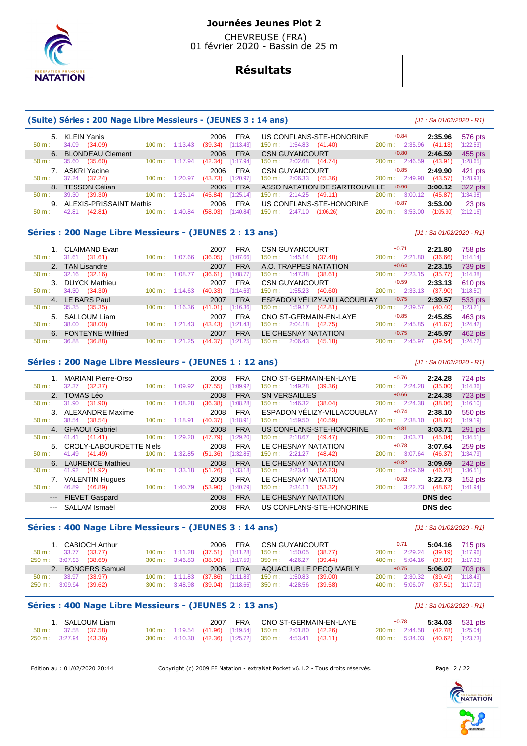

 CHEVREUSE (FRA) 01 février 2020 - Bassin de 25 m

# **Résultats**

#### **(Suite) Séries : 200 Nage Libre Messieurs - (JEUNES 3 : 14 ans)** [J1 : Sa 01/02/2020 - R1]

 5. KLEIN Yanis 2006 FRA US CONFLANS-STE-HONORINE +0.84 **2:35.96** 576 pts 50 m : 34.09 (34.09) 100 m : 1:13.43 (39.34) [1:13.43] 150 m : 1:54.83 (41.40) 200 m : 2:35.96 (41.13) [1:22.53] 6. BLONDEAU Clement 2006 FRA CSN GUYANCOURT +0.80 **2:46.59** 455 pts 50 m : 35.60 (35.60) 100 m : 1:17.94 (42.34) [1:17.94] 150 m : 2:02.68 (44.74) 200 m : 2:46.59 (43.91) [1:28.65] 7. ASKRI Yacine 2006 FRA CSN GUYANCOURT +0.85 **2:49.90** 421 pts<br>
50 m : 37.24 (37.24) 100 m : 1:20.97 (43.73) [1:20.97] 150 m : 2:06.33 (45.36) 200 m : 2:49.90 (43.57) [1:28.93] 37.24 (37.24) 100 m : 1:20.97 (43.73) [1:20.97] 150 m : 2:06.33 (45.36) 8. TESSON Célian 2006 FRA ASSO NATATION DE SARTROUVILLE +0.90 **3:00.12** 322 pts 50 m : 39.30 (39.30) 100 m : 1:25.14 (45.84) [1:25.14] 150 m : 2:14.25 (49.11) 200 m : 3:00.12 (45.87) [1:34.98] 9. ALEXIS-PRISSAINT Mathis 2006 FRA US CONFLANS-STE-HONORINE  $+0.87$  3:53.00 23 pts 6 m : 42.81 (42.81) 100 m : 1:40.84 (58.03) [1:40.84] 150 m : 2:47.10 (1:06.26) 200 m : 3:53.00 (1:05.90) [2:12.16]  $150 \text{ m} \cdot 2.4710$   $(1.0626)$ 

#### **Séries : 200 Nage Libre Messieurs - (JEUNES 2 : 13 ans)** [J1 : Sa 01/02/2020 - R1]

|                  | 1. CLAIMAND Evan     |                   |         | 2007    | FRA        | <b>CSN GUYANCOURT</b>                   | $+0.71$                      | 2:21.80 | 758 pts   |
|------------------|----------------------|-------------------|---------|---------|------------|-----------------------------------------|------------------------------|---------|-----------|
| $50 \text{ m}$ : | (31.61)<br>31.61     | 100 m:            | 1:07.66 | (36.05) | [1:07.66]  | $150 \text{ m}: 1:45.14$<br>(37.48)     | 2:21.80<br>$200 \text{ m}$ : | (36.66) | [1:14.14] |
|                  | 2. TAN Lisandre      |                   |         | 2007    | <b>FRA</b> | A.O. TRAPPES NATATION                   | $+0.64$                      | 2:23.15 | 739 pts   |
| $50 \text{ m}$ : | 32.16<br>(32.16)     | 100 m:            | 1:08.77 | (36.61) | [1:08.77]  | $150 \text{ m}: 1:47.38$<br>(38.61)     | $200 \text{ m}$ : 2:23.15    | (35.77) | [1:14.38] |
|                  | 3. DUYCK Mathieu     |                   |         | 2007    | <b>FRA</b> | <b>CSN GUYANCOURT</b>                   | $+0.59$                      | 2:33.13 | $610$ pts |
| $50 \text{ m}$ : | (34.30)<br>34.30     | $100 \text{ m}$ : | 1:14.63 | (40.33) | [1:14.63]  | $150 \text{ m}: 1:55.23$<br>(40.60)     | $200 \text{ m}$ : 2:33.13    | (37.90) | [1:18.50] |
|                  | 4. LE BARS Paul      |                   |         | 2007    | <b>FRA</b> | ESPADON VÉLIZY-VILLACOUBLAY             | $+0.75$                      | 2:39.57 | 533 pts   |
| $50 \text{ m}$ : | 35.35<br>(35.35)     | $100 \text{ m}$ : | 1:16.36 | (41.01) | [1:16.36]  | $150 \text{ m}$ : 1:59.17<br>(42.81)    | $200 \text{ m}$ : 2:39.57    | (40.40) | [1:23.21] |
|                  | 5. SALLOUM Liam      |                   |         | 2007    | <b>FRA</b> | CNO ST-GERMAIN-EN-LAYE                  | $+0.85$                      | 2:45.85 | 463 pts   |
| 50 m:            | (38.00)<br>38.00     | $100 \text{ m}$ : | 1:21.43 | (43.43) | [1:21.43]  | $150 \text{ m}: 2:04.18$<br>(42.75)     | $200 \text{ m}$ : 2:45.85    | (41.67) | [1:24.42] |
|                  | 6. FONTEYNE Wilfried |                   |         | 2007    | <b>FRA</b> | LE CHESNAY NATATION                     | $+0.75$                      | 2:45.97 | 462 pts   |
| $50 m$ :         | (36.88)<br>36.88     | 100 m:            | .25     | (44.37) | [1:21.25]  | (45.18)<br>$150 \text{ m}$ :<br>2:06.43 | 2:45.97<br>$200 \text{ m}$ : | (39.54) | [1:24.72] |

#### **Séries : 200 Nage Libre Messieurs - (JEUNES 1 : 12 ans)** [J1 : Sa 01/02/2020 - R1]

 1. MARIANI Pierre-Orso 2008 FRA CNO ST-GERMAIN-EN-LAYE +0.76 **2:24.28** 724 pts 50 m : 32.37 (32.37) 100 m : 1:09.92 (37.55) [1:09.92] 150 m : 1:49.28 (39.36) 200 m : 2:24.28 (35.00) [1:14.36] 2. TOMAS Léo 2008 FRA SN VERSAILLES +0.66 **2:24.38** 723 pts 150 m : 1:46.32 (38.04) 3. ALEXANDRE Maxime 2008 FRA ESPADON VÉLIZY-VILLACOUBLAY +0.74 **2:38.10** 550 pts 150 m : 1:59.50 (40.59) 4. GHAOUI Gabriel 2008 FRA US CONFLANS-STE-HONORINE +0.81 **3:03.71** 291 pts<br>
50 m : 41.41 (41.41) 100 m : 1:29.20 (47.79) [1:29.20] 150 m : 2:18.67 (49.47) 200 m : 3:03.71 (45.04) [1:34.51] 50 m : 41.41 (41.41) 100 m : 1:29.20 (47.79) [1:29.20] 150 m : 2:18.67 (49.47) 200 m : 3:03.71 (45.04) [1:34.51] 5. CROLY-LABOURDETTE Niels 2008 FRA LE CHESNAY NATATION +0.78 **3:07.64** 259 pts 50 m : 41.49 (41.49) 100 m : 1:32.85 (51.36) [1:32.85] 150 m : 2:21.27 (48.42) 200 m : 3:07.64 (46.37) [1:34.79] 6. LAURENCE Mathieu 2008 FRA LE CHESNAY NATATION +0.82 **3:09.69** 242 pts 50 m : 41.92 (41.92) 100 m : 1:33.18 (51.26) [1:33.18] 150 m : 2:23.41 (50.23) 200 m : 3:09.69 (46.28) [1:36.51] 7. VALENTIN Hugues 2008 FRA LE CHESNAY NATATION +0.82 **3:22.73** 152 pts 150 m : 2:34.11 (53.32) --- FIEVET Gaspard 2008 FRA LE CHESNAY NATATION **DNS dec**  --- SALLAM Ismaël 2008 FRA US CONFLANS-STE-HONORINE **DNS dec** 

#### **Séries : 400 Nage Libre Messieurs - (JEUNES 3 : 14 ans)** [J1 : Sa 01/02/2020 - R1]

| 1. CABIOCH Arthur             |  | 2006 FRA CSN GUYANCOURT                                   | +0.71   | 5:04.16 $715 \text{ pts}$        |
|-------------------------------|--|-----------------------------------------------------------|---------|----------------------------------|
| 50 m : 33.77 (33.77)          |  | 100 m: 1:11.28 (37.51) [1:11.28] 150 m: 1:50.05 (38.77)   |         | 200 m: 2:29.24 (39.19) [1:17.96] |
| 250 m : 3:07.93 (38.69)       |  | 300 m : 3:46.83 (38.90) [1:17.59] 350 m : 4:26.27 (39.44) |         | 400 m: 5:04.16 (37.89) [1:17.33] |
| 2. BONGERS Samuel             |  | 2006 FRA AQUACLUB LE PECQ MARLY                           | $+0.75$ | $5:06.07$ 703 pts                |
| $50 \text{ m}: 33.97 (33.97)$ |  | 100 m: 1:11.83 (37.86) [1:11.83] 150 m: 1:50.83 (39.00)   |         | 200 m: 2:30.32 (39.49) [1:18.49] |
| 250 m : 3:09.94 (39.62)       |  | 300 m : 3:48.98 (39.04) [1:18.66] 350 m : 4:28.56 (39.58) |         | 400 m: 5:06.07 (37.51) [1:17.09] |

## **Séries : 400 Nage Libre Messieurs - (JEUNES 2 : 13 ans)** [J1 : Sa 01/02/2020 - R1]

|                         |                      | 1. SALLOUM Liam |  |  |                                                           | 2007 FRA CNO ST-GERMAIN-EN-LAYE |  |                                  | $+0.78$ 5:34.03 531 pts |
|-------------------------|----------------------|-----------------|--|--|-----------------------------------------------------------|---------------------------------|--|----------------------------------|-------------------------|
|                         | 50 m : 37.58 (37.58) |                 |  |  | 100 m: 1:19.54 (41.96) [1:19.54] 150 m: 2:01.80 (42.26)   |                                 |  | 200 m: 2:44.58 (42.78) [1:25.04] |                         |
| 250 m : 3:27.94 (43.36) |                      |                 |  |  | 300 m : 4:10.30 (42.36) [1:25.72] 350 m : 4:53.41 (43.11) |                                 |  | 400 m: 5:34.03 (40.62) [1:23.73] |                         |

Edition au : 01/02/2020 20:44 Copyright (c) 2009 FF Natation - extraNat Pocket v6.1.2 - Tous droits réservés. Page 12 / 22

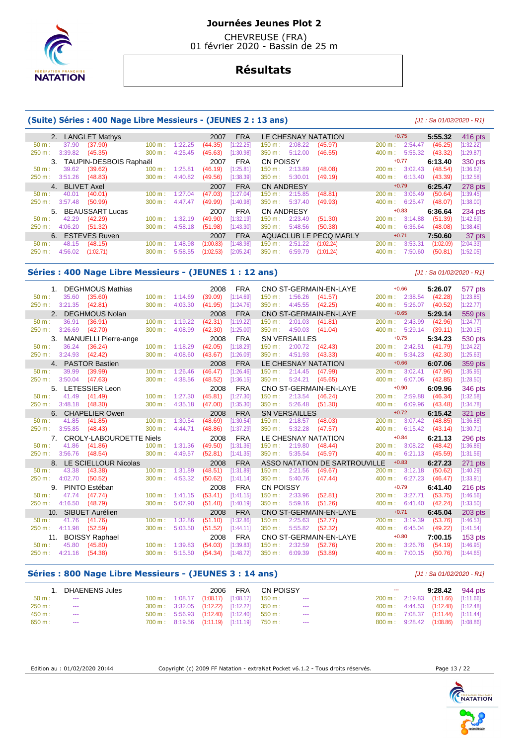

 CHEVREUSE (FRA) 01 février 2020 - Bassin de 25 m

# **Résultats**

#### **(Suite) Séries : 400 Nage Libre Messieurs - (JEUNES 2 : 13 ans)** [J1 : Sa 01/02/2020 - R1]

| 2. LANGLET Mathys    |                           |         | 2007      | <b>FRA</b> |                   |         | LE CHESNAY NATATION    | $+0.75$           |         | 5:55.32   | $416$ pts |
|----------------------|---------------------------|---------|-----------|------------|-------------------|---------|------------------------|-------------------|---------|-----------|-----------|
| 37.90<br>$50 m$ :    | (37.90)<br>100 m:         | 1:22.25 | (44.35)   | [1:22.25]  | 150 m :           | 2:08.22 | (45.97)                | 200 m:            | 2:54.47 | (46.25)   | [1:32.22] |
| 3:39.82<br>250 m:    | (45.35)<br>300 m:         | 4:25.45 | (45.63)   | [1:30.98]  | 350 m :           | 5:12.00 | (46.55)                | $400 \text{ m}$ : | 5:55.32 | (43.32)   | [1:29.87] |
|                      | 3. TAUPIN-DESBOIS Raphaël |         | 2007      | <b>FRA</b> | CN POISSY         |         |                        | $+0.77$           |         | 6:13.40   | 330 pts   |
| 39.62<br>50 m:       | (39.62)<br>100 m:         | 1:25.81 | (46.19)   | [1:25.81]  | 150 m : _         | 2:13.89 | (48.08)                | 200 m:            | 3:02.43 | (48.54)   | [1:36.62] |
| 3:51.26<br>$250 m$ : | (48.83)<br>300 m:         | 4:40.82 | (49.56)   | [1:38.39]  | $350 \text{ m}$ : | 5:30.01 | (49.19)                | $400 \text{ m}$ : | 6:13.40 | (43.39)   | [1:32.58] |
| 4. BLIVET Axel       |                           |         | 2007      | <b>FRA</b> | <b>CN ANDRESY</b> |         |                        | $+0.79$           |         | 6:25.47   | 278 pts   |
| 40.01<br>$50 m$ :    | (40.01)<br>100 m:         | 1:27.04 | (47.03)   | [1:27.04]  | 150 m :           | 2:15.85 | (48.81)                | 200 m:            | 3:06.49 | (50.64)   | [1:39.45] |
| 3:57.48<br>250 m:    | (50.99)<br>300 m:         | 4:47.47 | (49.99)   | [1:40.98]  | $350 \text{ m}$ : | 5:37.40 | (49.93)                | $400 \text{ m}$ : | 6:25.47 | (48.07)   | [1:38.00] |
|                      | 5. BEAUSSART Lucas        |         | 2007      | <b>FRA</b> | <b>CN ANDRESY</b> |         |                        | $+0.83$           |         | 6:36.64   | 234 pts   |
| 42.29<br>$50 m$ :    | (42.29)<br>100 m:         | 1:32.19 | (49.90)   | [1:32.19]  | 150 m : _         | 2:23.49 | (51.30)                | 200 m:            | 3:14.88 | (51.39)   | [1:42.69] |
| 4:06.20<br>250 m:    | (51.32)<br>300 m:         | 4:58.18 | (51.98)   | [1:43.30]  | $350 \text{ m}$ : | 5:48.56 | (50.38)                | 400 m:            | 6:36.64 | (48.08)   | [1:38.46] |
| 6. ESTEVES Ruven     |                           |         | 2007      | <b>FRA</b> |                   |         | AQUACLUB LE PECO MARLY | $+0.71$           |         | 7:50.60   | 37 pts    |
| 48.15<br>$50 m$ :    | (48.15)<br>100 m:         | 1:48.98 | (1:00.83) | [1:48.98]  | 150 m :           | 2:51.22 | (1:02.24)              | 200 m:            | 3:53.31 | (1:02.09) | [2:04.33] |
| 4:56.02<br>250 m:    | (1:02.71)<br>300 m:       | 5:58.55 | (1:02.53) | [2:05.24]  | 350 m:            | 6:59.79 | (1:01.24)              | 400 m:            | 7:50.60 | (50.81)   | [1:52.05] |

#### **Séries : 400 Nage Libre Messieurs - (JEUNES 1 : 12 ans)** [J1 : Sa 01/02/2020 - R1]

 1. DEGHMOUS Mathias 2008 FRA CNO ST-GERMAIN-EN-LAYE +0.66 **5:26.07** 577 pts 50 m : 35.60 (35.60) 100 m : 1:14.69 (39.09) [1:14.69] 150 m : 1:56.26 (41.57) 200 m : 2:38.54 (42.28) [1:23.85] 250 m : 3:21.35 (42.81) 300 m : 4:03.30 (41.95) [1:24.76] 350 m : 4:45.55 (42.25) 400 m : 5:26.07 (40.52) [1:22.77] 2. DEGHMOUS Nolan 2008 FRA CNO ST-GERMAIN-EN-LAYE +0.65 **5:29.14** 559 pts<br>2. 36.91 (36.91) 100 m; 1:19.22 (42.31) [1:19.22] 150 m; 2:01.03 (41.81) 200 m; 2:43.99 (42.96) [1:24.77] 50 m : 36.91 (36.91) 100 m : 1:19.22 (42.31) [1:19.22] 150 m : 2:01.03 (41.81) 200 m : 2:43.99 (42.96) [1:24.77] 250 m : 3:26.69 (42.70) 300 m : 4:08.99 (42.30) [1:25.00] 350 m : 4:50.03 (41.04) 400 m : 5:29.14 (39.11) [1:20.15] 3. MANUELLI Pierre-ange 2008 FRA SN VERSAILLES +0.75 **5:34.23** 530 pts<br>
50 m: 36.24 (36.24) 100 m: 1:18.29 (42.05) [1:18.29] 150 m: 2:00.72 (42.43) 200 m: 2:42.51 (41.79) [1:24.22] 50 m : 36.24 (36.24) 100 m : 1:18.29 (42.05) [1:18.29] 150 m : 2:00.72 (42.43) 200 m : 2:42.51 (41.79) [1:24.22] 250 m : 3:24.93 (42.42) 300 m : 4:08.60 (43.67) [1:26.09] 350 m : 4:51.93 (43.33) 400 m : 5:34.23 (42.30) [1:25.63] 4. PASTOR Bastien 2008 FRA LE CHESNAY NATATION +0.66 **6:07.06** 359 pts 50 m : 39.99 (39.99) 100 m : 1:26.46 (46.47) [1:26.46] 150 m : 2:14.45 (47.99) 200 m : 3:02.41 (47.96) [1:35.95] 250 m : 3:50.04 (47.63) 300 m : 4:38.56 (48.52) [1:36.15] 350 m : 5:24.21 (45.65) 400 m : 6:07.06 (42.85) [1:28.50] 5. LETESSIER Leon 2008 FRA CNO ST-GERMAIN-EN-LAYE +0.90 **6:09.96** 346 pts 50 m : 41.49 (41.49) 100 m : 1:27.30 (45.81) [1:27.30] 150 m : 2:13.54 (46.24) 200 m : 2:59.88 (46.34) [1:32.58] 250 m : 3:48.18 (48.30) 300 m : 4:35.18 (47.00) [1:35.30] 350 m : 5:26.48 (51.30) 400 m : 6:09.96 (43.48) [1:34.78] 6. CHAPELIER Owen 2008 FRA SN VERSAILLES +0.72 **6:15.42** 321 pts 50 m : 41.85 (41.85) 100 m : 1:30.54 (48.69) [1:30.54] 150 m : 2:18.57 (48.03) 200 m : 3:07.42 (48.85) [1:36.88] 250 m : 3:55.85 (48.43) 300 m : 4:44.71 (48.86) [1:37.29] 350 m : 5:32.28 (47.57) 400 m : 6:15.42 (43.14) [1:30.71] 7. CROLY-LABOURDETTE Niels 2008 FRA LE CHESNAY NATATION +0.84 **6:21.13** 296 pts 56 (41.86) 100 m : 1:31.36 (49.50) [1:31.36] 150 m : 2:19.80 (48.44) 200 m : 3:08.22 (48.42)<br>156.76 (48.54) 300 m : 4:49.57 (52.81) [1:41.35] 350 m : 5:35.54 (45.97) 400 m : 6:21.13 (45.59) 250 m : 3:56.76 (48.54) 300 m : 4:49.57 (52.81) [1:41.35] 350 m : 5:35.54 (45.97) 400 m : 6:21.13 (45.59) [1:31.56] 8. LE SCIELLOUR Nicolas 2008 FRA ASSO NATATION DE SARTROUVILLE +0.83 **6:27.23** 271 pts<br>
50 m : 43.38 (43.38) 430 m : 1:31.89 (48.51) [1:31.89] 150 m : 2:21.56 (49.67) 200 m : 3:12.18 (50.62) [1:40.29] 50 m : 43.38 (43.38) 100 m : 1:31.89 (48.51) [1:31.89] 150 m : 2:21.56 (49.67) 200 m : 3:12.18 (50.62) [1:40.29] 250 m : 4:02.70 (50.52) 300 m : 4:53.32 (50.62) [1:41.14] 350 m : 5:40.76 (47.44) 400 m : 6:27.23 (46.47) [1:33.91] 9. PINTO Estéban 2008 FRA CN POISSY +0.79 **6:41.40** 216 pts<br>
50 m : 47.74 (47.74) 100 m : 1:41.15 (53.41) [1:41.15] 150 m : 2:33.96 (52.81) 200 m : 3:27.71 (53.75) [1:46.56] 50 m : 47.74 (47.74) 100 m : 1:41.15 (53.41) [1:41.15] 150 m : 2:33.96 (52.81) 200 m : 3:27.71 (53.75) [1:46.56] 250 m : 4:16.50 (48.79) 300 m : 5:07.90 (51.40) [1:40.19] 350 m : 5:59.16 (51.26) 400 m : 6:41.40 (42.24) [1:33.50] 10. SIBUET Aurélien 2008 FRA CNO ST-GERMAIN-EN-LAYE +0.71 **6:45.04** 203 pts 50 m : 41.76 (41.76) 100 m : 1:32.86 (51.10) [1:32.86] 150 m : 2:25.63 (52.77) 200 m : 3:19.39 (53.76) [1:46.53] 250 m : 4:11.98 (52.59) 300 m : 5:03.50 (51.52) [1:44.11] 350 m : 5:55.82 (52.32) 400 m : 6:45.04 (49.22) [1:41.54] 11. BOISSY Raphael 2008 FRA CNO ST-GERMAIN-EN-LAYE  $+0.80$  7:00.15 153 pts<br>
50 m: 45.80 (45.80) 100 m: 1:39.83 (54.03) [1:39.83] 150 m: 2:32.59 (52.76) 200 m: 3:26.78 (54.19) [1:46.95] 50 m : 45.80 (45.80) 100 m : 1:39.83 (54.03) [1:39.83] 150 m : 2:32.59 (52.76) 200 m : 3:26.78 (54.19) [1:46.95] 250 m : 4:21.16 (54.38) 300 m : 5:15.50 (54.34) [1:48.72] 350 m : 6:09.39 (53.89) 400 m : 7:00.15 (50.76) [1:44.65]

## **Séries : 800 Nage Libre Messieurs - (JEUNES 3 : 14 ans)** [J1 : Sa 01/02/2020 - R1]

|          | DHAENENS Jules |  |                                                                       | 2006 FRA CN POISSY                                                |            | $- - -$                             | $9:28.42$ 944 pts |
|----------|----------------|--|-----------------------------------------------------------------------|-------------------------------------------------------------------|------------|-------------------------------------|-------------------|
| $50 m$ : | $- - -$        |  |                                                                       | $100 \text{ m}: 1:08.17$ $(1:08.17)$ $[1:08.17]$ $150 \text{ m}:$ | $--$       | 200 m: 2:19.83 (1:11.66) [1:11.66]  |                   |
| 250 m:   | $\sim$ $\sim$  |  | 300 m: 3:32.05 (1:12.22) [1:12.22] 350 m:                             |                                                                   | $-$        | 400 m: 4:44.53 (1:12.48) [1:12.48]  |                   |
| 450 m:   | $\sim$ $\sim$  |  | $500 \text{ m}$ : $5:56.93$ $(1:12.40)$ $[1:12.40]$ $550 \text{ m}$ : |                                                                   | $\sim 100$ | 600 m : 7:08.37 (1:11.44) [1:11.44] |                   |
| 650 m:   | ---            |  | 700 m: 8:19.56 (1:11.19) [1:11.19] 750 m:                             |                                                                   | ---        | 800 m: 9:28.42 (1:08.86) [1:08.86]  |                   |

Edition au : 01/02/2020 20:44 Copyright (c) 2009 FF Natation - extraNat Pocket v6.1.2 - Tous droits réservés. Page 13 / 22



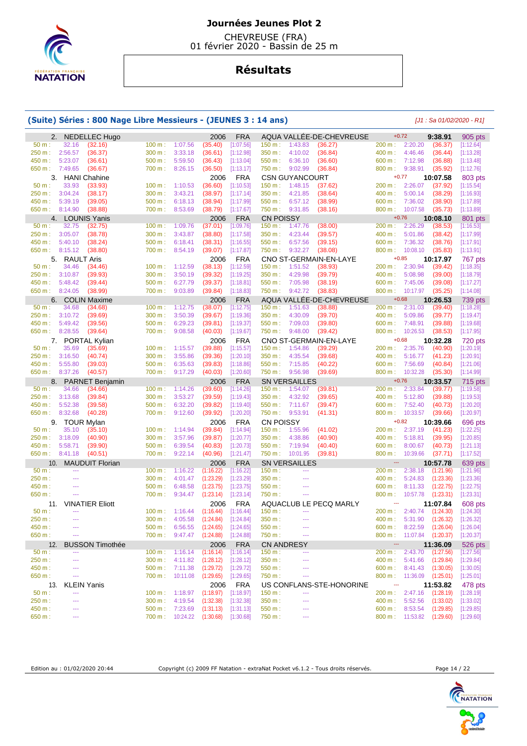

 CHEVREUSE (FRA) 01 février 2020 - Bassin de 25 m

# **Résultats**

## **(Suite) Séries : 800 Nage Libre Messieurs - (JEUNES 3 : 14 ans)** [J1 : Sa 01/02/2020 - R1]

|                  |                          | 2. NEDELLEC Hugo                  |                   |                                              | 2006                                            | <b>FRA</b>              |                                                        | AQUA VALLÉE-DE-CHEVREUSE | $+0.72$                                           | 9:38.91                | 905 pts                |
|------------------|--------------------------|-----------------------------------|-------------------|----------------------------------------------|-------------------------------------------------|-------------------------|--------------------------------------------------------|--------------------------|---------------------------------------------------|------------------------|------------------------|
| 50 m:            | 32.16                    | (32.16)                           | 100 m:            | 1:07.56                                      | (35.40)                                         | [1:07.56]               | 1:43.83<br>150 m:                                      | (36.27)                  | 2:20.20<br>200 m:                                 | (36.37)                | [1:12.64]              |
| 250 m:           | 2:56.57                  | (36.37)                           | 300 m:            | 3:33.18                                      | (36.61)                                         | [1:12.98]               | 350 m:<br>4:10.02                                      | (36.84)                  | 400 m:<br>4:46.46                                 | (36.44)                | [1:13.28]              |
| 450 m :          | 5:23.07                  | (36.61)                           | 500 m:            | 5:59.50                                      | (36.43)                                         | [1:13.04]               | 550 m:<br>6:36.10                                      | (36.60)                  | 600 m:<br>7:12.98                                 | (36.88)                | [1:13.48]              |
| 650 m: 7:49.65   |                          | (36.67)                           | 700 m:            | 8:26.15                                      | (36.50)                                         | [1:13.17]               | 750 m :<br>9:02.99                                     | (36.84)                  | 800 m:<br>9:38.91                                 | (35.92)                | [1:12.76]              |
|                  | 3. HANI Chahine          |                                   |                   |                                              | 2006                                            | <b>FRA</b>              | <b>CSN GUYANCOURT</b>                                  |                          | $+0.77$                                           | 10:07.58               | 803 pts                |
| 50 m:            | 33.93                    | (33.93)                           | 100 m:            | 1:10.53                                      | (36.60)                                         | [1:10.53]               | 1:48.15<br>150 m:                                      | (37.62)                  | 200 m:<br>2:26.07                                 | (37.92)                | [1:15.54]              |
| 250 m :          | 3:04.24                  | (38.17)                           | 300 m:            | 3:43.21                                      | (38.97)                                         | [1:17.14]               | 4:21.85<br>350 m:                                      | (38.64)                  | 400 m: 5:00.14                                    | (38.29)                | [1:16.93]              |
| 450 m :          | 5:39.19                  | (39.05)                           | 500 m:            | 6:18.13                                      | (38.94)                                         | [1:17.99]               | 6:57.12<br>550 m:                                      | (38.99)                  | 7:36.02<br>600 m:                                 | (38.90)                | [1:17.89]              |
| 650 m: 8:14.90   |                          | (38.88)                           | 700 m:            | 8:53.69                                      | (38.79)                                         | [1:17.67]               | 750 m: 9:31.85                                         | (38.16)                  | 800 m:<br>10:07.58                                | (35.73)                | [1:13.89]              |
|                  | 4. LOUNIS Yanis          |                                   |                   |                                              | 2006                                            | <b>FRA</b>              | <b>CN POISSY</b>                                       |                          | $+0.76$                                           | 10:08.10               | 801 pts                |
| 50 m:            | 32.75                    | (32.75)                           | $100 \text{ m}$ : | 1:09.76                                      | (37.01)                                         | [1:09.76]               | 1:47.76<br>150 m:                                      | (38.00)                  | 200 m:<br>2:26.29                                 | (38.53)                | [1:16.53]              |
| 250 m :          | 3:05.07                  | (38.78)                           | 300 m:            | 3:43.87                                      | (38.80)                                         | [1:17.58]               | 350 m:<br>4:23.44                                      | (39.57)                  | 400 m:<br>5:01.86                                 | (38.42)                | [1:17.99]              |
| 450 m :          | 5:40.10                  | (38.24)                           | 500 m:            | 6:18.41                                      | (38.31)                                         | [1:16.55]               | 550 m:<br>6:57.56                                      | (39.15)                  | 600 m:<br>7:36.32                                 | (38.76)                | [1:17.91]              |
| 650 m :          | 8:15.12                  | (38.80)                           | 700 m:            | 8:54.19                                      | (39.07)                                         | [1:17.87]               | 750 m :<br>9:32.27                                     | (38.08)                  | 800 m:<br>10:08.10                                | (35.83)                | [1:13.91]              |
|                  | 5. RAULT Aris            |                                   |                   |                                              | 2006                                            | <b>FRA</b>              |                                                        | CNO ST-GERMAIN-EN-LAYE   | $+0.85$                                           | 10:17.97               | 767 pts                |
| 50 m:            | 34.46                    | (34.46)                           | 100 m:            | 1:12.59                                      | (38.13)                                         | [1:12.59]               | 1:51.52<br>150 m:                                      | (38.93)                  | 200 m:<br>2:30.94                                 | (39.42)                | [1:18.35]              |
| 250 m :          | 3:10.87                  | (39.93)                           | 300 m:            | 3:50.19                                      | (39.32)                                         | [1:19.25]               | 350 m:<br>4:29.98                                      | (39.79)                  | 400 m:<br>5:08.98                                 | (39.00)                | [1:18.79]              |
| 450 m :          | 5:48.42                  | (39.44)                           | 500 m:            | 6:27.79                                      | (39.37)                                         | [1:18.81]               | 550 m:<br>7:05.98                                      | (38.19)                  | 600 m:<br>7:45.06                                 | (39.08)                | [1:17.27]              |
| 650 m :          | 8:24.05                  | (38.99)                           | 700 m:            | 9:03.89                                      | (39.84)                                         | [1:18.83]               | 750 m :<br>9:42.72                                     | (38.83)                  | 800 m:<br>10:17.97                                | (35.25)                | [1:14.08]              |
|                  | 6. COLIN Maxime          |                                   |                   |                                              | 2006                                            | <b>FRA</b>              |                                                        | AQUA VALLEE-DE-CHEVREUSE | $+0.68$                                           | 10:26.53               | 739 pts                |
| 50 m:            | 34.68                    | (34.68)                           | 100 m:            | 1:12.75                                      | (38.07)                                         | [1:12.75]               | 150 m:<br>1:51.63                                      | (38.88)                  | 200 m:<br>2:31.03                                 | (39.40)                | [1:18.28]              |
| 250 m :          | 3:10.72                  | (39.69)                           | 300 m:            | 3:50.39                                      | (39.67)                                         | [1:19.36]               | 350 m:<br>4:30.09                                      | (39.70)                  | 400 m:<br>5:09.86                                 | (39.77)                | [1:19.47]              |
| 450 m:           | 5:49.42                  | (39.56)                           | 500 m:            | 6:29.23                                      | (39.81)                                         | [1:19.37]               | 7:09.03<br>550 m:                                      | (39.80)                  | 600 m:<br>7:48.91                                 | (39.88)                | [1:19.68]              |
| 650 m: 8:28.55   |                          | (39.64)                           | 700 m :           | 9:08.58                                      | (40.03)                                         | [1:19.67]               | 9:48.00<br>750 m :                                     | (39.42)                  | 800 m:<br>10:26.53                                | (38.53)                | [1:17.95]              |
|                  | 7. PORTAL Kylian         |                                   |                   |                                              | 2006                                            | <b>FRA</b>              |                                                        | CNO ST-GERMAIN-EN-LAYE   | $+0.68$                                           | 10:32.28               | 720 pts                |
| 50 m:            | 35.69                    | (35.69)                           | 100 m:            | 1:15.57                                      | (39.88)                                         | [1:15.57]               | $150 m$ :<br>1:54.86                                   | (39.29)                  | 2:35.76<br>200 m:                                 | (40.90)                | [1:20.19]              |
| 250 m:           | 3:16.50                  | (40.74)                           | 300 m:            | 3:55.86                                      | (39.36)                                         | [1:20.10]               | 350 m:<br>4:35.54                                      | (39.68)                  | 400 m:<br>5:16.77                                 | (41.23)                | [1:20.91]              |
| 450 m :          | 5:55.80                  | (39.03)                           | 500 m:            | 6:35.63                                      | (39.83)                                         | [1:18.86]               | 7:15.85<br>550 m:                                      | (40.22)                  | 600 m:<br>7:56.69                                 | (40.84)                | [1:21.06]              |
| 650 m :          | 8:37.26                  | (40.57)                           | 700 m:            | 9:17.29                                      | (40.03)                                         | [1:20.60]               | 9:56.98<br>750 m :                                     | (39.69)                  | 800 m:<br>10:32.28                                | (35.30)                | [1:14.99]              |
|                  |                          |                                   |                   |                                              |                                                 |                         |                                                        |                          |                                                   |                        |                        |
|                  |                          |                                   |                   |                                              |                                                 |                         |                                                        |                          | $+0.76$                                           |                        |                        |
| 8.<br>50 m:      | 34.66                    | <b>PARNET Benjamin</b><br>(34.66) | 100 m:            | 1:14.26                                      | 2006<br>(39.60)                                 | <b>FRA</b>              | <b>SN VERSAILLES</b><br>1:54.07<br>150 m:              | (39.81)                  | 200 m:<br>2:33.84                                 | 10:33.57<br>(39.77)    | 715 pts<br>[1:19.58]   |
| 250 m :          | 3:13.68                  | (39.84)                           | 300 m:            | 3:53.27                                      | (39.59)                                         | [1:14.26]<br>[1:19.43]  | 350 m:<br>4:32.92                                      | (39.65)                  | 400 m:<br>5:12.80                                 | (39.88)                |                        |
| 450 m:           | 5:52.38                  | (39.58)                           | 500 m:            | 6:32.20                                      | (39.82)                                         | [1:19.40]               | 550 m:<br>7:11.67                                      | (39.47)                  | 600 m:<br>7:52.40                                 | (40.73)                | [1:19.53]<br>[1:20.20] |
| 650 m :          | 8:32.68                  | (40.28)                           | 700 m:            | 9:12.60                                      | (39.92)                                         | [1:20.20]               | 750 m :<br>9:53.91                                     | (41.31)                  | 800 m:<br>10:33.57                                | (39.66)                | [1:20.97]              |
|                  |                          |                                   |                   |                                              |                                                 |                         |                                                        |                          | $+0.82$                                           |                        |                        |
| 50 m:            | 9. TOUR Mylan            |                                   |                   |                                              | 2006                                            | <b>FRA</b>              | <b>CN POISSY</b>                                       |                          | 200 m:                                            | 10:39.66               | 696 pts                |
| 250 m :          | 35.10                    | (35.10)                           | 100 m:            | 1:14.94                                      | (39.84)                                         | [1:14.94]               | 1:55.96<br>150 m:                                      | (41.02)                  | 2:37.19<br>400 m: 5:18.81                         | (41.23)                | [1:22.25]              |
| 450 m:           | 3:18.09                  | (40.90)                           | 300 m:            | 3:57.96                                      | (39.87)                                         | [1:20.77]               | 4:38.86<br>350 m:                                      | (40.90)                  |                                                   | (39.95)                | [1:20.85]              |
| 650 m: 8:41.18   | 5:58.71                  | (39.90)<br>(40.51)                | 500 m:<br>700 m:  | 6:39.54<br>9:22.14                           | (40.83)<br>(40.96)                              | [1:20.73]               | 7:19.94<br>550 m:<br>750 m: 10:01.95                   | (40.40)<br>(39.81)       | 600 m:<br>8:00.67<br>800 m: 10:39.66              | (40.73)                | [1:21.13]              |
|                  |                          |                                   |                   |                                              |                                                 | [1:21.47]               |                                                        |                          | ---                                               | (37.71)                | [1:17.52]              |
| 10.<br>50 m:     | $\overline{\phantom{a}}$ | <b>MAUDUIT Florian</b>            | 100 m:            | 1:16.22                                      | 2006<br>(1:16.22)                               | <b>FRA</b><br>[1:16.22] | <b>SN VERSAILLES</b><br>150 m:<br>$\scriptstyle\cdots$ |                          | 2:38.18<br>200 m:                                 | 10:57.78<br>(1:21.96)  | 639 pts                |
| 250 m:           | $\sim$                   |                                   | 300 m:            | 4:01.47                                      | (1:23.29)                                       | [1:23.29]               | 350 m :<br>$\sim$ $\sim$                               |                          | 400 m:<br>5:24.83                                 | (1:23.36)              | [1:21.96]<br>[1:23.36] |
| 450 m :          | $\overline{a}$           |                                   | 500 m:            | 6:48.58                                      | (1:23.75)                                       | [1:23.75]               | 550 m:<br>$\scriptstyle\cdots$                         |                          | 8:11.33<br>600 m:                                 | (1:22.75)              | [1:22.75]              |
| 650 m:           | $\sim$                   |                                   | 700 m:            | 9:34.47                                      |                                                 | [1:23.14]               | 750 m :<br>$\sim$ $\sim$                               |                          | 800 m:<br>10:57.78                                |                        |                        |
|                  |                          |                                   |                   |                                              | (1:23.14)                                       |                         |                                                        |                          | $\overline{\phantom{a}}$                          | (1:23.31)              | [1:23.31]              |
| 50 m:            | $\overline{\phantom{a}}$ | 11. VINATIER Eliott               | 100 m:            |                                              | 2006                                            | <b>FRA</b>              | $\scriptstyle\cdots$                                   | AQUACLUB LE PECQ MARLY   | 200 m:                                            | 11:07.84               | 608 pts                |
| 250 m:           | ---                      |                                   | 300 m:            | 1:16.44<br>4:05.58                           | (1:16.44)                                       | [1:16.44]               | 150 m:<br>350 m:<br>$\cdots$                           |                          | 2:40.74<br>400 m:<br>5:31.90                      | (1:24.30)              | [1:24.30]              |
|                  | $-$                      |                                   |                   |                                              | (1:24.84)                                       | [1:24.84]               | $\scriptstyle\cdots$                                   |                          |                                                   | (1:26.32)              | [1:26.32]              |
| 450 m:<br>650 m: | $\scriptstyle\cdots$     |                                   | $500 m$ :         | 6:56.55                                      | (1:24.65)<br>700 m: 9:47.47 (1:24.88) [1:24.88] | [1:24.65]               | 550 m:<br>750 m :<br>$\rightarrow$                     |                          | $600 m$ :<br>8:22.59<br>800 m: 11:07.84 (1:20.37) | (1:26.04)              | [1:26.04]              |
|                  |                          |                                   |                   |                                              |                                                 |                         |                                                        |                          |                                                   |                        | [1:20.37]              |
| 12.              | $\sim$                   | <b>BUSSON Timothée</b>            |                   | 1:16.14                                      | 2006                                            | <b>FRA</b>              | <b>CN ANDRESY</b><br>---                               |                          | ---                                               | 11:36.09               | 526 pts                |
| 50 m:            | ---                      |                                   | 100 m:            |                                              | (1:16.14)                                       | [1:16.14]               | 150 m:<br>$\cdots$                                     |                          | 2:43.70<br>200 m:                                 | (1:27.56)              | [1:27.56]              |
| 250 m:           | $- - -$                  |                                   | 300 m:            | 4:11.82                                      | (1:28.12)                                       | [1:28.12]               | 350 m:<br>---                                          |                          | 400 m: 5:41.66                                    | (1:29.84)              | [1:29.84]              |
| 450 m:           | ---                      |                                   |                   | 500 m: 7:11.38                               | (1:29.72)                                       | [1:29.72]               | 550 m:<br>$\overline{\phantom{a}}$                     |                          | 600 m: 8:41.43                                    | (1:30.05)              | [1:30.05]              |
| 650 m:           |                          |                                   |                   | 700 m: 10:11.08                              | (1:29.65)                                       | [1:29.65]               | 750 m:                                                 |                          | 800 m: 11:36.09                                   | (1:25.01)              | [1:25.01]              |
| 13.              | <b>KLEIN Yanis</b>       |                                   |                   |                                              | 2006                                            | <b>FRA</b>              |                                                        | US CONFLANS-STE-HONORINE | $\scriptstyle\cdots$                              | 11:53.82               | 478 pts                |
| $50 m$ :         | ---<br>---               |                                   | 100 m:            | 1:18.97                                      | (1:18.97)                                       | [1:18.97]               | 150 m:<br>$\overline{a}$                               |                          | 200 m:<br>2:47.16                                 | (1:28.19)              | [1:28.19]              |
| 250 m :          | ---                      |                                   | 300 m:            | 4:19.54                                      | (1:32.38)                                       | [1:32.38]               | 350 m:<br>---<br>---                                   |                          | 400 m:<br>5:52.56                                 | (1:33.02)              | [1:33.02]              |
| 450 m:<br>650 m: | ---                      |                                   |                   | $500 \text{ m}: 7:23.69$<br>700 m : 10:24.22 | (1:31.13)<br>(1:30.68)                          | [1:31.13]<br>[1:30.68]  | 550 m:<br>750 m:<br>$\cdots$                           |                          | 600 m:<br>8:53.54<br>800 m: 11:53.82              | (1:29.85)<br>(1:29.60) | [1:29.85]<br>[1:29.60] |



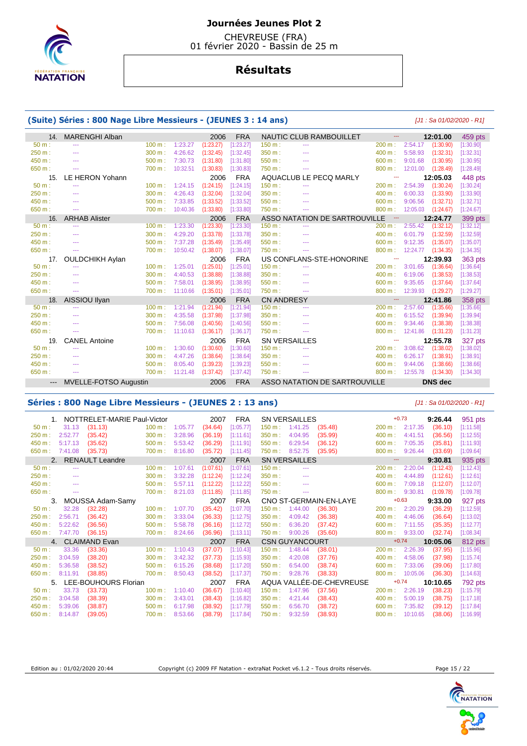

 CHEVREUSE (FRA) 01 février 2020 - Bassin de 25 m

# **Résultats**

## **(Suite) Séries : 800 Nage Libre Messieurs - (JEUNES 3 : 14 ans)** [J1 : Sa 01/02/2020 - R1]

| 14.                 | <b>MARENGHI Alban</b>        |        |          | 2006      | <b>FRA</b> |                   | NAUTIC CLUB RAMBOUILLET       |        | 12:01.00              | 459 pts   |
|---------------------|------------------------------|--------|----------|-----------|------------|-------------------|-------------------------------|--------|-----------------------|-----------|
| $50 m$ :            | $- - -$                      | 100 m: | 1:23.27  | (1:23.27) | [1:23.27]  | 150 m:            | $\sim$                        | 200 m: | 2:54.17<br>(1:30.90)  | [1:30.90] |
| 250 m:              | ---                          | 300 m: | 4:26.62  | (1:32.45) | [1:32.45]  | 350 m:            | $\cdots$                      | 400 m: | 5:58.93<br>(1:32.31)  | [1:32.31] |
| 450 m:              | $- - -$                      | 500 m: | 7:30.73  | (1:31.80) | [1:31.80]  | 550 m:            | $\sim$                        | 600 m: | 9:01.68<br>(1:30.95)  | [1:30.95] |
| 650 m:              | ---                          | 700 m: | 10:32.51 | (1:30.83) | [1:30.83]  | 750 m :           | $- - -$                       | 800 m: | 12:01.00<br>(1:28.49) | [1:28.49] |
| 15.                 | LE HERON Yohann              |        |          | 2006      | <b>FRA</b> |                   | AQUACLUB LE PECQ MARLY        | ---    | 12:05.03              | 448 pts   |
| $50 m$ :            | ---                          | 100 m: | 1:24.15  | (1:24.15) | [1:24.15]  | 150 m:            | $\sim$                        | 200 m: | 2:54.39<br>(1:30.24)  | [1:30.24] |
| 250 m:              | $-$                          | 300 m: | 4:26.43  | (1:32.04) | [1:32.04]  | 350 m:            | $\sim$                        | 400 m: | 6:00.33<br>(1:33.90)  | [1:33.90] |
| 450 m:              | $- - -$                      | 500 m: | 7:33.85  | (1:33.52) | [1:33.52]  | 550 m:            | $\sim$                        | 600 m: | 9:06.56<br>(1:32.71)  | [1:32.71] |
| 650 m:              | ---                          | 700 m: | 10:40.36 | (1:33.80) | [1:33.80]  | 750 m :           | $\cdots$                      | 800 m: | 12:05.03<br>(1:24.67) | [1:24.67] |
| 16.                 | <b>ARHAB Alister</b>         |        |          | 2006      | <b>FRA</b> |                   | ASSO NATATION DE SARTROUVILLE | $\sim$ | 12:24.77              | 399 pts   |
| $50 m$ :            | $- - -$                      | 100 m: | 1:23.30  | (1:23.30) | [1:23.30]  | 150 m:            | $\cdots$                      | 200 m: | 2:55.42<br>(1:32.12)  | [1:32.12] |
| 250 m:              | ---                          | 300 m: | 4:29.20  | (1:33.78) | [1:33.78]  | 350 m:            | $\cdots$                      | 400 m: | 6:01.79<br>(1:32.59)  | [1:32.59] |
| 450 m:              | $- - -$                      | 500 m: | 7:37.28  | (1:35.49) | [1:35.49]  | 550 m:            | $\sim$                        | 600 m: | 9:12.35<br>(1:35.07)  | [1:35.07] |
| 650 m:              | $- - -$                      | 700 m: | 10:50.42 | (1:38.07) | [1:38.07]  | 750 m:            | $\cdots$                      | 800 m: | 12:24.77<br>(1:34.35) | [1:34.35] |
| 17.                 | <b>OULDCHIKH Aylan</b>       |        |          | 2006      | <b>FRA</b> |                   | US CONFLANS-STE-HONORINE      | ---    | 12:39.93              | 363 pts   |
| $50 m$ :            |                              | 100 m: | 1:25.01  | (1:25.01) | [1:25.01]  | 150 m:            | $\cdots$                      | 200 m: | 3:01.65<br>(1:36.64)  | [1:36.64] |
| 250 m:              | $- - -$                      | 300 m: | 4:40.53  | (1:38.88) | [1:38.88]  | 350 m:            | $\cdots$                      | 400 m: | 6:19.06<br>(1:38.53)  | [1:38.53] |
| 450 m:              | $- - -$                      | 500 m: | 7:58.01  | (1:38.95) | [1:38.95]  | 550 m:            | $\sim$                        | 600 m: | 9:35.65<br>(1:37.64)  | [1:37.64] |
| 650 m:              | ---                          | 700 m: | 11:10.66 | (1:35.01) | [1:35.01]  | 750 m :           | $- - -$                       | 800 m: | 12:39.93<br>(1:29.27) | [1:29.27] |
| 18.                 | AISSIOU Ilyan                |        |          | 2006      | <b>FRA</b> | <b>CN ANDRESY</b> |                               | ---    | 12:41.86              | 358 pts   |
| $50 m$ :            | ---                          | 100 m: | 1:21.94  | (1:21.94) | [1:21.94]  | 150 m:            | $- - -$                       | 200 m: | 2:57.60<br>(1:35.66)  | [1:35.66] |
| 250 m:              | $\cdots$                     | 300 m: | 4:35.58  | (1:37.98) | [1:37.98]  | 350 m:            | $\cdots$                      | 400 m: | 6:15.52<br>(1:39.94)  | [1:39.94] |
| 450 m:              | $- - -$                      | 500 m: | 7:56.08  | (1:40.56) | [1:40.56]  | 550 m:            | $\frac{1}{2}$                 | 600 m: | 9:34.46<br>(1:38.38)  | [1:38.38] |
| 650 m:              | $\cdots$                     | 700 m: | 11:10.63 | (1:36.17) | [1:36.17]  | 750 m:            | $\cdots$                      | 800 m: | 12:41.86<br>(1:31.23) | [1:31.23] |
| 19.                 | <b>CANEL Antoine</b>         |        |          | 2006      | <b>FRA</b> |                   | <b>SN VERSAILLES</b>          | ---    | 12:55.78              | 327 pts   |
| $50 m$ :            |                              | 100 m: | 1:30.60  | (1:30.60) | [1:30.60]  | 150 m:            |                               | 200 m: | 3:08.62<br>(1:38.02)  | [1:38.02] |
| 250 m:              | $- - -$                      | 300 m: | 4:47.26  | (1:38.64) | [1:38.64]  | 350 m:            | $\sim$                        | 400 m: | 6:26.17<br>(1:38.91)  | [1:38.91] |
| 450 m:              | $- - -$                      | 500 m: | 8:05.40  | (1:39.23) | [1:39.23]  | $550 m$ :         | $\sim$                        | 600 m: | 9:44.06<br>(1:38.66)  | [1:38.66] |
| 650 m:              |                              | 700 m: | 11:21.48 | (1:37.42) | [1:37.42]  | 750 m:            | $\cdots$                      | 800 m: | 12:55.78<br>(1:34.30) | [1:34.30] |
| $\qquad \qquad - -$ | <b>MVELLE-FOTSO Augustin</b> |        |          | 2006      | <b>FRA</b> |                   | ASSO NATATION DE SARTROUVILLE |        | <b>DNS</b> dec        |           |

#### **Séries : 800 Nage Libre Messieurs - (JEUNES 2 : 13 ans)** [J1 : Sa 01/02/2020 - R1]

1. NOTTRELET-MARIE Paul-Victor 2007 FRA SN VERSAILLES +0.73 **9:26.44** 951 pts<br>
50 m : 31.13 (31.13) 100 m : 1:05.77 (34.64) [1:05.77] 150 m : 1:41.25 (35.48) 200 m : 2:17.35 (36.10) [1:11.58] 50 m : 31.13 (31.13) 100 m : 1:05.77 (34.64) [1:05.77] 150 m : 1:41.25 (35.48) 200 m : 2:17.35 (36.10) [1:11.58] 250 m : 2:52.77 (35.42) 300 m : 3:28.96 (36.19) [1:11.61] 350 m : 4:04.95 (35.99) 400 m : 4:41.51 (36.56) [1:12.55] 450 m : 5:17.13 (35.62) 500 m : 5:53.42 (36.29) [1:11.91] 550 m : 6:29.54 (36.12) 600 m : 7:05.35 (35.81) [1:11.93] 650 m : 7:41.08 (35.73) 700 m : 8:16.80 (35.72) [1:11.45] 750 m : 8:52.75 (35.95) 800 m : 9:26.44 (33.69) [1:09.64] 2. RENAULT Leandre 2007 FRA SN VERSAILLES --- **9:30.81** 935 pts<br>  $\frac{50 \text{ m}}{200 \text{ m}}$  -- 2:20.04 (1:12.43) [1:12.43] 50 m : --- 100 m : 1:07.61 (1:07.61) [1:07.61] 150 m : -- 200 m : 2:20.04 (1:12.43) [1:12.43] 250 m : --- 300 m : 3:32.28 (1:12.24) [1:12.24] 350 m : --- 400 m : 4:44.89 (1:12.61) [1:12.61] 450 m : --- 500 m : 5:57.11 (1:12.22) [1:12.22] 550 m : --- 600 m : 7:09.18 (1:12.07) [1:12.07] 650 m : --- 700 m : 8:21.03 (1:11.85) [1:11.85] 750 m : --- 800 m : 9:30.81 (1:09.78) [1:09.78] 3. MOUSSA Adam-Samy 2007 FRA CNO ST-GERMAIN-EN-LAYE +0.63 **9:33.00** 927 pts 50 m : 32.28 (32.28) 100 m : 1:07.70 (35.42) [1:07.70] 150 m : 1:44.00 (36.30) 200 m : 2:20.29 (36.29) [1:12.59] 250 m : 2:56.71 (36.42) 300 m : 3:33.04 (36.33) [1:12.75] 350 m : 4:09.42 (36.38) 400 m : 4:46.06 (36.64) [1:13.02] 450 m : 5:22.62 (36.56) 500 m : 5:58.78 (36.16) [1:12.72] 550 m : 6:36.20 (37.42) 600 m : 7:11.55 (35.35) [1:12.77] 650 m : 7:47.70 (36.15) 700 m : 8:24.66 (36.96) [1:13.11] 750 m : 9:00.26 (35.60) 800 m : 9:33.00 (32.74) [1:08.34] 4. CLAIMAND Evan **2007 FRA** CSN GUYANCOURT +0.74 **10:05.06 812 pts**<br>
50 m : 33.36 (33.36) 100 m : 1:10.43 (37.07) [1:10.43] 150 m : 1:48.44 (38.01) 200 m : 2:26.39 (37.95) [1:15.96] 50 m : 33.36 (33.36) 100 m : 1:10.43 (37.07) [1:10.43] 150 m : 1:48.44 (38.01) 200 m : 2:26.39 (37.95) [1:15.96] 250 m : 3:04.59 (38.20) 300 m : 3:42.32 (37.73) [1:15.93] 350 m : 4:20.08 (37.76) 400 m : 4:58.06 (37.98) [1:15.74] 450 m : 5:36.58 (38.52) 500 m : 6:15.26 (38.68) [1:17.20] 550 m : 6:54.00 (38.74) 600 m : 7:33.06 (39.06) [1:17.80] 650 m : 8:11.91 (38.85) 700 m : 8:50.43 (38.52) [1:17.37] 750 m : 9:28.76 (38.33) 800 m : 10:05.06 (36.30) [1:14.63]<br>5. LEE-BOUHOURS Florian 2007 FRA AQUA VALLÉE-DE-CHEVREUSE +0.74 10:10.65 792 pt 5. LEE-BOUHOURS Florian 2007 FRA AQUA VALLÉE-DE-CHEVREUSE +0.74 **10:10.65** 792 pts 50 m : 33.73 (33.73) 100 m : 1:10.40 (36.67) [1:10.40] 150 m : 1:47.96 (37.56) 200 m : 2:26.19 (38.23) [1:15.79] 250 m : 3:04.58 (38.39) 300 m : 3:43.01 (38.43) [1:16.82] 350 m : 4:21.44 (38.43) 400 m : 5:00.19 (38.75) [1: 250 m : 3:04.58 (38.39) 300 m : 3:43.01 (38.43) [1:16.82] 350 m : 4:21.44 (38.43) 400 m : 5:00.19 (38.75) [1:17.18] 450 m : 5:39.06 (38.87) 500 m : 6:17.98 (38.92) [1:17.79] 550 m : 6:56.70 (38.72) 600 m : 7:35.82 (39.12) [1:17.84] 650 m : 8:14.87 (39.05) 700 m : 8:53.66 (38.79) [1:17.84] 750 m : 9:32.59 (38.93) 800 m : 10:10.65 (38.06) [1:16.99]

Edition au : 01/02/2020 20:44 Copyright (c) 2009 FF Natation - extraNat Pocket v6.1.2 - Tous droits réservés. Page 15 / 22



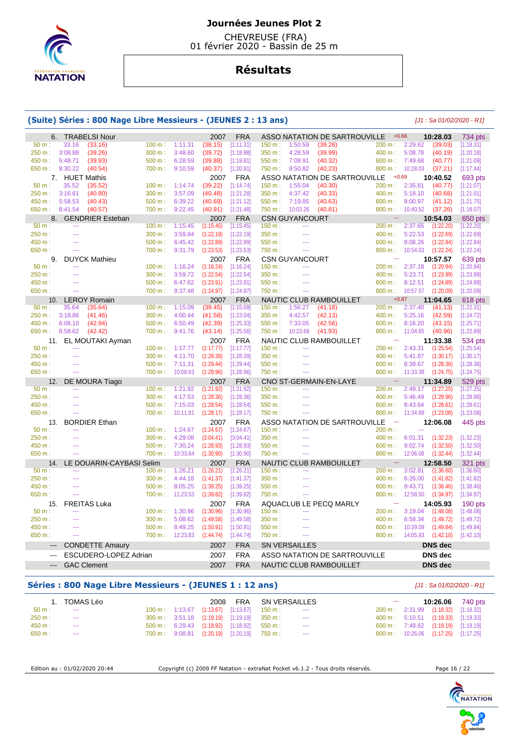

 CHEVREUSE (FRA) 01 février 2020 - Bassin de 25 m

# **Résultats**

#### **(Suite) Séries : 800 Nage Libre Messieurs - (JEUNES 2 : 13 ans)** [J1 : Sa 01/02/2020 - R1] 6. TRABELSI Nour 2007 FRA ASSO NATATION DE SARTROUVILLE +0.66 **10:28.03** 734 pts 50 m : 33.16 (33.16) 100 m : 1:11.31 (38.15) [1:11.31] 150 m : 1:50.59 (39.28) 200 m : 2:29.62 (39.03) [1:18.31] 250 m : 3:08.88 (39.26) 300 m : 3:48.60 (39.72) [1:18.98] 350 m : 4:28.59 (39.99) 400 m : 5:08.78 (40.19) [1:20.18] 450 m : 5:48.71 (39.93) 500 m : 6:28.59 (39.88) [1:19.81] 550 m : 7:08.91 (40.32) 600 m : 7:49.68 (40.77) [1:21.09] 650 m : 8:30.22 (40.54) 700 m : 9:10.59 (40.37) [1:20.91] 750 m : 9:50.82 (40.23) 800 m : 10:28.03 (37.21) [1:17.44] 7. HUET Mathis 2007 FRA ASSO NATATION DE SARTROUVILLE +0.69 **10:40.52** 693 pts 50 m : 35.52 (35.52) 100 m : 1:14.74 (39.22) [1:14.74] 150 m : 1:55.04 (40.30) 200 m : 2:35.81 (40.77) [1:21.07] 250 m : 3:16.61 (40.80) 300 m : 3:57.09 (40.48) [1:21.28] 350 m : 4:37.42 (40.33) 400 m : 5:18.10 (40.68) [1:21.01] 450 m : 5:58.53 (40.43) 500 m : 6:39.22 (40.69) [1:21.12] 550 m : 7:19.85 (40.63) 600 m : 8:00.97 (41.12) [1:21.75] 650 m : 8:41.54 (40.57) 700 m : 9:22.45 (40.91) [1:21.48] 750 m : 10:03.26 (40.81) 800 m : 10:40.52 (37.26) [1:18.07] 8. GENDRIER Esteban 2007 FRA CSN GUYANCOURT --- **10:54.03** 650 pts<br>
50 m :-- **10:54.03** 100 m :- 1:15.45 (1:15.45) [1:15.45] 150 m :-- **10:00 m :- 2:37.65** (1:22.20) [1:22.20] 50 m : --- 100 m : 1:15.45 (1:15.45) [1:15.45] 150 m : -- 200 m : 2:37.65 (1:22.20) [1:22.20] 250 m : --- 300 m : 3:59.84 (1:22.19) [1:22.19] 350 m : --- 400 m : 5:22.53 (1:22.69) [1:22.69] 450 m : --- 500 m : 6:45.42 (1:22.89) [1:22.89] 550 m : --- 600 m : 8:08.26 (1:22.84) [1:22.84] 650 m : --- 700 m : 9:31.79 (1:23.53) [1:23.53] 750 m : --- 800 m : 10:54.03 (1:22.24) [1:22.24] 9. DUYCK Mathieu 2007 FRA CSN GUYANCOURT --- **10:57.57** 639 pts<br>50 m: --- **100 m:** 1:16.24 (1:16.24) [1:16.24] 150 m: --- **200 m: 2:37.18** (1:20.94) [1:20.94] 50 m : --- 100 m : 1:16.24 (1:16.24) [1:16.24] 150 m : --- 200 m : 2:37.18 (1:20.94) [1:20.94] 250 m : --- 300 m : 3:59.72 (1:22.54) [1:22.54] 350 m : --- 400 m : 5:23.71 (1:23.99) [1:23.99] 450 m : --- 500 m : 6:47.62 (1:23.91) [1:23.91] 550 m : --- 600 m : 8:12.51 (1:24.89) [1:24.89] 650 m : --- 700 m : 9:37.48 (1:24.97) [1:24.97] 750 m : -- 800 m : 10:57.57 (1:20.09) [1:20.09] 10. LEROY Romain 2007 FRA NAUTIC CLUB RAMBOUILLET +0.87 **11:04.65** 618 pts 50 m : 35.64 (35.64) 100 m : 1:15.09 (39.45) [1:15.09] 150 m : 1:56.27 (41.18) 200 m : 2:37.40 (41.13) [1:22.31] 250 m : 3:18.86 (41.46) 300 m : 4:00.44 (41.58) [1:23.04] 350 m : 4:42.57 (42.13) 400 m : 5:25.16 (42.59) [1:24.72] 450 m : 6:08.10 (42.94) 500 m : 6:50.49 (42.39) [1:25.33] 550 m : 7:33.05 (42.56) 600 m : 8:16.20 (43.15) [1:25.71] 650 m : 8:58.62 (42.42) 700 m : 9:41.76 (43.14) [1:25.56] 750 m : 10:23.69 (41.93) 800 m : 11:04.65 (40.96) [1:22.89] 11. EL MOUTAKI Ayman 2007 FRA NAUTIC CLUB RAMBOUILLET --- **11:33.38** 534 pts<br>50 m :-- **100 m :** 1:17.77 (1:17.77) [1:17.77] 150 m :-- **150 m :-- 1200 m :** 2:43.31 (1:25.54) [1:25.54] 50 m : 117.77 (1:17.77) [1:17.77] 150 m : --- 200 m : 2:43.31 (1:25.54) [1:25.54] [1:25.54] [1:25.54] [1:25.54] 250 m : --- 200 m : 4:11.70 (1:28.39) [1:28.39] 350 m : --- 400 m : 5:41.87 (1:30.17) [1:30.17] 450 m : --- 500 m : 7:11.31 (1:29.44) [1:29.44] 550 m : --- 600 m : 8:39.67 (1:28.36) [1:28.36] 650 m : --- 700 m : 10:08.63 (1:28.96) [1:28.96] 750 m : --- 800 m : 11:33.38 (1:24.75) [1:24.75] 12. DE MOURA Tiago 2007 FRA CNO ST-GERMAIN-EN-LAYE --- **11:34.89** 529 pts<br>  $\frac{50 \text{ m}}{200 \text{ m}}$  -- **11:34.89 11:21.92 11:21.92 11:21.92 11:21.92 11:21.29 11:21.25 11:27.25 11:27.25**  50 m : --- 100 m : 1:21.92 (1:21.92) [1:21.92] 150 m : --- 200 m : 2:49.17 (1:27.25) [1:27.25] 250 m : --- 300 m : 4:17.53 (1:28.36) [1:28.36] 350 m : --- 400 m : 5:46.49 (1:28.96) [1:28.96] 450 m : --- 1 500 m : 7:15.03 (1:28.54) [1:28.54] 550 m : --- 1 600 m : 8:43.64 (1:28.61) [1:28.61] [1:28.61]<br>650 m : --- 1 700 m : 10:11.81 (1:28.17) [1:28.17] 750 m : --- 1 800 m : 11:34.89 (1:23.08) [1:23.08] 650 m : --- 700 m : 10:11.81 (1:28.17) [1:28.17] 750 m : --- 800 m : 11:34.89 (1:23.08) [1:23.08] 13. BORDIER Ethan 2007 FRA ASSO NATATION DE SARTROUVILLE --- **12:06.08** 445 pts<br>50 m : -- **12:06.08** 1445 pts 50 m : --- 100 m : 1:24.67 (1:24.67) [1:24.67] 150 m : --- 200 m : --- 200 m : ---250 m : --- 300 m : 4:29.08 (3:04.41) [3:04.41] 350 m : --- 400 m : 6:01.31 (1:32.23) [1:32.23] 450 m : --- 500 m : 7:30.24 (1:28.93) [1:28.93] 550 m : --- 600 m : 9:02.74 (1:32.50) [1:32.50] 650 m : --- 700 m : 10:33.64 (1:30.90) [1:30.90] 750 m : --- 800 m : 12:06.08 (1:32.44) [1:32.44] 14. LE DOUARIN-CAYBASI Selim 2007 FRA NAUTIC CLUB RAMBOUILLET --- **12:58.50** 321 pts<br>50 m :- --- **100 m :** 1:26.21 (1:26.21) [1:26.21] 150 m :- --- **200 m :** 3:02.81 (1:36.60) [1:36.60] 50 m : --- 100 m : 1:26.21 (1:26.21) [1:26.21] 150 m : -- 200 m : 3:02.81 (1:36.60) [1:36.60] 250 m : --- 300 m : 4:44.18 (1:41.37) [1:41.37] 350 m : --- 400 m : 6:26.00 (1:41.82) [1:41.82] 450 m : --- 500 m : 8:05.25 (1:39.25) [1:39.25] 550 m : --- 600 m : 9:43.71 (1:38.46) [1:38.46] 650 m : --- 700 m : 11:23.53 (1:39.82) [1:39.82] 750 m : --- 800 m : 12:58.50 (1:34.97) [1:34.97] 15. FREITAS Luka 2007 FRA AQUACLUB LE PECQ MARLY --- **14:05.93** 190 pts 50 m : --- 100 m : 1:30.96 (1:30.96) [1:30.96] 150 m : --- 200 m : 3:19.04 (1:48.08) [1:48.08] 250 m : --- 300 m : 5:08.62 (1:49.58) [1:49.58] 350 m : --- 400 m : 6:58.34 (1:49.72) [1:49.72] 450 m : --- 1 500 m : 8:49.25 (1:50.91) [1:50.91] 550 m : --- 1 600 m : 10:39.09 (1:49.84) [1:49.84] 650 m : --- 700 m : 12:23.83 (1:44.74) [1:44.74] 750 m : --- 800 m : 14:05.93 (1:42.10) [1:42.10] --- CONDETTE Amaury 2007 FRA SN VERSAILLES **DNS dec**  --- ESCUDERO-LOPEZ Adrian 2007 FRA ASSO NATATION DE SARTROUVILLE **DNS dec**  --- GAC Clement 2007 FRA NAUTIC CLUB RAMBOUILLET **DNS dec**

#### **Séries : 800 Nage Libre Messieurs - (JEUNES 1 : 12 ans)** [J1 : Sa 01/02/2020 - R1]

|          | 1. TOMAS Léo  |  |                                                                   | 2008 FRA SN VERSAILLES                                                |               | $\sim$ |                                     | 10:26.06 740 pts |
|----------|---------------|--|-------------------------------------------------------------------|-----------------------------------------------------------------------|---------------|--------|-------------------------------------|------------------|
| $50 m$ : | $\cdots$      |  |                                                                   | $100 \text{ m}$ : $1:13.67$ $(1:13.67)$ $[1:13.67]$ $150 \text{ m}$ : | $\sim$        |        | 200 m: 2:31.99 (1:18.32) [1:18.32]  |                  |
| 250 m:   | $\sim$ $\sim$ |  | $300 \text{ m}: 3:51.18$ $(1:19.19)$ $[1:19.19]$ $350 \text{ m}:$ |                                                                       | $\sim$ $\sim$ |        | 400 m: 5:10.51 (1:19.33) [1:19.33]  |                  |
| 450 m:   | $\cdots$      |  | 500 m : 6:29.43 (1:18.92) [1:18.92] 550 m :                       |                                                                       | $- - -$       |        | 600 m: 7:48.62 (1:19.19) [1:19.19]  |                  |
| 650 m:   | $\cdots$      |  |                                                                   | 700 m: 9:08.81 (1:20.19) [1:20.19] 750 m:                             | $\sim$ $\sim$ |        | 800 m: 10:26.06 (1:17.25) [1:17.25] |                  |

Edition au : 01/02/2020 20:44 Copyright (c) 2009 FF Natation - extraNat Pocket v6.1.2 - Tous droits réservés. Page 16 / 22

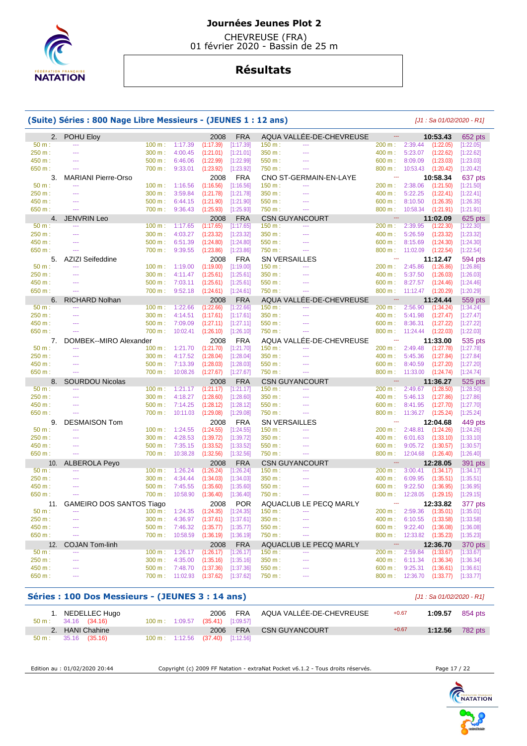

 CHEVREUSE (FRA) 01 février 2020 - Bassin de 25 m

# **Résultats**

## **(Suite) Séries : 800 Nage Libre Messieurs - (JEUNES 1 : 12 ans)** [J1 : Sa 01/02/2020 - R1]

| 2.     | POHU Eloy                       |           |                 | 2008      | <b>FRA</b> |                       | AQUA VALLÉE-DE-CHEVREUSE |                                  |                 | 10:53.43  | 652 pts   |
|--------|---------------------------------|-----------|-----------------|-----------|------------|-----------------------|--------------------------|----------------------------------|-----------------|-----------|-----------|
| 50 m:  | $\sim$                          | 100 m:    | 1:17.39         | (1:17.39) | [1:17.39]  | 150 m:                | ---                      | 200 m:                           | 2:39.44         | (1:22.05) | [1:22.05] |
| 250 m: | $-$                             | 300 m:    | 4:00.45         | (1:21.01) | [1:21.01]  | 350 m:                | $\sim$                   | 400 m:                           | 5:23.07         | (1:22.62) | [1:22.62] |
| 450 m: |                                 | 500 m:    | 6:46.06         | (1:22.99) | [1:22.99]  | 550 m:                |                          | 600 m:                           | 8:09.09         | (1:23.03) | [1:23.03] |
| 650 m: |                                 | 700 m:    | 9:33.01         | (1:23.92) | [1:23.92]  | 750 m:                |                          | 800 m:                           | 10:53.43        | (1:20.42) | [1:20.42] |
| 3.     | <b>MARIANI Pierre-Orso</b>      |           |                 | 2008      | <b>FRA</b> |                       | CNO ST-GERMAIN-EN-LAYE   | ---                              |                 | 10:58.34  | 637 pts   |
| 50 m:  |                                 | 100 m:    | 1:16.56         | (1:16.56) | [1:16.56]  | 150 m:                | $\sim$                   | 200 m:                           | 2:38.06         | (1:21.50) | [1:21.50] |
| 250 m: | $\sim$                          | 300 m:    | 3:59.84         | (1:21.78) | [1:21.78]  | 350 m:                | шL,                      | 400 m:                           | 5:22.25         | (1:22.41) | [1:22.41] |
| 450 m: | $\sim$                          | $500 m$ : | 6:44.15         | (1:21.90) | [1:21.90]  | 550 m:                | $\overline{a}$           | 600 m:                           | 8:10.50         | (1:26.35) | [1:26.35] |
| 650 m: |                                 | 700 m:    | 9:36.43         | (1:25.93) | [1:25.93]  | 750 m:                | $\sim$                   | 800 m:                           | 10:58.34        | (1:21.91) | [1:21.91] |
| 4.     | <b>JENVRIN Leo</b>              |           |                 | 2008      | <b>FRA</b> |                       | <b>CSN GUYANCOURT</b>    | $\mathbb{L}\mathbb{L}\mathbb{L}$ |                 | 11:02.09  | 625 pts   |
| 50 m:  | ---                             | 100 m:    | 1:17.65         | (1:17.65) | [1:17.65]  | 150 m:                | $\overline{a}$           | 200 m:                           | 2:39.95         | (1:22.30) | [1:22.30] |
| 250 m: |                                 | 300 m:    | 4:03.27         | (1:23.32) | [1:23.32]  | 350 m:                |                          | 400 m:                           | 5:26.59         | (1:23.32) | [1:23.32] |
| 450 m: | $\sim$                          | 500 m:    | 6:51.39         | (1:24.80) | [1:24.80]  | 550 m:                | $\sim$                   | 600 m:                           | 8:15.69         | (1:24.30) | [1:24.30] |
| 650 m: | $\sim$                          | 700 m:    | 9:39.55         | (1:23.86) | [1:23.86]  | 750 m:                | $\sim$                   | 800 m:                           | 11:02.09        | (1:22.54) | [1:22.54] |
| 5.     | AZIZI Seifeddine                |           |                 | 2008      | <b>FRA</b> | <b>SN VERSAILLES</b>  |                          | ---                              |                 | 11:12.47  | 594 pts   |
| 50 m:  | $-$                             | 100 m:    | 1:19.00         | (1:19.00) | [1:19.00]  | 150 m:                | <u>.</u>                 | 200 m:                           | 2:45.86         | (1:26.86) | [1:26.86] |
| 250 m: | $\sim$                          | 300 m:    | 4:11.47         | (1:25.61) | [1:25.61]  | 350 m:                | ---                      | 400 m:                           | 5:37.50         | (1:26.03) | [1:26.03] |
| 450 m: |                                 | 500 m:    | 7:03.11         | (1:25.61) | [1:25.61]  | 550 m:                |                          | 600 m:                           | 8:27.57         | (1:24.46) | [1:24.46] |
| 650 m: | $-$                             | 700 m:    | 9:52.18         | (1:24.61) | [1:24.61]  | 750 m:                | $\sim$                   | 800 m:                           | 11:12.47        | (1:20.29) | [1:20.29] |
| 6.     | <b>RICHARD Nolhan</b>           |           |                 | 2008      | <b>FRA</b> |                       | AQUA VALLEE-DE-CHEVREUSE | ---                              |                 | 11:24.44  | 559 pts   |
| 50 m:  | $\sim$                          | 100 m:    | 1:22.66         | (1:22.66) | [1:22.66]  | 150 m:                | ---                      | 200 m:                           | 2:56.90         | (1:34.24) | [1:34.24] |
| 250 m: | <u>.</u>                        | 300 m:    | 4:14.51         | (1:17.61) | [1:17.61]  | 350 m:                |                          | 400 m:                           | 5:41.98         | (1:27.47) | [1:27.47] |
| 450 m: | $\sim$                          | 500 m:    | 7:09.09         | (1:27.11) | [1:27.11]  | 550 m:                | $\overline{a}$           | 600 m:                           | 8:36.31         | (1:27.22) | [1:27.22] |
| 650 m: | $\sim$                          | 700 m:    | 10:02.41        | (1:26.10) | [1:26.10]  | 750 m:                | $\sim$                   | 800 m:                           | 11:24.44        | (1:22.03) | [1:22.03] |
| 7.     | DOMBEK--MIRO Alexander          |           |                 | 2008      | <b>FRA</b> |                       | AQUA VALLÉE-DE-CHEVREUSE | ---                              |                 | 11:33.00  | 535 pts   |
| 50 m:  |                                 | 100 m:    | 1:21.70         | (1:21.70) | [1:21.70]  | 150 m:                | $\sim$                   | 200 m:                           | 2:49.48         | (1:27.78) | [1:27.78] |
| 250 m: | $\sim$                          | 300 m:    | 4:17.52         | (1:28.04) | [1:28.04]  | 350 m:                | $\sim$                   | 400 m:                           | 5:45.36         | (1:27.84) | [1:27.84] |
| 450 m: |                                 | 500 m:    | 7:13.39         | (1:28.03) | [1:28.03]  | 550 m:                |                          | 600 m:                           | 8:40.59         | (1:27.20) | [1:27.20] |
| 650 m: | 44                              | 700 m:    | 10:08.26        | (1:27.67) | [1:27.67]  | 750 m:                | 444                      | 800 m:                           | 11:33.00        | (1:24.74) | [1:24.74] |
| 8.     | <b>SOURDOU Nicolas</b>          |           |                 | 2008      | <b>FRA</b> | <b>CSN GUYANCOURT</b> |                          | ---                              |                 | 11:36.27  | 525 pts   |
| 50 m:  | $\sim$                          | 100 m:    | 1:21.17         | (1:21.17) | [1:21.17]  | 150 m:                | ---                      | 200 m:                           | 2:49.67         | (1:28.50) | [1:28.50] |
| 250 m: | $\sim$                          | 300 m:    | 4:18.27         | (1:28.60) | [1:28.60]  | 350 m:                | $\sim$                   | 400 m:                           | 5:46.13         | (1:27.86) | [1:27.86] |
| 450 m: | $\sim$                          | 500 m:    | 7:14.25         | (1:28.12) | [1:28.12]  | 550 m:                | <u>.</u>                 | 600 m:                           | 8:41.95         | (1:27.70) | [1:27.70] |
| 650 m: | $\sim$                          | 700 m:    | 10:11.03        | (1:29.08) | [1:29.08]  | 750 m :               | $\sim$                   | 800 m:                           | 11:36.27        | (1:25.24) | [1:25.24] |
| 9.     | <b>DESMAISON Tom</b>            |           |                 | 2008      | <b>FRA</b> | <b>SN VERSAILLES</b>  |                          | $\sim$                           |                 | 12:04.68  | 449 pts   |
| 50 m:  |                                 | 100 m:    | 1:24.55         | (1:24.55) | [1:24.55]  | 150 m:                |                          | 200 m:                           | 2:48.81         | (1:24.26) | [1:24.26] |
| 250 m: | $\sim$                          | 300 m:    | 4:28.53         | (1:39.72) | [1:39.72]  | 350 m:                | $\overline{a}$           | 400 m:                           | 6:01.63         | (1:33.10) | [1:33.10] |
| 450 m: | $\sim$                          | 500 m:    | 7:35.15         | (1:33.52) | [1:33.52]  | 550 m:                | $\sim$                   | 600 m:                           | 9:05.72         | (1:30.57) | [1:30.57] |
| 650 m: | $\overline{\phantom{a}}$        | 700 m:    | 10:38.28        | (1:32.56) | [1:32.56]  | 750 m:                | $\overline{\phantom{a}}$ | 800 m:                           | 12:04.68        | (1:26.40) | [1:26.40] |
| 10.    | <b>ALBEROLA Peyo</b>            |           |                 | 2008      | <b>FRA</b> | <b>CSN GUYANCOURT</b> |                          | 44                               |                 | 12:28.05  | 391 pts   |
| 50 m:  |                                 | 100 m:    | 1:26.24         | (1:26.24) | [1:26.24]  | 150 m:                |                          | 200 m:                           | 3:00.41         | (1:34.17) | [1:34.17] |
| 250 m: | $\sim$                          | 300 m:    | 4:34.44         | (1:34.03) | [1:34.03]  | 350 m:                | $\overline{a}$           | 400 m:                           | 6:09.95         | (1:35.51) | [1:35.51] |
| 450 m: | $\sim$                          | 500 m:    | 7:45.55         | (1:35.60) | [1:35.60]  | 550 m:                | $\sim$                   | 600 m:                           | 9:22.50         | (1:36.95) | [1:36.95] |
| 650 m: | $\sim$                          | 700 m:    | 10:58.90        | (1:36.40) | [1:36.40]  | 750 m:                | $\sim$                   | 800 m:                           | 12:28.05        | (1:29.15) | [1:29.15] |
| 11.    | <b>GAMEIRO DOS SANTOS Tiago</b> |           |                 | 2008      | <b>POR</b> |                       | AQUACLUB LE PECQ MARLY   | ---                              |                 | 12:33.82  | 377 pts   |
| 50 m:  | $\sim$                          | 100 m:    | 1:24.35         | (1:24.35) | [1:24.35]  | 150 m:                | $\sim$                   | 200 m:                           | 2:59.36         | (1:35.01) | [1:35.01] |
| 250 m: |                                 | 300 m:    | 4:36.97         | (1:37.61) | [1:37.61]  | 350 m:                | $\overline{a}$           | 400 m:                           | 6:10.55         | (1:33.58) | [1:33.58] |
| 450 m: | $\sim$                          | 500 m:    | 7:46.32         | (1:35.77) | [1:35.77]  | 550 m:                |                          | 600 m:                           | 9:22.40         | (1:36.08) | [1:36.08] |
| 650 m: | $\sim$                          | 700 m:    | 10:58.59        | (1:36.19) | [1:36.19]  | 750 m:                | $\sim$                   | 800 m:                           | 12:33.82        | (1:35.23) | [1:35.23] |
| 12.    | <b>COJAN Tom-linh</b>           |           |                 | 2008      | <b>FRA</b> |                       | AQUACLUB LE PECQ MARLY   | 44                               |                 | 12:36.70  | 370 pts   |
| 50 m:  | $-$                             | 100 m:    | 1:26.17         | (1:26.17) | [1:26.17]  | 150 m:                | $-$                      | 200 m:                           | 2:59.84         | (1:33.67) | [1:33.67] |
| 250 m: | <u></u>                         | 300 m:    | 4:35.00         | (1:35.16) | [1:35.16]  | 350 m:                | 444                      | 400 m:                           | 6:11.34         | (1:36.34) | [1:36.34] |
| 450 m: |                                 | 500 m:    | 7:48.70         | (1:37.36) | [1:37.36]  | 550 m:                |                          | 600 m:                           | 9:25.31         | (1:36.61) | [1:36.61] |
| 650 m: | $\sim$                          |           | 700 m: 11:02.93 | (1:37.62) | [1:37.62]  | 750 m:                | $\sim$                   |                                  | 800 m: 12:36.70 | (1:33.77) | [1:33.77] |
|        |                                 |           |                 |           |            |                       |                          |                                  |                 |           |           |

## **Séries : 100 Dos Messieurs - (JEUNES 3 : 14 ans)** [J1 : Sa 01/02/2020 - R1]

| 1. NEDELLEC Hugo<br>$50 \text{ m}: 34.16 (34.16)$ |  | 100 m: 1:09.57 (35.41) [1:09.57] | 2006 FRA AQUA VALLÉE-DE-CHEVREUSE | $+0.67$ | 1:09.57 | 854 pts |
|---------------------------------------------------|--|----------------------------------|-----------------------------------|---------|---------|---------|
| 2. HANI Chahine                                   |  |                                  | 2006 FRA CSN GUYANCOURT           | $+0.67$ | 1:12.56 | 782 pts |
| $50 \text{ m}: 35.16 (35.16)$                     |  | 100 m: 1:12.56 (37.40) [1:12.56] |                                   |         |         |         |

Edition au : 01/02/2020 20:44 Copyright (c) 2009 FF Natation - extraNat Pocket v6.1.2 - Tous droits réservés. Page 17 / 22

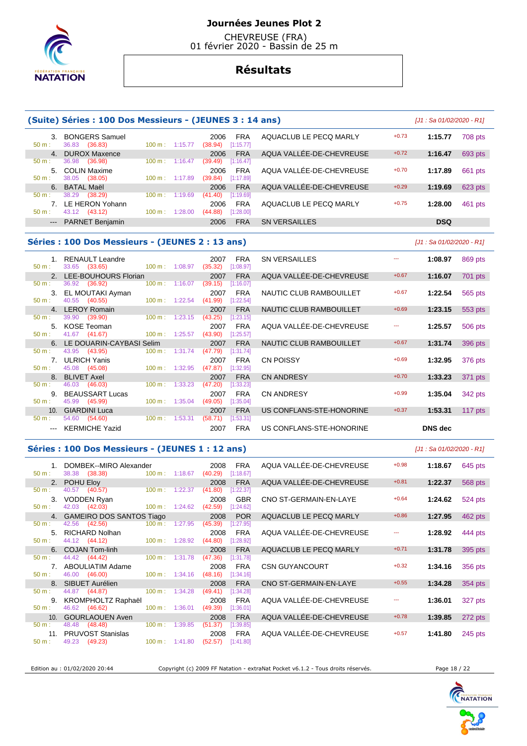

 CHEVREUSE (FRA) 01 février 2020 - Bassin de 25 m

# **Résultats**

|                                                                                                                                                                                                                                                                                                                                                                                                                                                                            | (Suite) Séries : 100 Dos Messieurs - (JEUNES 3 : 14 ans) |                          |         |                                  |                         |                                |         | $[J1: Sa 01/02/2020 - R1]$ |           |
|----------------------------------------------------------------------------------------------------------------------------------------------------------------------------------------------------------------------------------------------------------------------------------------------------------------------------------------------------------------------------------------------------------------------------------------------------------------------------|----------------------------------------------------------|--------------------------|---------|----------------------------------|-------------------------|--------------------------------|---------|----------------------------|-----------|
| $50 m$ :                                                                                                                                                                                                                                                                                                                                                                                                                                                                   | 3. BONGERS Samuel<br>36.83 (36.83)                       | 100 m: 1:15.77           |         | 2006<br>(38.94)                  | <b>FRA</b><br>[1:15.77] | AQUACLUB LE PECQ MARLY         | $+0.73$ | 1:15.77                    | 708 pts   |
| 4.<br>50 m:                                                                                                                                                                                                                                                                                                                                                                                                                                                                | <b>DUROX Maxence</b><br>36.98<br>(36.98)                 | $100 \text{ m}$ :        | 1:16.47 | 2006<br>(39.49)                  | <b>FRA</b><br>[1:16.47] | AQUA VALLEE-DE-CHEVREUSE       | $+0.72$ | 1:16.47                    | 693 pts   |
|                                                                                                                                                                                                                                                                                                                                                                                                                                                                            | 5. COLIN Maxime                                          |                          |         | 2006                             | <b>FRA</b>              | AQUA VALLÉE-DE-CHEVREUSE       | $+0.70$ | 1:17.89                    | 661 pts   |
| $50 m$ :<br>6.                                                                                                                                                                                                                                                                                                                                                                                                                                                             | 38.05<br>(38.05)<br><b>BATAL Maël</b>                    | $100 \text{ m}: 1:17.89$ |         | (39.84)<br>2006                  | [1:17.89]<br><b>FRA</b> | AQUA VALLEE-DE-CHEVREUSE       | $+0.29$ | 1:19.69                    | 623 pts   |
| 50 m:                                                                                                                                                                                                                                                                                                                                                                                                                                                                      | 38.29<br>(38.29)                                         | 100 m:                   | 1:19.69 | (41.40)                          | [1:19.69]               |                                |         |                            |           |
| 50 m:                                                                                                                                                                                                                                                                                                                                                                                                                                                                      | 7. LE HERON Yohann<br>43.12 (43.12)                      | 100 m: 1:28.00           |         | 2006<br>(44.88)                  | <b>FRA</b><br>[1:28.00] | AQUACLUB LE PECQ MARLY         | $+0.75$ | 1:28.00                    | 461 pts   |
| $\cdots$                                                                                                                                                                                                                                                                                                                                                                                                                                                                   | <b>PARNET Benjamin</b>                                   |                          |         | 2006                             | <b>FRA</b>              | <b>SN VERSAILLES</b>           |         | <b>DSQ</b>                 |           |
|                                                                                                                                                                                                                                                                                                                                                                                                                                                                            | Séries : 100 Dos Messieurs - (JEUNES 2 : 13 ans)         |                          |         |                                  |                         |                                |         | $[J1: Sa 01/02/2020 - R1]$ |           |
|                                                                                                                                                                                                                                                                                                                                                                                                                                                                            | 1. RENAULT Leandre                                       |                          |         | 2007                             | <b>FRA</b>              | <b>SN VERSAILLES</b>           | <b></b> | 1:08.97                    | 869 pts   |
| 50 m:                                                                                                                                                                                                                                                                                                                                                                                                                                                                      | 33.65 (33.65)<br>2. LEE-BOUHOURS Florian                 | 100 m: 1:08.97           |         | (35.32)<br>2007                  | [1:08.97]<br><b>FRA</b> | AQUA VALLEE-DE-CHEVREUSE       | $+0.67$ | 1:16.07                    | 701 pts   |
| 50 m:                                                                                                                                                                                                                                                                                                                                                                                                                                                                      | 36.92 (36.92)<br>3. EL MOUTAKI Ayman                     | 100 m: 1:16.07           |         | (39.15)<br>2007                  | [1:16.07]<br><b>FRA</b> | NAUTIC CLUB RAMBOUILLET        | $+0.67$ | 1:22.54                    | 565 pts   |
| 50 m:                                                                                                                                                                                                                                                                                                                                                                                                                                                                      | 40.55<br>(40.55)                                         | $100 m$ : 1:22.54        |         | (41.99)                          | [1:22.54]               |                                |         |                            |           |
| 50 m:                                                                                                                                                                                                                                                                                                                                                                                                                                                                      | 4. LEROY Romain<br>39.90<br>(39.90)                      | 100 m:                   | 1:23.15 | 2007<br>(43.25)                  | <b>FRA</b><br>[1:23.15] | <b>NAUTIC CLUB RAMBOUILLET</b> | $+0.69$ | 1:23.15                    | 553 pts   |
| 50 m:                                                                                                                                                                                                                                                                                                                                                                                                                                                                      | 5. KOSE Teoman<br>41.67 (41.67)                          | 100 m: 1:25.57           |         | 2007<br>(43.90)                  | <b>FRA</b><br>[1:25.57] | AQUA VALLÉE-DE-CHEVREUSE       | ---     | 1:25.57                    | 506 pts   |
|                                                                                                                                                                                                                                                                                                                                                                                                                                                                            | 6. LE DOUARIN-CAYBASI Selim                              |                          |         | 2007                             | <b>FRA</b>              | <b>NAUTIC CLUB RAMBOUILLET</b> | $+0.67$ | 1:31.74                    | 396 pts   |
| 50 m:<br>7.                                                                                                                                                                                                                                                                                                                                                                                                                                                                | 43.95<br>(43.95)<br><b>ULRICH Yanis</b>                  | $100 \text{ m}$ :        | 1:31.74 | (47.79)<br>2007                  | [1:31.74]<br><b>FRA</b> | <b>CN POISSY</b>               | $+0.69$ | 1:32.95                    | 376 pts   |
| 50 m:<br>8.                                                                                                                                                                                                                                                                                                                                                                                                                                                                | 45.08 (45.08)<br><b>BLIVET Axel</b>                      | 100 m:                   | 1:32.95 | (47.87)<br>2007                  | [1:32.95]<br><b>FRA</b> | CN ANDRESY                     | $+0.70$ | 1:33.23                    | 371 pts   |
| 50 m:                                                                                                                                                                                                                                                                                                                                                                                                                                                                      | 46.03 (46.03)                                            | $100 \text{ m}$ :        | 1:33.23 | (47.20)                          | [1:33.23]               |                                |         |                            |           |
| 50 m:                                                                                                                                                                                                                                                                                                                                                                                                                                                                      | 9. BEAUSSART Lucas<br>45.99<br>(45.99)                   | 100 m: 1:35.04           |         | 2007<br>(49.05)                  | <b>FRA</b><br>[1:35.04] | <b>CN ANDRESY</b>              | $+0.99$ | 1:35.04                    | 342 pts   |
| 10.<br>50 m:                                                                                                                                                                                                                                                                                                                                                                                                                                                               | <b>GIARDINI Luca</b><br>54.60 (54.60)                    | 100 m: 1:53.31           |         | 2007<br>(58.71)                  | <b>FRA</b><br>[1:53.31] | US CONFLANS-STE-HONORINE       | $+0.37$ | 1:53.31                    | 117 $pts$ |
| $\frac{1}{2} \left( \frac{1}{2} \right) \left( \frac{1}{2} \right) \left( \frac{1}{2} \right) \left( \frac{1}{2} \right) \left( \frac{1}{2} \right) \left( \frac{1}{2} \right) \left( \frac{1}{2} \right) \left( \frac{1}{2} \right) \left( \frac{1}{2} \right) \left( \frac{1}{2} \right) \left( \frac{1}{2} \right) \left( \frac{1}{2} \right) \left( \frac{1}{2} \right) \left( \frac{1}{2} \right) \left( \frac{1}{2} \right) \left( \frac{1}{2} \right) \left( \frac$ | <b>KERMICHE Yazid</b>                                    |                          |         | 2007                             | <b>FRA</b>              | US CONFLANS-STE-HONORINE       |         | <b>DNS</b> dec             |           |
|                                                                                                                                                                                                                                                                                                                                                                                                                                                                            | Séries : 100 Dos Messieurs - (JEUNES 1 : 12 ans)         |                          |         |                                  |                         |                                |         | $[J1: Sa 01/02/2020 - R1]$ |           |
| 1.<br>50 m:                                                                                                                                                                                                                                                                                                                                                                                                                                                                | DOMBEK--MIRO Alexander<br>38.38<br>(38.38)               | 100 m: 1:18.67           |         | 2008<br>(40.29)                  | <b>FRA</b><br>[1:18.67] | AQUA VALLÉE-DE-CHEVREUSE       | $+0.98$ | 1:18.67                    | 645 pts   |
| 2.                                                                                                                                                                                                                                                                                                                                                                                                                                                                         | POHU Eloy                                                |                          |         | 2008                             | <b>FRA</b>              | AQUA VALLEE-DE-CHEVREUSE       | $+0.81$ | 1:22.37                    | 568 pts   |
| 50 m:                                                                                                                                                                                                                                                                                                                                                                                                                                                                      | 40.57 (40.57)<br>3. VODDEN Ryan                          | 100 m: 1:22.37           |         | (41.80)<br>2008                  | [1:22.37]<br><b>GBR</b> | CNO ST-GERMAIN-EN-LAYE         | $+0.64$ | 1:24.62                    | 524 pts   |
| 50 m:                                                                                                                                                                                                                                                                                                                                                                                                                                                                      | 42.03 (42.03)                                            | 100 m: 1:24.62           |         | $(42.59)$ [1:24.62]              |                         |                                | $+0.86$ |                            |           |
| $50 m$ :                                                                                                                                                                                                                                                                                                                                                                                                                                                                   | 4. GAMEIRO DOS SANTOS Tiago<br>42.56<br>(42.56)          | 100 m: 1:27.95           |         | 2008<br>(45.39)                  | <b>POR</b><br>[1:27.95] | AQUACLUB LE PECQ MARLY         |         | 1:27.95                    | 462 pts   |
| 5.<br>50 m:                                                                                                                                                                                                                                                                                                                                                                                                                                                                | <b>RICHARD Nolhan</b><br>44.12 (44.12)                   | 100 m: 1:28.92           |         | 2008<br>(44.80)                  | <b>FRA</b><br>[1:28.92] | AQUA VALLÉE-DE-CHEVREUSE       | ₩,      | 1:28.92                    | 444 pts   |
| 6.                                                                                                                                                                                                                                                                                                                                                                                                                                                                         | <b>COJAN Tom-linh</b>                                    |                          |         | 2008                             | <b>FRA</b>              | AQUACLUB LE PECQ MARLY         | $+0.71$ | 1:31.78                    | 395 pts   |
| $50 m$ :                                                                                                                                                                                                                                                                                                                                                                                                                                                                   | 44.42 (44.42)<br>7. ABOULIATIM Adame                     | $100 m$ :                | 1:31.78 | (47.36)<br>2008                  | [1:31.78]<br>FRA        | CSN GUYANCOURT                 | $+0.32$ | 1:34.16                    | 356 pts   |
| 50 m:<br>8.                                                                                                                                                                                                                                                                                                                                                                                                                                                                | 46.00 (46.00)<br>SIBUET Aurélien                         | $100 \text{ m}: 1:34.16$ |         | $(48.16)$ $[1:34.16]$<br>2008    | <b>FRA</b>              | CNO ST-GERMAIN-EN-LAYE         | $+0.55$ | 1:34.28                    | 354 pts   |
| $50 m$ :                                                                                                                                                                                                                                                                                                                                                                                                                                                                   | 44.87 (44.87)                                            | 100 m:                   | 1:34.28 | (49.41)                          | [1:34.28]               |                                |         |                            |           |
| $50 m$ :                                                                                                                                                                                                                                                                                                                                                                                                                                                                   | 9. KROMPHOLTZ Raphaël<br>46.62 (46.62)                   | 100 m: 1:36.01           |         | 2008<br>(49.39)                  | <b>FRA</b><br>[1:36.01] | AQUA VALLEE-DE-CHEVREUSE       | ₩.      | 1:36.01                    | 327 pts   |
| 10.                                                                                                                                                                                                                                                                                                                                                                                                                                                                        | <b>GOURLAOUEN Aven</b>                                   |                          |         | 2008                             | <b>FRA</b>              | AQUA VALLÉE-DE-CHEVREUSE       | $+0.78$ | 1:39.85                    | 272 pts   |
| $50 m$ :                                                                                                                                                                                                                                                                                                                                                                                                                                                                   | 48.48<br>(48.48)<br>11. PRUVOST Stanislas                | $100 \text{ m}: 1:39.85$ |         | (51.37)<br>2008                  | [1:39.85]<br><b>FRA</b> | AQUA VALLÉE-DE-CHEVREUSE       | $+0.57$ | 1:41.80                    | 245 pts   |
| $50 m$ :                                                                                                                                                                                                                                                                                                                                                                                                                                                                   | 49.23 (49.23)                                            |                          |         | $100 \text{ m}: 1:41.80 (52.57)$ | [1:41.80]               |                                |         |                            |           |

Edition au : 01/02/2020 20:44 Copyright (c) 2009 FF Natation - extraNat Pocket v6.1.2 - Tous droits réservés. Page 18 / 22

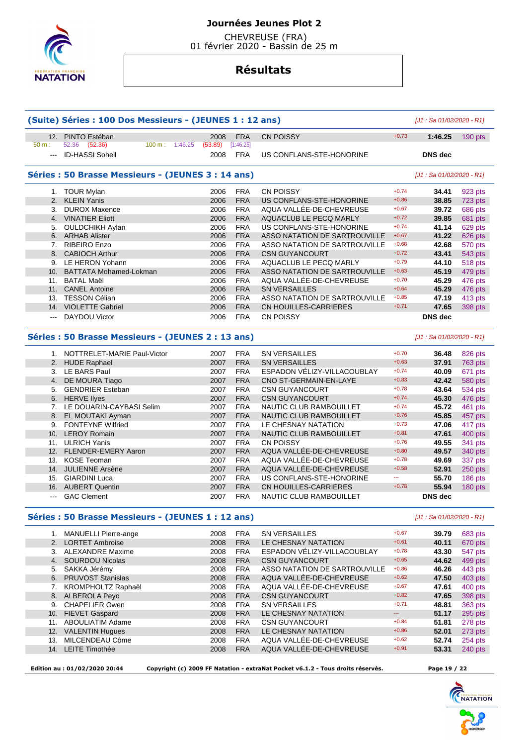

 CHEVREUSE (FRA) 01 février 2020 - Bassin de 25 m

# **Résultats**

| 12.                      | PINTO Estéban                                                | 2008            | <b>FRA</b>              | <b>CN POISSY</b>              | $+0.73$  | 1:46.25                    | 190 pts |
|--------------------------|--------------------------------------------------------------|-----------------|-------------------------|-------------------------------|----------|----------------------------|---------|
| 50 m:<br>$\sim$ $\sim$   | 52.36 (52.36)<br>$100 m$ : 1:46.25<br><b>ID-HASSI Soheil</b> | (53.89)<br>2008 | [1:46.25]<br><b>FRA</b> | US CONFLANS-STE-HONORINE      |          | <b>DNS</b> dec             |         |
|                          |                                                              |                 |                         |                               |          |                            |         |
|                          | Séries : 50 Brasse Messieurs - (JEUNES 3 : 14 ans)           |                 |                         |                               |          | $[J1: Sa 01/02/2020 - R1]$ |         |
|                          | 1. TOUR Mylan                                                | 2006            | <b>FRA</b>              | <b>CN POISSY</b>              | $+0.74$  | 34.41                      | 923 pts |
| 2.                       | <b>KLEIN Yanis</b>                                           | 2006            | <b>FRA</b>              | US CONFLANS-STE-HONORINE      | $+0.86$  | 38.85                      | 723 pts |
|                          | 3. DUROX Maxence                                             | 2006            | <b>FRA</b>              | AQUA VALLÉE-DE-CHEVREUSE      | $+0.67$  | 39.72                      | 686 pts |
|                          | 4. VINATIER Eliott                                           | 2006            | <b>FRA</b>              | AQUACLUB LE PECQ MARLY        | $+0.72$  | 39.85                      | 681 pts |
|                          | 5. OULDCHIKH Aylan                                           | 2006            | <b>FRA</b>              | US CONFLANS-STE-HONORINE      | $+0.74$  | 41.14                      | 629 pts |
|                          | 6. ARHAB Alister                                             | 2006            | <b>FRA</b>              | ASSO NATATION DE SARTROUVILLE | $+0.67$  | 41.22                      | 626 pts |
| 7.                       | RIBEIRO Enzo                                                 | 2006            | <b>FRA</b>              | ASSO NATATION DE SARTROUVILLE | $+0.68$  | 42.68                      | 570 pts |
| 8.                       | <b>CABIOCH Arthur</b>                                        | 2006            | <b>FRA</b>              | <b>CSN GUYANCOURT</b>         | $+0.72$  | 43.41                      | 543 pts |
|                          | 9. LE HERON Yohann                                           | 2006            | <b>FRA</b>              | AQUACLUB LE PECQ MARLY        | $+0.79$  | 44.10                      | 518 pts |
| 10.                      | <b>BATTATA Mohamed-Lokman</b>                                | 2006            | <b>FRA</b>              | ASSO NATATION DE SARTROUVILLE | $+0.63$  | 45.19                      | 479 pts |
|                          | 11. BATAL Maël                                               | 2006            | <b>FRA</b>              | AQUA VALLEE-DE-CHEVREUSE      | $+0.70$  | 45.29                      | 476 pts |
|                          | 11. CANEL Antoine                                            | 2006            | <b>FRA</b>              | <b>SN VERSAILLES</b>          | $+0.64$  | 45.29                      | 476 pts |
|                          |                                                              |                 | <b>FRA</b>              | ASSO NATATION DE SARTROUVILLE | $+0.85$  |                            |         |
|                          | 13. TESSON Célian                                            | 2006            |                         |                               |          | 47.19                      | 413 pts |
|                          | 14. VIOLETTE Gabriel                                         | 2006            | <b>FRA</b>              | <b>CN HOUILLES-CARRIERES</b>  | $+0.71$  | 47.65                      | 398 pts |
| $\overline{\phantom{a}}$ | DAYDOU Victor                                                | 2006            | <b>FRA</b>              | <b>CN POISSY</b>              |          | <b>DNS</b> dec             |         |
|                          | Séries : 50 Brasse Messieurs - (JEUNES 2 : 13 ans)           |                 |                         |                               |          | [J1 : Sa 01/02/2020 - R1]  |         |
|                          | 1. NOTTRELET-MARIE Paul-Victor                               | 2007            | <b>FRA</b>              | <b>SN VERSAILLES</b>          | $+0.70$  | 36.48                      | 826 pts |
|                          | 2. HUDE Raphael                                              | 2007            | <b>FRA</b>              | <b>SN VERSAILLES</b>          | $+0.63$  | 37.91                      | 763 pts |
|                          | 3. LE BARS Paul                                              | 2007            | <b>FRA</b>              | ESPADON VÉLIZY-VILLACOUBLAY   | $+0.74$  | 40.09                      | 671 pts |
| 4.                       | DE MOURA Tiago                                               | 2007            | <b>FRA</b>              | CNO ST-GERMAIN-EN-LAYE        | $+0.83$  | 42.42                      | 580 pts |
|                          |                                                              |                 |                         |                               | $+0.78$  |                            |         |
| 5.                       | <b>GENDRIER Esteban</b>                                      | 2007            | <b>FRA</b>              | <b>CSN GUYANCOURT</b>         |          | 43.64                      | 534 pts |
|                          | 6. HERVE llyes                                               | 2007            | <b>FRA</b>              | <b>CSN GUYANCOURT</b>         | $+0.74$  | 45.30                      | 476 pts |
|                          | 7. LE DOUARIN-CAYBASI Selim                                  | 2007            | <b>FRA</b>              | NAUTIC CLUB RAMBOUILLET       | $+0.74$  | 45.72                      | 461 pts |
| 8.                       | EL MOUTAKI Ayman                                             | 2007            | <b>FRA</b>              | NAUTIC CLUB RAMBOUILLET       | $+0.76$  | 45.85                      | 457 pts |
| 9.                       | <b>FONTEYNE Wilfried</b>                                     | 2007            | <b>FRA</b>              | LE CHESNAY NATATION           | $+0.73$  | 47.06                      | 417 pts |
| 10.                      | <b>LEROY Romain</b>                                          | 2007            | <b>FRA</b>              | NAUTIC CLUB RAMBOUILLET       | $+0.81$  | 47.61                      | 400 pts |
|                          | 11. ULRICH Yanis                                             | 2007            | <b>FRA</b>              | <b>CN POISSY</b>              | $+0.76$  | 49.55                      | 341 pts |
|                          | 12. FLENDER-EMERY Aaron                                      | 2007            | <b>FRA</b>              | AQUA VALLÉE-DE-CHEVREUSE      | $+0.80$  | 49.57                      | 340 pts |
|                          | 13. KOSE Teoman                                              | 2007            | <b>FRA</b>              | AQUA VALLÉE-DE-CHEVREUSE      | $+0.78$  | 49.69                      | 337 pts |
|                          | 14. JULIENNE Arsène                                          | 2007            | <b>FRA</b>              | AQUA VALLEE-DE-CHEVREUSE      | $+0.58$  | 52.91                      | 250 pts |
|                          | 15. GIARDINI Luca                                            | 2007            | <b>FRA</b>              | US CONFLANS-STE-HONORINE      | <u>.</u> | 55.70                      | 186 pts |
|                          | 16. AUBERT Quentin                                           | 2007            | <b>FRA</b>              | CN HOUILLES-CARRIERES         | $+0.78$  | 55.94                      | 180 pts |
| $\overline{\phantom{a}}$ | <b>GAC Clement</b>                                           | 2007            | <b>FRA</b>              | NAUTIC CLUB RAMBOUILLET       |          | <b>DNS</b> dec             |         |
|                          | Séries : 50 Brasse Messieurs - (JEUNES 1 : 12 ans)           |                 |                         |                               |          | [J1 : Sa 01/02/2020 - R1]  |         |
|                          | 1. MANUELLI Pierre-ange                                      | 2008            | <b>FRA</b>              | SN VERSAILLES                 | $+0.67$  | 39.79                      | 683 pts |
| 2.                       | <b>LORTET Ambroise</b>                                       | 2008            | <b>FRA</b>              | LE CHESNAY NATATION           | $+0.61$  | 40.11                      | 670 pts |
|                          |                                                              |                 |                         | ESPADON VĚLIZY-VILLACOUBLAY   | $+0.78$  |                            |         |
|                          | 3. ALEXANDRE Maxime                                          | 2008            | <b>FRA</b>              |                               |          | 43.30                      | 547 pts |
| 4.                       | <b>SOURDOU Nicolas</b>                                       | 2008            | <b>FRA</b>              | <b>CSN GUYANCOURT</b>         | $+0.65$  | 44.62                      | 499 pts |
| 5.                       | SAKKA Jérémy                                                 | 2008            | <b>FRA</b>              | ASSO NATATION DE SARTROUVILLE | $+0.86$  | 46.26                      | 443 pts |
| 6.                       | <b>PRUVOST Stanislas</b>                                     | 2008            | <b>FRA</b>              | AQUA VALLÉE-DE-CHEVREUSE      | $+0.62$  | 47.50                      | 403 pts |
|                          | 7. KROMPHOLTZ Raphaël                                        | 2008            | <b>FRA</b>              | AQUA VALLÉE-DE-CHEVREUSE      | $+0.67$  | 47.61                      | 400 pts |
| 8.                       | <b>ALBEROLA Peyo</b>                                         | 2008            | <b>FRA</b>              | <b>CSN GUYANCOURT</b>         | $+0.82$  | 47.65                      | 398 pts |
|                          | 9. CHAPELIER Owen                                            | 2008            | <b>FRA</b>              | <b>SN VERSAILLES</b>          | $+0.71$  | 48.81                      | 363 pts |
|                          | 10. FIEVET Gaspard                                           | 2008            | <b>FRA</b>              | LE CHESNAY NATATION           | ₩.       | 51.17                      | 295 pts |
|                          | 11. ABOULIATIM Adame                                         | 2008            | <b>FRA</b>              | <b>CSN GUYANCOURT</b>         | $+0.84$  | 51.81                      | 278 pts |
|                          | 12. VALENTIN Hugues                                          | 2008            | <b>FRA</b>              | LE CHESNAY NATATION           | $+0.86$  | 52.01                      | 273 pts |
|                          | 13. MILCENDEAU Côme                                          | 2008            | <b>FRA</b>              | AQUA VALLÉE-DE-CHEVREUSE      | $+0.62$  | 52.74                      | 254 pts |
|                          | 14. LEITE Timothée                                           | 2008            | <b>FRA</b>              | AQUA VALLÉE-DE-CHEVREUSE      | $+0.91$  | 53.31                      | 240 pts |
|                          |                                                              |                 |                         |                               |          |                            |         |

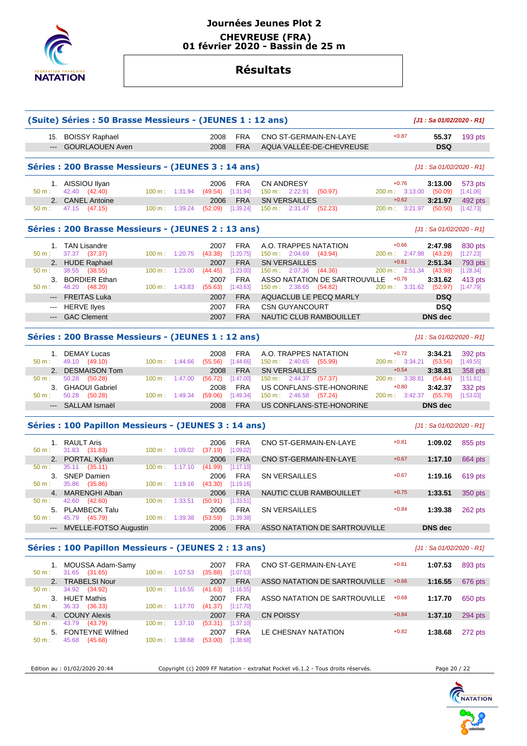

## **Journées Jeunes Plot 2 CHEVREUSE (FRA) 01 février 2020 - Bassin de 25 m**

# **Résultats**

|                                                    | (Suite) Séries : 50 Brasse Messieurs - (JEUNES 1 : 12 ans) | [J1: Sa 01/02/2020 - R1]         |                           |                     |                          |                                                              |                                   |                           |                             |
|----------------------------------------------------|------------------------------------------------------------|----------------------------------|---------------------------|---------------------|--------------------------|--------------------------------------------------------------|-----------------------------------|---------------------------|-----------------------------|
| $\overline{a}$                                     | 15. BOISSY Raphael<br><b>GOURLAOUEN Aven</b>               |                                  |                           | 2008<br>2008        | <b>FRA</b><br><b>FRA</b> | CNO ST-GERMAIN-EN-LAYE<br>AQUA VALLÉE-DE-CHEVREUSE           | $+0.87$                           | 55.37<br><b>DSQ</b>       | 193 pts                     |
|                                                    | Séries : 200 Brasse Messieurs - (JEUNES 3 : 14 ans)        |                                  | [J1 : Sa 01/02/2020 - R1] |                     |                          |                                                              |                                   |                           |                             |
| $50 m$ :                                           | 1. AISSIOU Ilyan                                           |                                  |                           | 2006                | <b>FRA</b>               | <b>CN ANDRESY</b>                                            | $+0.76$                           | 3:13.00                   | 573 pts                     |
|                                                    | 42.40 (42.40)<br>2. CANEL Antoine                          | 100 m: 1:31.94                   |                           | (49.54)<br>2006     | [1:31.94]<br><b>FRA</b>  | 150 m: 2:22.91<br>(50.97)<br><b>SN VERSAILLES</b>            | 200 m: 3:13.00 (50.09)<br>$+0.62$ | 3:21.97                   | [1:41.06]<br>492 pts        |
| 50 m:                                              | 47.15<br>(47.15)                                           | $100 \text{ m}$ : 1:39.24        |                           | (52.09)             | [1:39.24]                | $150 \text{ m}: 2:31.47$ (52.23)                             | 200 m: 3:21.97 (50.50)            |                           | [1:42.73]                   |
| Séries: 200 Brasse Messieurs - (JEUNES 2 : 13 ans) |                                                            |                                  |                           |                     |                          |                                                              |                                   | [J1 : Sa 01/02/2020 - R1] |                             |
|                                                    | 1. TAN Lisandre                                            |                                  |                           | 2007                | <b>FRA</b>               | A.O. TRAPPES NATATION                                        | $+0.66$                           | 2:47.98                   | 830 pts                     |
| $50 m$ :                                           | 37.37 (37.37)                                              | $100 m$ : 1:20.75                |                           | (43.38)             | [1:20.75]                | 150 m: 2:04.69 (43.94)                                       | 200 m: 2:47.98                    | (43.29)                   | [1:27.23]                   |
| 2.<br>50 m:                                        | <b>HUDE Raphael</b><br>38.55<br>(38.55)                    | 100 m:                           | 1:23.00                   | 2007<br>(44.45)     | <b>FRA</b><br>[1:23.00]  | <b>SN VERSAILLES</b><br>150 m: 2:07.36<br>(44.36)            | $+0.61$<br>200 m: 2:51.34         | 2:51.34<br>(43.98)        | <b>793 pts</b><br>[1:28.34] |
| 3.                                                 | <b>BORDIER Ethan</b>                                       |                                  |                           | 2007                | <b>FRA</b>               | ASSO NATATION DE SARTROUVILLE                                | $+0.76$                           | 3:31.62                   | 413 pts                     |
| $50 m$ :                                           | 48.20 (48.20)                                              | $100 \text{ m}: 1:43.83$         |                           | (55.63)             | [1:43.83]                | 150 m: 2:38.65 (54.82)                                       | 200 m: 3:31.62                    | (52.97)                   | [1:47.79]                   |
|                                                    | <b>FREITAS Luka</b>                                        |                                  |                           | 2007                | <b>FRA</b>               | AQUACLUB LE PECQ MARLY                                       |                                   | <b>DSQ</b>                |                             |
| $\qquad \qquad \cdots$                             | <b>HERVE lives</b>                                         |                                  |                           | 2007                | <b>FRA</b>               | <b>CSN GUYANCOURT</b>                                        |                                   | <b>DSQ</b>                |                             |
| $\qquad \qquad - -$                                | <b>GAC Clement</b>                                         |                                  |                           | 2007                | <b>FRA</b>               | NAUTIC CLUB RAMBOUILLET                                      |                                   | <b>DNS</b> dec            |                             |
|                                                    |                                                            |                                  |                           |                     |                          |                                                              |                                   |                           |                             |
|                                                    | Séries: 200 Brasse Messieurs - (JEUNES 1 : 12 ans)         |                                  |                           |                     |                          |                                                              |                                   | [J1 : Sa 01/02/2020 - R1] |                             |
|                                                    | 1. DEMAY Lucas                                             |                                  |                           | 2008                | <b>FRA</b>               | A.O. TRAPPES NATATION                                        | $+0.72$                           | 3:34.21                   | 392 pts                     |
| $50 m$ :                                           | 49.10 (49.10)                                              | $100 \text{ m}: 1:44.66$         |                           | (55.56)             | [1:44.66]                | $150 \text{ m}: 2:40.65$ (55.99)                             | 200 m: 3:34.21 (53.56)            |                           | [1:49.55]                   |
| 2.                                                 | <b>DESMAISON Tom</b>                                       |                                  |                           | 2008                | <b>FRA</b>               | <b>SN VERSAILLES</b>                                         | $+0.54$                           | 3:38.81                   | 358 pts                     |
| $50 m$ :                                           | 50.28<br>(50.28)                                           | $100 \text{ m}$ :                | 1:47.00                   | (56.72)             | [1:47.00]                | 150 m : 2:44.37 (57.37)                                      | 200 m: 3:38.81<br>$+0.80$         | (54.44)                   | [1:51.81]                   |
| 3.<br>50 m:                                        | <b>GHAOUI Gabriel</b><br>50.28 (50.28)                     | $100 \text{ m}$ : 1:49.34        |                           | 2008<br>(59.06)     | <b>FRA</b><br>[1:49.34]  | US CONFLANS-STE-HONORINE<br>$150 \text{ m}: 2:46.58$ (57.24) | 3:42.37<br>200 m:                 | 3:42.37<br>(55.79)        | 332 pts<br>[1:53.03]        |
| $\frac{1}{2}$                                      | SALLAM Ismaël                                              |                                  |                           | 2008                | <b>FRA</b>               | US CONFLANS-STE-HONORINE                                     |                                   | <b>DNS</b> dec            |                             |
|                                                    | Séries : 100 Papillon Messieurs - (JEUNES 3 : 14 ans)      |                                  |                           |                     |                          |                                                              |                                   | [J1 : Sa 01/02/2020 - R1] |                             |
|                                                    | 1. RAULT Aris                                              |                                  |                           | 2006                | <b>FRA</b>               | CNO ST-GERMAIN-EN-LAYE                                       | $+0.81$                           | 1:09.02                   | 855 pts                     |
| $50 m$ :                                           | 31.83 (31.83)                                              | 100 m: 1:09.02                   |                           | (37.19)             | [1:09.02]                |                                                              |                                   |                           |                             |
| 2.                                                 | PORTAL Kylian                                              |                                  |                           | 2006                | <b>FRA</b>               | CNO ST-GERMAIN-EN-LAYE                                       | $+0.67$                           | 1:17.10                   | 664 pts                     |
| 50 m:                                              | 35.11<br>(35.11)                                           | 100 m:                           | 1:17.10                   | (41.99)             | [1:17.10]                |                                                              |                                   |                           |                             |
| 50 m:                                              | 3. SNEP Damien<br>35.86<br>(35.86)                         | $100 \text{ m}: 1:19.16$         |                           | 2006<br>(43.30)     | <b>FRA</b><br>[1:19.16]  | <b>SN VERSAILLES</b>                                         | $+0.67$                           | 1:19.16                   | 619 pts                     |
|                                                    | 4. MARENGHI Alban                                          |                                  |                           | 2006                | <b>FRA</b>               | NAUTIC CLUB RAMBOUILLET                                      | $+0.75$                           | 1:33.51                   | 350 pts                     |
| 50 m :                                             | 42.60 (42.60)                                              | 100 m: 1:33.51 (50.91) [1:33.51] |                           |                     |                          |                                                              |                                   |                           |                             |
|                                                    | 5. PLAMBECK Talu                                           |                                  |                           | 2006                | <b>FRA</b>               | SN VERSAILLES                                                | $+0.84$                           | 1:39.38                   | 262 pts                     |
| 50 m:                                              | 45.79 (45.79)                                              | 100 m: 1:39.38 (53.59) [1:39.38] |                           |                     |                          |                                                              |                                   |                           |                             |
| $---$                                              | MVELLE-FOTSO Augustin                                      |                                  |                           | 2006                | <b>FRA</b>               | ASSO NATATION DE SARTROUVILLE                                |                                   | <b>DNS</b> dec            |                             |
|                                                    | Séries : 100 Papillon Messieurs - (JEUNES 2 : 13 ans)      |                                  |                           |                     |                          |                                                              |                                   | [J1 : Sa 01/02/2020 - R1] |                             |
|                                                    | 1. MOUSSA Adam-Samy                                        |                                  |                           | 2007                | <b>FRA</b>               | CNO ST-GERMAIN-EN-LAYE                                       | $+0.61$                           | 1:07.53                   | 893 pts                     |
|                                                    | 31.65 (31.65)                                              | 100 m: 1:07.53                   |                           | $(35.88)$ [1:07.53] |                          |                                                              |                                   |                           |                             |
| $50 m$ :                                           |                                                            |                                  |                           | 2007                | <b>FRA</b>               | ASSO NATATION DE SARTROUVILLE                                | $+0.66$                           | 1:16.55                   | 676 pts                     |
|                                                    | 2. TRABELSI Nour                                           |                                  |                           |                     |                          |                                                              |                                   |                           |                             |
| 50 m:                                              | 34.92 (34.92)                                              | $100 \text{ m}: 1:16.55$         |                           | $(41.63)$ [1:16.55] |                          |                                                              |                                   |                           |                             |
|                                                    | 3. HUET Mathis                                             |                                  |                           | 2007                | FRA                      | ASSO NATATION DE SARTROUVILLE                                | $+0.68$                           | 1:17.70                   | 650 pts                     |
|                                                    | 36.33 (36.33)                                              | $100 \text{ m}: 1:17.70$         |                           | (41.37)             | $[1:17.70]$              |                                                              |                                   |                           |                             |
| 50 m:<br>50 m:                                     | 4. COUNY Alexis<br>43.79 (43.79)                           | 100 m: 1:37.10                   |                           | 2007<br>(53.31)     | <b>FRA</b><br>[1:37.10]  | <b>CN POISSY</b>                                             | $+0.84$                           | 1:37.10                   | 294 pts                     |

50 m : 45.68 (45.68) 100 m : 1:38.68 (53.00) [1:38.68]

Edition au : 01/02/2020 20:44 Copyright (c) 2009 FF Natation - extraNat Pocket v6.1.2 - Tous droits réservés. Page 20 / 22

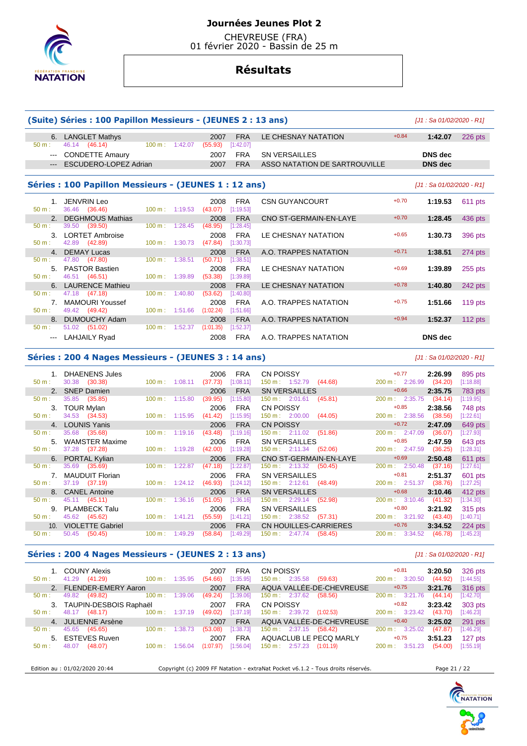

 CHEVREUSE (FRA) 01 février 2020 - Bassin de 25 m

# **Résultats**

| (Suite) Séries : 100 Papillon Messieurs - (JEUNES 2 : 13 ans)                      | [J1 : Sa 01/02/2020 - R1]              |                           |         |                 |                         |                               |         |                |           |  |
|------------------------------------------------------------------------------------|----------------------------------------|---------------------------|---------|-----------------|-------------------------|-------------------------------|---------|----------------|-----------|--|
| $50 m$ :                                                                           | 6. LANGLET Mathys<br>46.14 (46.14)     | 100 m: 1:42.07            |         | 2007<br>(55.93) | <b>FRA</b><br>[1:42.07] | LE CHESNAY NATATION           | $+0.84$ | 1:42.07        | $226$ pts |  |
| $--$                                                                               | <b>CONDETTE Amaury</b>                 |                           |         | 2007            | <b>FRA</b>              | <b>SN VERSAILLES</b>          |         | DNS dec        |           |  |
| $---$                                                                              | ESCUDERO-LOPEZ Adrian                  |                           |         | 2007            | <b>FRA</b>              | ASSO NATATION DE SARTROUVILLE |         | <b>DNS</b> dec |           |  |
| Séries : 100 Papillon Messieurs - (JEUNES 1 : 12 ans)<br>[J1 : Sa 01/02/2020 - R1] |                                        |                           |         |                 |                         |                               |         |                |           |  |
| 1 <sup>1</sup><br>$50 m$ :                                                         | JENVRIN Leo<br>36.46 (36.46)           | $100 \text{ m}: 1:19.53$  |         | 2008<br>(43.07) | <b>FRA</b><br>[1:19.53] | <b>CSN GUYANCOURT</b>         | $+0.70$ | 1:19.53        | 611 pts   |  |
|                                                                                    | 2. DEGHMOUS Mathias                    |                           |         | 2008            | <b>FRA</b>              | CNO ST-GERMAIN-EN-LAYE        | $+0.70$ | 1:28.45        | 436 pts   |  |
| $50 m$ :                                                                           | 39.50 (39.50)                          | $100 \text{ m}$ :         | 1:28.45 | (48.95)         | [1:28.45]               |                               |         |                |           |  |
|                                                                                    | 3. LORTET Ambroise                     |                           |         | 2008            | <b>FRA</b>              | LE CHESNAY NATATION           | $+0.65$ | 1:30.73        | 396 pts   |  |
| $50 m$ :                                                                           | 42.89 (42.89)                          | $100 \text{ m}$ : 1:30.73 |         | (47.84)         | [1:30.73]               |                               |         |                |           |  |
| $\overline{4}$<br>$50 m$ :                                                         | <b>DEMAY Lucas</b>                     | $100 \text{ m}$ : 1:38.51 |         | 2008            | <b>FRA</b>              | A.O. TRAPPES NATATION         | $+0.71$ | 1:38.51        | 274 pts   |  |
| 5 <sub>1</sub>                                                                     | 47.80 (47.80)<br><b>PASTOR Bastien</b> |                           |         | (50.71)<br>2008 | [1:38.51]<br><b>FRA</b> | LE CHESNAY NATATION           | $+0.69$ | 1:39.89        | $255$ pts |  |
| $50 m$ :                                                                           | 46.51 (46.51)                          | $100 \text{ m}$ : 1:39.89 |         | (53.38)         | [1:39.89]               |                               |         |                |           |  |
|                                                                                    | 6. LAURENCE Mathieu                    |                           |         | 2008            | <b>FRA</b>              | LE CHESNAY NATATION           | $+0.78$ | 1:40.80        | 242 pts   |  |
| $50 \text{ m}$ :                                                                   | 47.18 (47.18)                          | 100 m:                    | 1:40.80 | (53.62)         | [1:40.80]               |                               |         |                |           |  |
| 7 <sup>1</sup>                                                                     | <b>MAMOURI Youssef</b>                 |                           |         | 2008            | <b>FRA</b>              | A.O. TRAPPES NATATION         | $+0.75$ | 1:51.66        | $119$ pts |  |
| $50 m$ :                                                                           | 49.42 (49.42)                          | $100 \text{ m}$ : 1:51.66 |         | (1:02.24)       | [1:51.66]               |                               |         |                |           |  |
| 8 <sub>1</sub>                                                                     | DUMOUCHY Adam                          |                           |         | 2008            | <b>FRA</b>              | A.O. TRAPPES NATATION         | $+0.94$ | 1:52.37        | 112 $pts$ |  |
| $50 m$ :                                                                           | 51.02 (51.02)                          | $100 \text{ m}$ :         | 1:52.37 | (1:01.35)       | [1:52.37]               |                               |         |                |           |  |
|                                                                                    | <b>LAHJAILY Ryad</b>                   |                           |         | 2008            | <b>FRA</b>              | A.O. TRAPPES NATATION         |         | <b>DNS</b> dec |           |  |

#### **Séries : 200 4 Nages Messieurs - (JEUNES 3 : 14 ans)** [J1 : Sa 01/02/2020 - R1]

|                 | <b>DHAENENS Jules</b>   |                           | 2006               | <b>FRA</b> | CN POISSY                               | $+0.77$                      | 2:26.99 | 895 pts   |
|-----------------|-------------------------|---------------------------|--------------------|------------|-----------------------------------------|------------------------------|---------|-----------|
| 50 m:           | 30.38 (30.38)           | $100 \text{ m}$ : 1:08.11 | (37.73)            | [1:08.11]  | 150 m: 1:52.79<br>(44.68)               | 200 m: 2:26.99               | (34.20) | [1:18.88] |
|                 | 2. SNEP Damien          |                           | 2006               | <b>FRA</b> | <b>SN VERSAILLES</b>                    | $+0.66$                      | 2:35.75 | 783 pts   |
| 50 m:           | 35.85 (35.85)           | $100 \text{ m}: 1:15.80$  | (39.95)            | [1:15.80]  | 150 m: 2:01.61<br>(45.81)               | 200 m: 2:35.75               | (34.14) | [1:19.95] |
| 3.              | <b>TOUR Mylan</b>       |                           | 2006               | <b>FRA</b> | <b>CN POISSY</b>                        | $+0.85$                      | 2:38.56 | 748 pts   |
| 50 m:           | 34.53 (34.53)           | 100 m:                    | (41.42)<br>1:15.95 | [1:15.95]  | $150 \text{ m}: 2:00.00$<br>(44.05)     | 200 m: 2:38.56               | (38.56) | [1:22.61] |
|                 | <b>LOUNIS Yanis</b>     |                           | 2006               | <b>FRA</b> | <b>CN POISSY</b>                        | $+0.72$                      | 2:47.09 | 649 pts   |
| 50 m:           | 35.68<br>(35.68)        | $100 \text{ m}$ :         | 1:19.16<br>(43.48) | [1:19.16]  | 150 m: 2:11.02<br>(51.86)               | 200 m: 2:47.09               | (36.07) | [1:27.93] |
| 5 <sub>1</sub>  | <b>WAMSTER Maxime</b>   |                           | 2006               | <b>FRA</b> | <b>SN VERSAILLES</b>                    | $+0.85$                      | 2:47.59 | 643 pts   |
| $50 m$ :        | 37.28 (37.28)           | $100 \text{ m}$ :         | 1:19.28<br>(42.00) | [1:19.28]  | $150 \text{ m}: 2:11.34$<br>(52.06)     | 200 m: 2:47.59               | (36.25) | [1:28.31] |
|                 | 6. PORTAL Kylian        |                           | 2006               | <b>FRA</b> | CNO ST-GERMAIN-EN-LAYE                  | $+0.69$                      | 2:50.48 | 611 pts   |
| $50 m$ :        | 35.69<br>(35.69)        | 100 m:                    | 1:22.87<br>(47.18) | [1:22.87]  | 150 m : 2:13.32<br>(50.45)              | 200 m: 2:50.48               | (37.16) | [1:27.61] |
|                 | <b>MAUDUIT Florian</b>  |                           | 2006               | <b>FRA</b> | <b>SN VERSAILLES</b>                    | $+0.81$                      | 2:51.37 | 601 pts   |
| $50 m$ :        | 37.19 (37.19)           | $100 \text{ m}$ :         | 1:24.12<br>(46.93) | [1:24.12]  | $150 \text{ m}: 2:12.61$ (48.49)        | 200 m: 2:51.37               | (38.76) | [1:27.25] |
|                 | 8. CANEL Antoine        |                           | 2006               | <b>FRA</b> | <b>SN VERSAILLES</b>                    | $+0.68$                      | 3:10.46 | 412 pts   |
| $50 m$ :        | 45.11 (45.11)           | 100 m:                    | 1:36.16<br>(51.05) | [1:36.16]  | $150 \text{ m}: 2:29.14$<br>(52.98)     | 200 m: 3:10.46               | (41.32) | [1:34.30] |
| 9.              | <b>PLAMBECK Talu</b>    |                           | 2006               | <b>FRA</b> | <b>SN VERSAILLES</b>                    | $+0.80$                      | 3:21.92 | 315 pts   |
| $50 m$ :        | 45.62 (45.62)           | 100 m:                    | (55.59)<br>1:41.21 | [1:41.21]  | 150 m : 2:38.52<br>(57.31)              | 200 m: 3:21.92               | (43.40) | [1:40.71] |
| 10 <sub>1</sub> | <b>VIOLETTE Gabriel</b> |                           | 2006               | <b>FRA</b> | CN HOUILLES-CARRIERES                   | $+0.76$                      | 3:34.52 | 224 pts   |
| $50 m$ :        | (50.45)<br>50.45        | 100 m:                    | (58.84)<br>1:49.29 | 1:49.29    | $150 \text{ m}$ :<br>2:47.74<br>(58.45) | $200 \text{ m}$ :<br>3:34.52 | (46.78) | [1:45.23] |

#### **Séries : 200 4 Nages Messieurs - (JEUNES 2 : 13 ans)** [J1 : Sa 01/02/2020 - R1]

1. COUNY Alexis 2007 FRA CN POISSY +0.81 **3:20.50** 326 pts<br>
50 m: 41.29 (44.92) 100 m: 1:35.95 (54.66) [1:35.95] 150 m: 2:35.58 (59.63) 200 m: 3:20.50 (44.92) [1:44.55] 4.66 [1:35.95] 150 m : 2:35.58 (59.63) 200 m : 3:20.50 (44.92)<br>2007 FRA AQUA VALLÉE-DE-CHEVREUSE +0.75 3:21.76 2. FLENDER-EMERY Aaron 2007 FRA AQUA VALLÉE-DE-CHEVREUSE +0.75 **3:21.76** 316 pts<br>2. 49.82 (49.82) 100 m : 1:39.06 (49.24) [1:39.06] 150 m : 2:37.62 (58.56) 200 m : 3:21.76 (44.14) [1:42.70] 50 m : 49.82 (49.82) 100 m : 1:39.06 (49.24) [1:39.06] 150 m : 2:37.62 (58.56) 200 m : 3:21.76 (44.14) [1:42.7 3. TAUPIN-DESBOIS Raphaël 2007 FRA CN POISSY +0.82 **3:23.42** 303 pts 150 m : 2:39.72 (1:02.53) 200 m : 3:23.4<br>AQUA VALLÉE-DE-CHEVRFUSE + 10.40 4. JULIENNE Arsène 2007 FRA AQUA VALLÉE-DE-CHEVREUSE +0.40 **3:25.02** 291 pts 50 m : 45.65 (45.65) 100 m : 1:38.73 (53.08) [1:38.73] 150 m : 2:37.15 (58.42) 200 m : 3:25.02 (47.87) 5. ESTEVES Ruven 2007 FRA AQUACI URI F PFCO MARI Y +0.75 3 -51 23 5. ESTEVES Ruven 2007 FRA AQUACLUB LE PECQ MARLY +0.75 **3:51.23** 127 pts<br>50 m : 48.07 (48.07) 100 m : 1:56.04 (1:07.97) [1:56.04] 150 m : 2:57.23 (1:01.19) 200 m : 3:51.23 (54.00) [1:55.19] 100 m : 1:56.04 (1:07.97) [1:56.04]

Edition au : 01/02/2020 20:44 Copyright (c) 2009 FF Natation - extraNat Pocket v6.1.2 - Tous droits réservés. Page 21 / 22